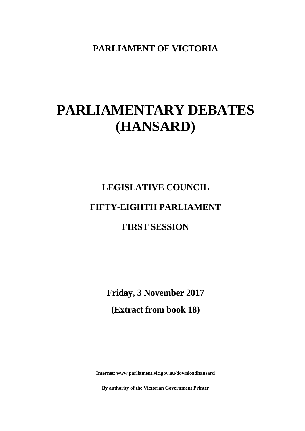**PARLIAMENT OF VICTORIA**

## **PARLIAMENTARY DEBATES (HANSARD)**

# **LEGISLATIVE COUNCIL FIFTY-EIGHTH PARLIAMENT**

## **FIRST SESSION**

**Friday, 3 November 2017 (Extract from book 18)**

**Internet: www.parliament.vic.gov.au/downloadhansard**

**By authority of the Victorian Government Printer**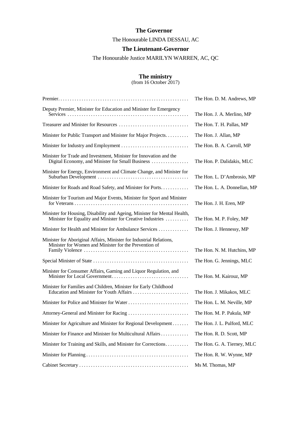### **The Governor**

The Honourable LINDA DESSAU, AC

### **The Lieutenant-Governor**

The Honourable Justice MARILYN WARREN, AC, QC

### **The ministry**

(from 16 October 2017)

|                                                                                                                                        | The Hon. D. M. Andrews, MP   |
|----------------------------------------------------------------------------------------------------------------------------------------|------------------------------|
| Deputy Premier, Minister for Education and Minister for Emergency                                                                      | The Hon. J. A. Merlino, MP   |
|                                                                                                                                        | The Hon. T. H. Pallas, MP    |
| Minister for Public Transport and Minister for Major Projects.                                                                         | The Hon. J. Allan, MP        |
|                                                                                                                                        | The Hon. B. A. Carroll, MP   |
| Minister for Trade and Investment, Minister for Innovation and the<br>Digital Economy, and Minister for Small Business                 | The Hon. P. Dalidakis, MLC   |
| Minister for Energy, Environment and Climate Change, and Minister for                                                                  | The Hon. L. D'Ambrosio, MP   |
| Minister for Roads and Road Safety, and Minister for Ports                                                                             | The Hon. L. A. Donnellan, MP |
| Minister for Tourism and Major Events, Minister for Sport and Minister                                                                 | The Hon. J. H. Eren, MP      |
| Minister for Housing, Disability and Ageing, Minister for Mental Health,<br>Minister for Equality and Minister for Creative Industries | The Hon. M. P. Foley, MP     |
| Minister for Health and Minister for Ambulance Services                                                                                | The Hon. J. Hennessy, MP     |
| Minister for Aboriginal Affairs, Minister for Industrial Relations,<br>Minister for Women and Minister for the Prevention of           | The Hon. N. M. Hutchins, MP  |
|                                                                                                                                        | The Hon. G. Jennings, MLC    |
| Minister for Consumer Affairs, Gaming and Liquor Regulation, and                                                                       | The Hon. M. Kairouz, MP      |
| Minister for Families and Children, Minister for Early Childhood<br>Education and Minister for Youth Affairs                           | The Hon. J. Mikakos, MLC     |
|                                                                                                                                        | The Hon. L. M. Neville, MP   |
|                                                                                                                                        | The Hon. M. P. Pakula, MP    |
| Minister for Agriculture and Minister for Regional Development                                                                         | The Hon. J. L. Pulford, MLC  |
| Minister for Finance and Minister for Multicultural Affairs                                                                            | The Hon. R. D. Scott, MP     |
| Minister for Training and Skills, and Minister for Corrections                                                                         | The Hon. G. A. Tierney, MLC  |
|                                                                                                                                        | The Hon. R. W. Wynne, MP     |
|                                                                                                                                        | Ms M. Thomas, MP             |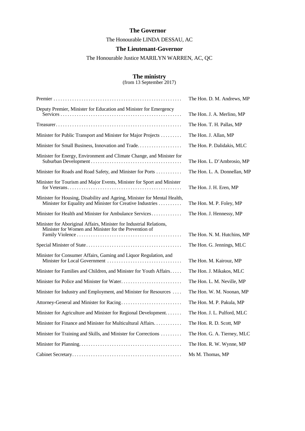### **The Governor**

The Honourable LINDA DESSAU, AC

### **The Lieutenant-Governor**

The Honourable Justice MARILYN WARREN, AC, QC

### **The ministry**

(from 13 September 2017)

|                                                                                                                                        | The Hon. D. M. Andrews, MP   |
|----------------------------------------------------------------------------------------------------------------------------------------|------------------------------|
| Deputy Premier, Minister for Education and Minister for Emergency                                                                      | The Hon. J. A. Merlino, MP   |
|                                                                                                                                        | The Hon. T. H. Pallas, MP    |
| Minister for Public Transport and Minister for Major Projects                                                                          | The Hon. J. Allan, MP        |
| Minister for Small Business, Innovation and Trade.                                                                                     | The Hon. P. Dalidakis, MLC   |
| Minister for Energy, Environment and Climate Change, and Minister for                                                                  | The Hon. L. D'Ambrosio, MP   |
| Minister for Roads and Road Safety, and Minister for Ports                                                                             | The Hon. L. A. Donnellan, MP |
| Minister for Tourism and Major Events, Minister for Sport and Minister                                                                 | The Hon. J. H. Eren, MP      |
| Minister for Housing, Disability and Ageing, Minister for Mental Health,<br>Minister for Equality and Minister for Creative Industries | The Hon. M. P. Foley, MP     |
| Minister for Health and Minister for Ambulance Services                                                                                | The Hon. J. Hennessy, MP     |
| Minister for Aboriginal Affairs, Minister for Industrial Relations,<br>Minister for Women and Minister for the Prevention of           | The Hon. N. M. Hutchins, MP  |
|                                                                                                                                        | The Hon. G. Jennings, MLC    |
| Minister for Consumer Affairs, Gaming and Liquor Regulation, and                                                                       | The Hon. M. Kairouz, MP      |
| Minister for Families and Children, and Minister for Youth Affairs                                                                     | The Hon. J. Mikakos, MLC     |
|                                                                                                                                        | The Hon. L. M. Neville, MP   |
| Minister for Industry and Employment, and Minister for Resources                                                                       | The Hon. W. M. Noonan, MP    |
|                                                                                                                                        | The Hon. M. P. Pakula, MP    |
| Minister for Agriculture and Minister for Regional Development                                                                         | The Hon. J. L. Pulford, MLC  |
| Minister for Finance and Minister for Multicultural Affairs                                                                            | The Hon. R. D. Scott, MP     |
| Minister for Training and Skills, and Minister for Corrections                                                                         | The Hon. G. A. Tierney, MLC  |
|                                                                                                                                        | The Hon. R. W. Wynne, MP     |
|                                                                                                                                        | Ms M. Thomas, MP             |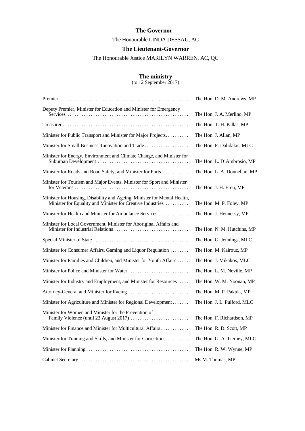### **The Governor**

The Honourable LINDA DESSAU, AC

### **The Lieutenant-Governor**

The Honourable Justice MARILYN WARREN, AC, QC

### **The ministry**

(to 12 September 2017)

|                                                                                                                                        | The Hon. D. M. Andrews, MP   |
|----------------------------------------------------------------------------------------------------------------------------------------|------------------------------|
| Deputy Premier, Minister for Education and Minister for Emergency                                                                      | The Hon. J. A. Merlino, MP   |
|                                                                                                                                        | The Hon. T. H. Pallas, MP    |
| Minister for Public Transport and Minister for Major Projects                                                                          | The Hon. J. Allan, MP        |
| Minister for Small Business, Innovation and Trade                                                                                      | The Hon. P. Dalidakis, MLC   |
| Minister for Energy, Environment and Climate Change, and Minister for                                                                  | The Hon. L. D'Ambrosio, MP   |
| Minister for Roads and Road Safety, and Minister for Ports                                                                             | The Hon. L. A. Donnellan, MP |
| Minister for Tourism and Major Events, Minister for Sport and Minister                                                                 | The Hon. J. H. Eren, MP      |
| Minister for Housing, Disability and Ageing, Minister for Mental Health,<br>Minister for Equality and Minister for Creative Industries | The Hon. M. P. Foley, MP     |
| Minister for Health and Minister for Ambulance Services                                                                                | The Hon. J. Hennessy, MP     |
| Minister for Local Government, Minister for Aboriginal Affairs and                                                                     | The Hon. N. M. Hutchins, MP  |
|                                                                                                                                        | The Hon. G. Jennings, MLC    |
| Minister for Consumer Affairs, Gaming and Liquor Regulation                                                                            | The Hon. M. Kairouz, MP      |
| Minister for Families and Children, and Minister for Youth Affairs                                                                     | The Hon. J. Mikakos, MLC     |
|                                                                                                                                        | The Hon. L. M. Neville, MP   |
| Minister for Industry and Employment, and Minister for Resources                                                                       | The Hon. W. M. Noonan, MP    |
|                                                                                                                                        | The Hon. M. P. Pakula, MP    |
| Minister for Agriculture and Minister for Regional Development                                                                         | The Hon. J. L. Pulford, MLC  |
| Minister for Women and Minister for the Prevention of                                                                                  | The Hon. F. Richardson, MP   |
| Minister for Finance and Minister for Multicultural Affairs                                                                            | The Hon. R. D. Scott, MP     |
| Minister for Training and Skills, and Minister for Corrections                                                                         | The Hon. G. A. Tierney, MLC  |
|                                                                                                                                        | The Hon. R. W. Wynne, MP     |
|                                                                                                                                        | Ms M. Thomas, MP             |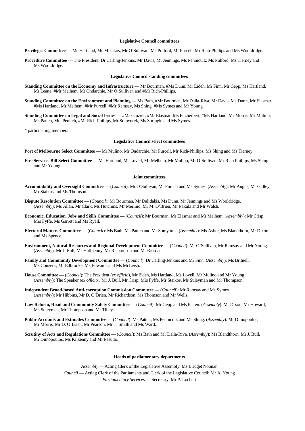### **Legislative Council committees**

**Privileges Committee** — Ms Hartland, Ms Mikakos, Mr O'Sullivan, Ms Pulford, Mr Purcell, Mr Rich-Phillips and Ms Wooldridge.

**Procedure Committee** — The President, Dr Carling-Jenkins, Mr Davis, Mr Jennings, Ms Pennicuik, Ms Pulford, Ms Tierney and Ms Wooldridge.

### **Legislative Council standing committees**

- **Standing Committee on the Economy and Infrastructure** Mr Bourman, #Ms Dunn, Mr Eideh, Mr Finn, Mr Gepp, Ms Hartland, Mr Leane, #Mr Melhem, Mr Ondarchie, Mr O'Sullivan and #Mr Rich-Phillips.
- **Standing Committee on the Environment and Planning Ms Bath, #Mr Bourman, Mr Dalla-Riva, Mr Davis, Ms Dunn, Mr Elasmar,** #Ms Hartland, Mr Melhem, #Mr Purcell, #Mr Ramsay, Ms Shing, #Ms Symes and Mr Young.
- **Standing Committee on Legal and Social Issues**  #Ms Crozier, #Mr Elasmar, Ms Fitzherbert, #Ms Hartland, Mr Morris, Mr Mulino, Ms Patten, Mrs Peulich, #Mr Rich-Phillips, Mr Somyurek, Ms Springle and Ms Symes.

# participating members

### **Legislative Council select committees**

Port of Melbourne Select Committee — Mr Mulino, Mr Ondarchie, Mr Purcell, Mr Rich-Phillips, Ms Shing and Ms Tierney.

**Fire Services Bill Select Committee** — Ms Hartland, Ms Lovell, Mr Melhem, Mr Mulino, Mr O'Sullivan, Mr Rich Phillips, Ms Shing and Mr Young.

### **Joint committees**

- **Accountability and Oversight Committee** (*Council*): Mr O'Sullivan, Mr Purcell and Ms Symes. (*Assembly*): Mr Angus, Mr Gidley, Mr Staikos and Ms Thomson.
- **Dispute Resolution Committee**  (*Council*): Mr Bourman, Mr Dalidakis, Ms Dunn, Mr Jennings and Ms Wooldridge. (*Assembly*): Ms Allan, Mr Clark, Ms Hutchins, Mr Merlino, Mr M. O'Brien, Mr Pakula and Mr Walsh.
- **Economic, Education, Jobs and Skills Committee** (*Council*): Mr Bourman, Mr Elasmar and Mr Melhem. (*Assembly*): Mr Crisp, Mrs Fyffe, Ms Garrett and Ms Ryall.
- **Electoral Matters Committee** (*Council*): Ms Bath, Ms Patten and Mr Somyurek. (*Assembly*): Ms Asher, Ms Blandthorn, Mr Dixon and Ms Spence.
- **Environment, Natural Resources and Regional Development Committee** (*Council*): Mr O'Sullivan, Mr Ramsay and Mr Young. (*Assembly*): Mr J. Bull, Ms Halfpenny, Mr Richardson and Mr Riordan.
- **Family and Community Development Committee** (*Council*): Dr Carling-Jenkins and Mr Finn. (*Assembly*): Ms Britnell, Ms Couzens, Mr Edbrooke, Ms Edwards and Ms McLeish.
- **House Committee**  (*Council*): The President (*ex officio*), Mr Eideh, Ms Hartland, Ms Lovell, Mr Mulino and Mr Young. (*Assembly*): The Speaker (*ex officio*), Mr J. Bull, Mr Crisp, Mrs Fyffe, Mr Staikos, Ms Suleyman and Mr Thompson.
- **Independent Broad-based Anti-corruption Commission Committee** (*Council*): Mr Ramsay and Ms Symes. (*Assembly*): Mr Hibbins, Mr D. O'Brien, Mr Richardson, Ms Thomson and Mr Wells.
- **Law Reform, Road and Community Safety Committee** (*Council*): Mr Gepp and Ms Patten. (*Assembly*): Mr Dixon, Mr Howard, Ms Suleyman, Mr Thompson and Mr Tilley.
- **Public Accounts and Estimates Committee** (*Council*): Ms Patten, Ms Pennicuik and Ms Shing. (*Assembly*): Mr Dimopoulos, Mr Morris, Mr D. O'Brien, Mr Pearson, Mr T. Smith and Ms Ward.
- **Scrutiny of Acts and Regulations Committee** (*Council*): Ms Bath and Mr Dalla-Riva. (*Assembly*): Ms Blandthorn, Mr J. Bull, Mr Dimopoulos, Ms Kilkenny and Mr Pesutto.

### **Heads of parliamentary departments**

*Assembly —* Acting Clerk of the Legislative Assembly: Ms Bridget Noonan *Council* — Acting Clerk of the Parliaments and Clerk of the Legislative Council: Mr A. Young *Parliamentary Services* — Secretary: Mr P. Lochert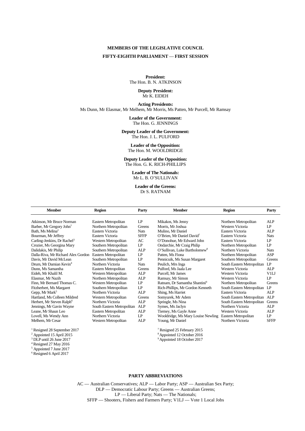### **MEMBERS OF THE LEGISLATIVE COUNCIL**

### **FIFTY-EIGHTH PARLIAMENT** — **FIRST SESSION**

**President:** The Hon. B. N. ATKINSON

> **Deputy President:** Mr K. EIDEH

**Acting Presidents:** Ms Dunn, Mr Elasmar, Mr Melhem, Mr Morris, Ms Patten, Mr Purcell, Mr Ramsay

> **Leader of the Government:** The Hon. G. JENNINGS

**Deputy Leader of the Government:** The Hon. J. L. PULFORD

**Leader of the Opposition:** The Hon. M. WOOLDRIDGE

**Deputy Leader of the Opposition:** The Hon. G. K. RICH-PHILLIPS

> **Leader of The Nationals:** Mr L. B. O'SULLIVAN

**Leader of the Greens:** Dr S. RATNAM

| <b>Member</b>                           | <b>Region</b>              | Party       | <b>Member</b>                             | <b>Region</b>              | Party             |
|-----------------------------------------|----------------------------|-------------|-------------------------------------------|----------------------------|-------------------|
| Atkinson, Mr Bruce Norman               | Eastern Metropolitan       | LP          | Mikakos, Ms Jenny                         | Northern Metropolitan      | ALP               |
| Barber, Mr Gregory John <sup>1</sup>    | Northern Metropolitan      | Greens      | Morris, Mr Joshua                         | Western Victoria           | LP                |
| Bath, Ms Melina <sup>2</sup>            | Eastern Victoria           | <b>Nats</b> | Mulino. Mr Daniel                         | Eastern Victoria           | <b>ALP</b>        |
| Bourman, Mr Jeffrey                     | Eastern Victoria           | <b>SFFP</b> | O'Brien, Mr Daniel David <sup>7</sup>     | Eastern Victoria           | <b>Nats</b>       |
| Carling-Jenkins, Dr Rachel <sup>3</sup> | Western Metropolitan       | AC          | O'Donohue, Mr Edward John                 | Eastern Victoria           | LP                |
| Crozier, Ms Georgina Mary               | Southern Metropolitan      | LP          | Ondarchie, Mr Craig Philip                | Northern Metropolitan      | LP                |
| Dalidakis, Mr Philip                    | Southern Metropolitan      | <b>ALP</b>  | O'Sullivan, Luke Bartholomew <sup>8</sup> | Northern Victoria          | <b>Nats</b>       |
| Dalla-Riva, Mr Richard Alex Gordon      | Eastern Metropolitan       | LP          | Patten, Ms Fiona                          | Northern Metropolitan      | ASP               |
| Davis, Mr David McLean                  | Southern Metropolitan      | LP          | Pennicuik, Ms Susan Margaret              | Southern Metropolitan      | Greens            |
| Drum, Mr Damian Kevin <sup>4</sup>      | Northern Victoria          | <b>Nats</b> | Peulich, Mrs Inga                         | South Eastern Metropolitan | LP                |
| Dunn, Ms Samantha                       | Eastern Metropolitan       | Greens      | Pulford, Ms Jaala Lee                     | Western Victoria           | <b>ALP</b>        |
| Eideh. Mr Khalil M.                     | Western Metropolitan       | <b>ALP</b>  | Purcell, Mr James                         | Western Victoria           | V <sub>1</sub> LJ |
| Elasmar, Mr Nazih                       | Northern Metropolitan      | <b>ALP</b>  | Ramsay, Mr Simon                          | Western Victoria           | LP                |
| Finn, Mr Bernard Thomas C.              | Western Metropolitan       | LP          | Ratnam, Dr Samantha Shantini <sup>9</sup> | Northern Metropolitan      | Greens            |
| Fitzherbert, Ms Margaret                | Southern Metropolitan      | LP          | Rich-Phillips, Mr Gordon Kenneth          | South Eastern Metropolitan | LP                |
| Gepp, Mr Mark <sup>5</sup>              | Northern Victoria          | ALP         | Shing, Ms Harriet                         | Eastern Victoria           | AI.P              |
| Hartland, Ms Colleen Mildred            | Western Metropolitan       | Greens      | Somyurek, Mr Adem                         | South Eastern Metropolitan | AI.P              |
| Herbert, Mr Steven Ralph <sup>6</sup>   | Northern Victoria          | <b>ALP</b>  | Springle, Ms Nina                         | South Eastern Metropolitan | Greens            |
| Jennings, Mr Gavin Wayne                | South Eastern Metropolitan | ALP         | Symes, Ms Jaclyn                          | Northern Victoria          | <b>ALP</b>        |
| Leane, Mr Shaun Leo                     | Eastern Metropolitan       | <b>ALP</b>  | Tierney, Ms Gayle Anne                    | Western Victoria           | <b>ALP</b>        |
| Lovell, Ms Wendy Ann                    | Northern Victoria          | LP          | Wooldridge, Ms Mary Louise Newling        | Eastern Metropolitan       | LP                |
| Melhem, Mr Cesar                        | Western Metropolitan       | <b>ALP</b>  | Young, Mr Daniel                          | Northern Victoria          | <b>SFFP</b>       |
| <sup>1</sup> Resigned 28 September 2017 |                            |             | Resigned 25 February 2015                 |                            |                   |
| $2$ Appointed 15 April 2015             |                            |             | <sup>8</sup> Appointed 12 October 2016    |                            |                   |

<sup>3</sup> DLP until 26 June 2017 **9** Appointed 18 October 2017 <sup>4</sup> Resigned 27 May 2016 <sup>5</sup> Appointed 7 June 2017

<sup>6</sup> Resigned 6 April 2017

### **PARTY ABBREVIATIONS**

AC — Australian Conservatives; ALP — Labor Party; ASP — Australian Sex Party; DLP — Democratic Labour Party; Greens — Australian Greens; LP — Liberal Party; Nats — The Nationals; SFFP — Shooters, Fishers and Farmers Party; V1LJ — Vote 1 Local Jobs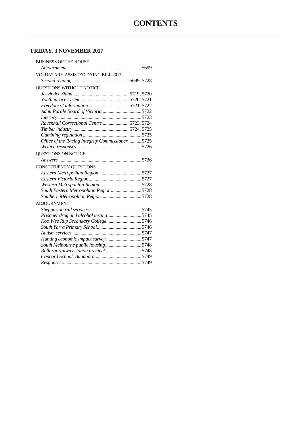### **FRIDAY, 3 NOVEMBER 2017**

| <b>BUSINESS OF THE HOUSE</b>                     |  |
|--------------------------------------------------|--|
|                                                  |  |
| VOLUNTARY ASSISTED DYING BILL 2017               |  |
|                                                  |  |
| QUESTIONS WITHOUT NOTICE                         |  |
|                                                  |  |
|                                                  |  |
|                                                  |  |
|                                                  |  |
|                                                  |  |
| Ravenhall Correctional Centre 5723, 5724         |  |
|                                                  |  |
|                                                  |  |
| Office of the Racing Integrity Commissioner 5725 |  |
|                                                  |  |
| QUESTIONS ON NOTICE                              |  |
|                                                  |  |
| CONSTITUENCY QUESTIONS                           |  |
|                                                  |  |
|                                                  |  |
|                                                  |  |
| South Eastern Metropolitan Region5728            |  |
|                                                  |  |
| <b>ADJOURNMENT</b>                               |  |
|                                                  |  |
| Prisoner drug and alcohol testing5745            |  |
| Koo Wee Rup Secondary College5746                |  |
|                                                  |  |
|                                                  |  |
| Hunting economic impact survey5747               |  |
| South Melbourne public housing5748               |  |
|                                                  |  |
|                                                  |  |
|                                                  |  |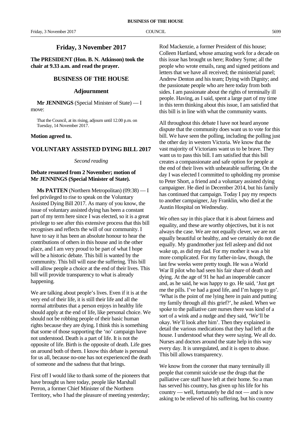### **Friday, 3 November 2017**

**The PRESIDENT (Hon. B. N. Atkinson) took the chair at 9.33 a.m. and read the prayer.**

### **BUSINESS OF THE HOUSE**

### **Adjournment**

**Mr JENNINGS** (Special Minister of State) — I move:

That the Council, at its rising, adjourn until 12.00 p.m. on Tuesday, 14 November 2017.

### **Motion agreed to.**

### **VOLUNTARY ASSISTED DYING BILL 2017**

### *Second reading*

### **Debate resumed from 2 November; motion of Mr JENNINGS (Special Minister of State).**

**Ms PATTEN** (Northern Metropolitan) (09:38) — I feel privileged to rise to speak on the Voluntary Assisted Dying Bill 2017. As many of you know, the issue of voluntary assisted dying has been a constant part of my term here since I was elected, so it is a great privilege to see after this extensive process that this bill recognises and reflects the will of our community. I have to say it has been an absolute honour to hear the contributions of others in this house and in the other place, and I am very proud to be part of what I hope will be a historic debate. This bill is wanted by the community. This bill will ease the suffering. This bill will allow people a choice at the end of their lives. This bill will provide transparency to what is already happening.

We are talking about people's lives. Even if it is at the very end of their life, it is still their life and all the normal attributes that a person enjoys in healthy life should apply at the end of life, like personal choice. We should not be robbing people of their basic human rights because they are dying. I think this is something that some of those supporting the 'no' campaign have not understood. Death is a part of life. It is not the opposite of life. Birth is the opposite of death. Life goes on around both of them. I know this debate is personal for us all, because no-one has not experienced the death of someone and the sadness that that brings.

First off I would like to thank some of the pioneers that have brought us here today, people like Marshall Perron, a former Chief Minister of the Northern Territory, who I had the pleasure of meeting yesterday;

Rod Mackenzie, a former President of this house; Colleen Hartland, whose amazing work for a decade on this issue has brought us here; Rodney Syme; all the people who wrote emails, rang and signed petitions and letters that we have all received; the ministerial panel; Andrew Denton and his team; Dying with Dignity; and the passionate people who are here today from both sides. I am passionate about the rights of terminally ill people. Having, as I said, spent a large part of my time in this term thinking about this issue, I am satisfied that this bill is in line with what the community wants.

All throughout this debate I have not heard anyone dispute that the community does want us to vote for this bill. We have seen the polling, including the polling just the other day in western Victoria. We know that the vast majority of Victorians want us to be brave. They want us to pass this bill. I am satisfied that this bill creates a compassionate and safe option for people at the end of their lives with unbearable suffering. On the day I was elected I committed to upholding my promise to Peter Short, a friend and a voluntary assisted dying campaigner. He died in December 2014, but his family has continued that campaign. Today I pay my respects to another campaigner, Jay Franklin, who died at the Austin Hospital on Wednesday.

We often say in this place that it is about fairness and equality, and these are worthy objectives, but it is not always the case. We are not equally clever, we are not equally beautiful or healthy, and we certainly do not die equally. My grandmother just fell asleep and did not wake up, as did my dad. For my mother it was a bit more complicated. For my father-in-law, though, the last few weeks were pretty tough. He was a World War II pilot who had seen his fair share of death and dying. At the age of 91 he had an inoperable cancer and, as he said, he was happy to go. He said, 'Just get me the pills. I've had a good life, and I'm happy to go'. 'What is the point of me lying here in pain and putting my family through all this grief?', he asked. When we spoke to the palliative care nurses there was kind of a sort of a wink and a nudge and they said, 'We'll be okay. We'll look after him'. Then they explained in detail the various medications that they had left at the house. I understood what they were saying. We all do. Nurses and doctors around the state help in this way every day. It is unregulated, and it is open to abuse. This bill allows transparency.

We know from the coroner that many terminally ill people that commit suicide use the drugs that the palliative care staff have left at their home. So a man has served his country, has given up his life for his country — well, fortunately he did not — and is now asking to be relieved of his suffering, but his country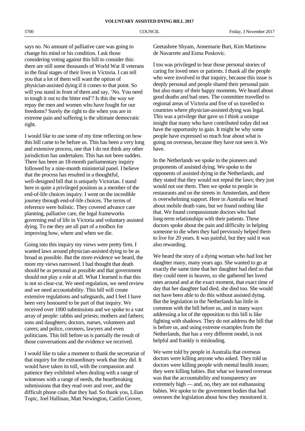says no. No amount of palliative care was going to change his mind or his condition. I ask those considering voting against this bill to consider this: there are still some thousands of World War II veterans in the final stages of their lives in Victoria. I can tell you that a lot of them will want the option of physician-assisted dying if it comes to that point. So will you stand in front of them and say, 'No. You need to tough it out to the bitter end'? Is this the way we repay the men and women who have fought for our freedoms? Surely the right to die when you are in extreme pain and suffering is the ultimate democratic right.

I would like to use some of my time reflecting on how this bill came to be before us. This has been a very long and extensive process, one that I do not think any other jurisdiction has undertaken. This has not been sudden. There has been an 18-month parliamentary inquiry followed by a nine-month ministerial panel. I believe that the process has resulted in a thoughtful, well-designed bill that is uniquely Victorian. I stand here in quite a privileged position as a member of the end-of-life choices inquiry. I went on the incredible journey through end-of-life choices. The terms of reference were holistic. They covered advance care planning, palliative care, the legal frameworks governing end of life in Victoria and voluntary assisted dying. To me they are all part of a toolbox for improving how, where and when we die.

Going into this inquiry my views were pretty firm. I wanted laws around physician-assisted dying to be as broad as possible. But the more evidence we heard, the more my views narrowed. I had thought that death should be as personal as possible and that government should not play a role at all. What I learned is that this is not so clear-cut. We need regulation, we need review and we need accountability. This bill will create extensive regulations and safeguards, and I feel I have been very honoured to be part of that inquiry. We received over 1000 submissions and we spoke to a vast array of people: rabbis and priests; mothers and fathers; sons and daughters; doctors, nurses, volunteers and carers; and police, coroners, lawyers and even politicians. This bill before us is partially the result of those conversations and the evidence we received.

I would like to take a moment to thank the secretariat of that inquiry for the extraordinary work that they did. It would have taken its toll, with the compassion and patience they exhibited when dealing with a range of witnesses with a range of needs, the heartbreaking submissions that they read over and over, and the difficult phone calls that they had. So thank you, Lilian Topic, Joel Hallinan, Matt Newington, Caitlin Grover,

Geetashree Shyam, Annemarie Burt, Kim Martinow de Navarrete and Esma Poskovic.

I too was privileged to hear those personal stories of caring for loved ones or patients. I thank all the people who were involved in that inquiry, because this issue is deeply personal and people shared their personal pain but also many of their happy moments. We heard about good deaths and bad ones. The committee travelled to regional areas of Victoria and five of us travelled to countries where physician-assisted dying was legal. This was a privilege that gave us I think a unique insight that many who have contributed today did not have the opportunity to gain. It might be why some people have expressed so much fear about what is going on overseas, because they have not seen it. We have.

In the Netherlands we spoke to the pioneers and proponents of assisted dying. We spoke to the opponents of assisted dying in the Netherlands, and they stated that they would not repeal the laws; they just would not use them. Then we spoke to people in restaurants and on the streets in Amsterdam, and there is overwhelming support. Here in Australia we heard about mobile death vans, but we found nothing like that. We found compassionate doctors who had long-term relationships with their patients. These doctors spoke about the pain and difficulty in helping someone to die when they had previously helped them to live for 20 years. It was painful, but they said it was also rewarding.

We heard the story of a dying woman who had lost her daughter many, many years ago. She wanted to go at exactly the same time that her daughter had died so that they could meet in heaven, so she gathered her loved ones around and at the exact moment, that exact time of day that her daughter had died, she died too. She would not have been able to do this without assisted dying. But the legislation in the Netherlands has little in common with the bill before us, and in many ways addressing a lot of the opposition to this bill is like fighting with shadows. They do not address the bill that is before us, and using extreme examples from the Netherlands, that has a very different model, is not helpful and frankly is misleading.

We were told by people in Australia that overseas doctors were killing anyone who asked. They told us doctors were killing people with mental health issues; they were killing babies. But what we learned overseas was that the accountability and transparency are extremely high — and, no, they are not euthanasing babies. We spoke to the government bodies that had overseen the legislation about how they monitored it.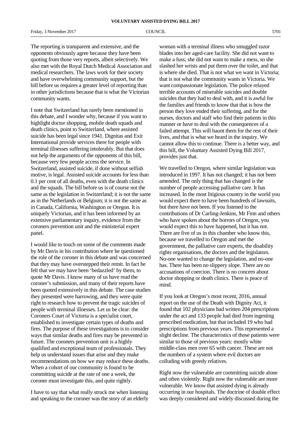Friday, 3 November 2017 COUNCIL COUNCIL 5701

The reporting is transparent and extensive, and the opponents obviously agree because they have been quoting from those very reports, albeit selectively. We also met with the Royal Dutch Medical Association and medical researchers. The laws work for their society and have overwhelming community support, but the bill before us requires a greater level of reporting than in other jurisdictions because that is what the Victorian community wants.

I note that Switzerland has rarely been mentioned in this debate, and I wonder why, because if you want to highlight doctor shopping, mobile death squads and death clinics, point to Switzerland, where assisted suicide has been legal since 1941. Dignitas and Exit International provide services there for people with terminal illnesses suffering intolerably. But that does not help the arguments of the opponents of this bill, because very few people access the service. In Switzerland, assisted suicide, if done without selfish motive, is legal. Assisted suicide accounts for less than 0.1 per cent of all deaths, even with the death clinics and the squads. The bill before us is of course not the same as the legislation in Switzerland; it is not the same as in the Netherlands or Belgium; it is not the same as in Canada, California, Washington or Oregon. It is uniquely Victorian, and it has been informed by an extensive parliamentary inquiry, evidence from the coroners prevention unit and the ministerial expert panel.

I would like to touch on some of the comments made by Mr Davis in his contribution where he questioned the role of the coroner in this debate and was concerned that they may have overstepped their remit. In fact he felt that we may have been 'bedazzled' by them, to quote Mr Davis. I know many of us have read the coroner's submission, and many of their reports have been quoted extensively in this debate. The case studies they presented were harrowing, and they were quite right to research how to prevent the tragic suicides of people with terminal illnesses. Let us be clear: the Coroners Court of Victoria is a specialist court, established to investigate certain types of deaths and fires. The purpose of these investigations is to consider ways that similar deaths and fires may be prevented in future. The coroners prevention unit is a highly qualified and exceptional team of professionals. They help us understand issues that arise and they make recommendations on how we may reduce these deaths. When a cohort of our community is found to be committing suicide at the rate of one a week, the coroner must investigate this, and quite rightly.

I have to say that what really struck me when listening and speaking to the coroner was the story of an elderly

woman with a terminal illness who smuggled razor blades into her aged-care facility. She did not want to make a fuss; she did not want to make a mess, so she slashed her wrists and put them over the toilet, and that is where she died. That is not what we want in Victoria; that is not what the community wants in Victoria. We want compassionate legislation. The police relayed terrible accounts of miserable suicides and double suicides that they had to deal with, and it is awful for the families and friends to know that that is how the person they love ended their suffering, and for the nurses, doctors and staff who find their patients in this manner or have to deal with the consequences of a failed attempt. This will haunt them for the rest of their lives, and that is what we heard in the inquiry. We cannot allow this to continue. There is a better way, and this bill, the Voluntary Assisted Dying Bill 2017, provides just that.

We travelled to Oregon, where similar legislation was introduced in 1997. It has not changed; it has not been amended. The only thing that has changed is the number of people accessing palliative care. It has increased. In the most litigious country in the world you would expect there to have been hundreds of lawsuits, but there have not been. If you listened to the contributions of Dr Carling-Jenkins, Mr Finn and others who have spoken about the horrors of Oregon, you would expect this to have happened, but it has not. There are five of us in this chamber who know this, because we travelled to Oregon and met the government, the palliative care experts, the disability rights organisations, the doctors and the legislators. No-one wanted to change the legislation, and no-one has. There has been no slippery slope. There are no accusations of coercion. There is no concern about doctor shopping or death clinics. There is peace of mind.

If you look at Oregon's most recent, 2016, annual report on the use of the Death with Dignity Act, it found that 102 physicians had written 204 prescriptions under the act and 133 people had died from ingesting prescribed medication, but that included 19 who had prescriptions from previous years. This represented a slight decline. The characteristics of those patients were similar to those of previous years: mostly white middle-class men over 65 with cancer. These are not the numbers of a system where evil doctors are colluding with greedy relatives.

Right now the vulnerable are committing suicide alone and often violently. Right now the vulnerable are more vulnerable. We know that assisted dying is already occurring in our hospitals. The doctrine of double effect was deeply considered and widely discussed during the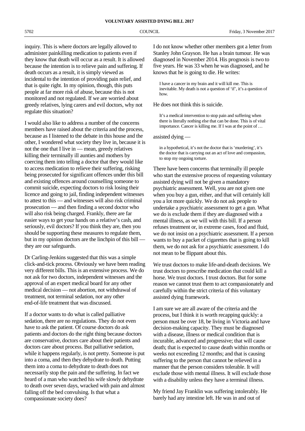inquiry. This is where doctors are legally allowed to administer painkilling medication to patients even if they know that death will occur as a result. It is allowed because the intention is to relieve pain and suffering. If death occurs as a result, it is simply viewed as incidental to the intention of providing pain relief, and that is quite right. In my opinion, though, this puts people at far more risk of abuse, because this is not monitored and not regulated. If we are worried about greedy relatives, lying carers and evil doctors, why not regulate this situation?

I would also like to address a number of the concerns members have raised about the criteria and the process, because as I listened to the debate in this house and the other, I wondered what society they live in, because it is not the one that I live in — mean, greedy relatives killing their terminally ill aunties and mothers by coercing them into telling a doctor that they would like to access medication to relieve their suffering, risking being prosecuted for significant offences under this bill and existing offences around counselling someone to commit suicide, expecting doctors to risk losing their licence and going to jail, finding independent witnesses to attest to this — and witnesses will also risk criminal prosecution — and then finding a second doctor who will also risk being charged. Frankly, there are far easier ways to get your hands on a relative's cash, and seriously, evil doctors? If you think they are, then you should be supporting these measures to regulate them, but in my opinion doctors are the linchpin of this bill – they are our safeguards.

Dr Carling-Jenkins suggested that this was a simple click-and-tick process. Obviously we have been reading very different bills. This is an extensive process. We do not ask for two doctors, independent witnesses and the approval of an expert medical board for any other medical decision — not abortion, not withdrawal of treatment, not terminal sedation, nor any other end-of-life treatment that was discussed.

If a doctor wants to do what is called palliative sedation, there are no regulations. They do not even have to ask the patient. Of course doctors do ask patients and doctors do the right thing because doctors are conservative, doctors care about their patients and doctors care about process. But palliative sedation, while it happens regularly, is not pretty. Someone is put into a coma, and then they dehydrate to death. Putting them into a coma to dehydrate to death does not necessarily stop the pain and the suffering. In fact we heard of a man who watched his wife slowly dehydrate to death over seven days, wracked with pain and almost falling off the bed convulsing. Is that what a compassionate society does?

I do not know whether other members got a letter from Stanley John Grayson. He has a brain tumour. He was diagnosed in November 2014. His prognosis is two to five years. He was 33 when he was diagnosed, and he knows that he is going to die. He writes:

I have a cancer in my brain and it will kill me. This is inevitable. My death is not a question of 'if', it's a question of how.

He does not think this is suicide.

It's a medical intervention to stop pain and suffering when there is literally nothing else that can be done. This is of vital importance. Cancer is killing me. If I was at the point of …

assisted dying —

in a hypothetical, it's not the doctor that is 'murdering', it's the doctor that is carrying out an act of love and compassion, to stop my ongoing torture.

There have been concerns that terminally ill people who start the extensive process of requesting voluntary assisted dying will not be given a mandatory psychiatric assessment. Well, you are not given one when you buy a gun, either, and that will certainly kill you a lot more quickly. We do not ask people to undertake a psychiatric assessment to get a gun. What we do is exclude them if they are diagnosed with a mental illness, as we will with this bill. If a person refuses treatment or, in extreme cases, food and fluid, we do not insist on a psychiatric assessment. If a person wants to buy a packet of cigarettes that is going to kill them, we do not ask for a psychiatric assessment. I do not mean to be flippant about this.

We trust doctors to make life-and-death decisions. We trust doctors to prescribe medication that could kill a horse. We trust doctors. I trust doctors. But for some reason we cannot trust them to act compassionately and carefully within the strict criteria of this voluntary assisted dying framework.

I am sure we are all aware of the criteria and the process, but I think it is worth recapping quickly: a person must be over 18, be living in Victoria and have decision-making capacity. They must be diagnosed with a disease, illness or medical condition that is incurable, advanced and progressive; that will cause death; that is expected to cause death within months or weeks not exceeding 12 months; and that is causing suffering to the person that cannot be relieved in a manner that the person considers tolerable. It will exclude those with mental illness. It will exclude those with a disability unless they have a terminal illness.

My friend Jay Franklin was suffering intolerably. He barely had any intestine left. He was in and out of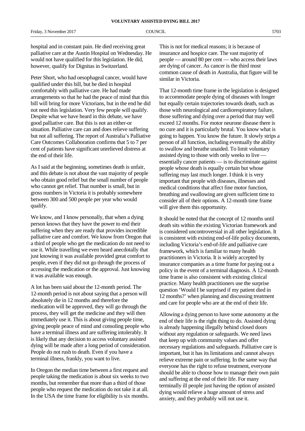hospital and in constant pain. He died receiving great palliative care at the Austin Hospital on Wednesday. He would not have qualified for this legislation. He did, however, qualify for Dignitas in Switzerland.

Peter Short, who had oesophageal cancer, would have qualified under this bill, but he died in hospital comfortably with palliative care. He had made arrangements so that he had the peace of mind that this bill will bring for more Victorians, but in the end he did not need this legislation. Very few people will qualify. Despite what we have heard in this debate, we have good palliative care. But this is not an either-or situation. Palliative care can and does relieve suffering but not all suffering. The report of Australia's Palliative Care Outcomes Collaboration confirms that 5 to 7 per cent of patients have significant unrelieved distress at the end of their life.

As I said at the beginning, sometimes death is unfair, and this debate is not about the vast majority of people who obtain good relief but the small number of people who cannot get relief. That number is small, but in gross numbers in Victoria it is probably somewhere between 300 and 500 people per year who would qualify.

We know, and I know personally, that when a dying person knows that they have the power to end their suffering when they are ready that provides incredible palliative care and comfort. We know from Oregon that a third of people who get the medication do not need to use it. While travelling we even heard anecdotally that just knowing it was available provided great comfort to people, even if they did not go through the process of accessing the medication or the approval. Just knowing it was available was enough.

A lot has been said about the 12-month period. The 12-month period is not about saying that a person will absolutely die in 12 months and therefore the medication will be approved, they will go through the process, they will get the medicine and they will then immediately use it. This is about giving people time, giving people peace of mind and consoling people who have a terminal illness and are suffering intolerably. It is likely that any decision to access voluntary assisted dying will be made after a long period of consideration. People do not rush to death. Even if you have a terminal illness, frankly, you want to live.

In Oregon the median time between a first request and people taking the medication is about six weeks to two months, but remember that more than a third of those people who request the medication do not take it at all. In the USA the time frame for eligibility is six months.

This is not for medical reasons; it is because of insurance and hospice care. The vast majority of people — around 80 per cent — who access their laws are dying of cancer. As cancer is the third most common cause of death in Australia, that figure will be similar in Victoria.

That 12-month time frame in the legislation is designed to accommodate people dying of diseases with longer but equally certain trajectories towards death, such as those with neurological and cardiorespiratory failure, those suffering and dying over a period that may well exceed 12 months. For motor neurone disease there is no cure and it is particularly brutal. You know what is going to happen. You know the future. It slowly strips a person of all function, including eventually the ability to swallow and breathe unaided. To limit voluntary assisted dying to those with only weeks to live essentially cancer patients — is to discriminate against people whose death is equally certain but whose suffering may last much longer. I think it is very important that people with diseases, illnesses and medical conditions that affect fine motor function, breathing and swallowing are given sufficient time to consider all of their options. A 12-month time frame will give them this opportunity.

It should be noted that the concept of 12 months until death sits within the existing Victorian framework and is considered uncontroversial in all other legislation. It is consistent with existing end-of-life policy documents, including Victoria's end-of-life and palliative care framework, which is familiar to many health practitioners in Victoria. It is widely accepted by insurance companies as a time frame for paying out a policy in the event of a terminal diagnosis. A 12-month time frame is also consistent with existing clinical practice. Many health practitioners use the surprise question 'Would I be surprised if my patient died in 12 months?' when planning and discussing treatment and care for people who are at the end of their life.

Allowing a dying person to have some autonomy at the end of their life is the right thing to do. Assisted dying is already happening illegally behind closed doors without any regulation or safeguards. We need laws that keep up with community values and offer necessary regulations and safeguards. Palliative care is important, but it has its limitations and cannot always relieve extreme pain or suffering. In the same way that everyone has the right to refuse treatment, everyone should be able to choose how to manage their own pain and suffering at the end of their life. For many terminally ill people just having the option of assisted dying would relieve a huge amount of stress and anxiety, and they probably will not use it.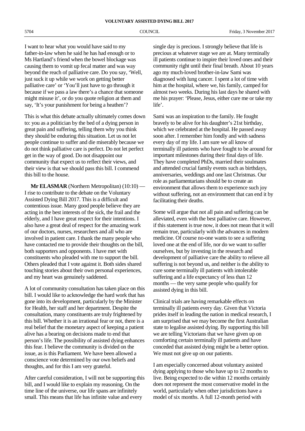I want to hear what you would have said to my father-in-law when he said he has had enough or to Ms Hartland's friend when the bowel blockage was causing them to vomit up fecal matter and was way beyond the reach of palliative care. Do you say, 'Well, just suck it up while we work on getting better palliative care' or 'You'll just have to go through it because if we pass a law there's a chance that someone might misuse it', or do you quote religion at them and say, 'It's your punishment for being a heathen'?

This is what this debate actually ultimately comes down to: you as a politician by the bed of a dying person in great pain and suffering, telling them why you think they should be enduring this situation. Let us not let people continue to suffer and die miserably because we do not think palliative care is perfect. Do not let perfect get in the way of good. Do not disappoint our community that expect us to reflect their views, and their view is that we should pass this bill. I commend this bill to the house.

**Mr ELASMAR** (Northern Metropolitan) (10:10) — I rise to contribute to the debate on the Voluntary Assisted Dying Bill 2017. This is a difficult and contentious issue. Many good people believe they are acting in the best interests of the sick, the frail and the elderly, and I have great respect for their intentions. I also have a great deal of respect for the amazing work of our doctors, nurses, researchers and all who are involved in patient care. I thank the many people who have contacted me to provide their thoughts on the bill, both supporters and opponents. I have met with constituents who pleaded with me to support the bill. Others pleaded that I vote against it. Both sides shared touching stories about their own personal experiences, and my heart was genuinely saddened.

A lot of community consultation has taken place on this bill. I would like to acknowledge the hard work that has gone into its development, particularly by the Minister for Health, her staff and her department. Despite the consultation, many constituents are truly frightened by this bill. Whether it is an irrational fear or not, there is a real belief that the monetary aspect of keeping a patient alive has a bearing on decisions made to end that person's life. The possibility of assisted dying enhances this fear. I believe the community is divided on the issue, as is this Parliament. We have been allowed a conscience vote determined by our own beliefs and thoughts, and for this I am very grateful.

After careful consideration, I will not be supporting this bill, and I would like to explain my reasoning. On the time line of the universe, our life spans are infinitely small. This means that life has infinite value and every

single day is precious. I strongly believe that life is precious at whatever stage we are at. Many terminally ill patients continue to inspire their loved ones and their community right until their final breath. About 10 years ago my much-loved brother-in-law Sami was diagnosed with lung cancer. I spent a lot of time with him at the hospital, where we, his family, camped for almost two weeks. During his last days he shared with me his prayer: 'Please, Jesus, either cure me or take my life'.

Sami was an inspiration to the family. He fought bravely to be alive for his daughter's 21st birthday, which we celebrated at the hospital. He passed away soon after. I remember him fondly and with sadness every day of my life. I am sure we all know of terminally ill patients who have fought to be around for important milestones during their final days of life. They have completed PhDs, married their soulmates and attended crucial family events such as birthdays, anniversaries, weddings and one last Christmas. Our role as parliamentarians should be to create an environment that allows them to experience such joy without suffering, not an environment that can end it by facilitating their deaths.

Some will argue that not all pain and suffering can be alleviated, even with the best palliative care. However, if this statement is true now, it does not mean that it will remain true, particularly with the advances in modern medicine. Of course no-one wants to see a suffering loved one at the end of life, nor do we want to suffer ourselves, but by investing in the research and development of palliative care the ability to relieve all suffering is not beyond us, and neither is the ability to cure some terminally ill patients with intolerable suffering and a life expectancy of less than 12 months — the very same people who qualify for assisted dying in this bill.

Clinical trials are having remarkable effects on terminally ill patients every day. Given that Victoria prides itself in leading the nation in medical research, I am surprised that we may become the first Australian state to legalise assisted dying. By supporting this bill we are telling Victorians that we have given up on comforting certain terminally ill patients and have conceded that assisted dying might be a better option. We must not give up on our patients.

I am especially concerned about voluntary assisted dying applying to those who have up to 12 months to live. Being expected to die within 12 months certainly does not represent the most conservative model in the world, particularly when other jurisdictions have a model of six months. A full 12-month period with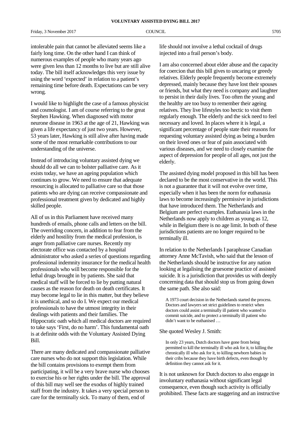intolerable pain that cannot be alleviated seems like a fairly long time. On the other hand I can think of numerous examples of people who many years ago were given less than 12 months to live but are still alive today. The bill itself acknowledges this very issue by using the word 'expected' in relation to a patient's remaining time before death. Expectations can be very wrong.

I would like to highlight the case of a famous physicist and cosmologist. I am of course referring to the great Stephen Hawking. When diagnosed with motor neurone disease in 1963 at the age of 21, Hawking was given a life expectancy of just two years. However, 53 years later, Hawking is still alive after having made some of the most remarkable contributions to our understanding of the universe.

Instead of introducing voluntary assisted dying we should do all we can to bolster palliative care. As it exists today, we have an ageing population which continues to grow. We need to ensure that adequate resourcing is allocated to palliative care so that those patients who are dying can receive compassionate and professional treatment given by dedicated and highly skilled people.

All of us in this Parliament have received many hundreds of emails, phone calls and letters on the bill. The overriding concern, in addition to fear from the elderly and hostility from the medical profession, is anger from palliative care nurses. Recently my electorate office was contacted by a hospital administrator who asked a series of questions regarding professional indemnity insurance for the medical health professionals who will become responsible for the lethal drugs brought in by patients. She said that medical staff will be forced to lie by putting natural causes as the reason for death on death certificates. It may become legal to lie in this matter, but they believe it is unethical, and so do I. We expect our medical professionals to have the utmost integrity in their dealings with patients and their families. The Hippocratic oath which all medical doctors are required to take says 'First, do no harm'. This fundamental oath is at definite odds with the Voluntary Assisted Dying Bill.

There are many dedicated and compassionate palliative care nurses who do not support this legislation. While the bill contains provisions to exempt them from participating, it will be a very brave nurse who chooses to exercise his or her rights under the bill. The approval of this bill may well see the exodus of highly trained staff from the industry. It takes a very special person to care for the terminally sick. To many of them, end of

life should not involve a lethal cocktail of drugs injected into a frail person's body.

I am also concerned about elder abuse and the capacity for coercion that this bill gives to uncaring or greedy relatives. Elderly people frequently become extremely depressed, mainly because they have lost their spouses or friends, but what they need is company and laughter to persist in their daily lives. Too often the young and the healthy are too busy to remember their ageing relatives. They live lifestyles too hectic to visit them regularly enough. The elderly and the sick need to feel necessary and loved. In places where it is legal, a significant percentage of people state their reasons for requesting voluntary assisted dying as being a burden on their loved ones or fear of pain associated with various diseases, and we need to closely examine the aspect of depression for people of all ages, not just the elderly.

The assisted dying model proposed in this bill has been declared to be the most conservative in the world. This is not a guarantee that it will not evolve over time, especially when it has been the norm for euthanasia laws to become increasingly permissive in jurisdictions that have introduced them. The Netherlands and Belgium are perfect examples. Euthanasia laws in the Netherlands now apply to children as young as 12, while in Belgium there is no age limit. In both of these jurisdictions patients are no longer required to be terminally ill.

In relation to the Netherlands I paraphrase Canadian attorney Anne McTavish, who said that the lesson of the Netherlands should be instructive for any nation looking at legalising the gruesome practice of assisted suicide. It is a jurisdiction that provides us with deeply concerning data that should stop us from going down the same path. She also said:

A 1973 court decision in the Netherlands started the process. Doctors and lawyers set strict guidelines to restrict when doctors could assist a terminally ill patient who wanted to commit suicide, and to protect a terminally ill patient who didn't want to be euthanised …

### She quoted Wesley J. Smith:

In only 23 years, Dutch doctors have gone from being permitted to kill the terminally ill who ask for it, to killing the chronically ill who ask for it, to killing newborn babies in their cribs because they have birth defects, even though by definition they cannot ask for it.

It is not unknown for Dutch doctors to also engage in involuntary euthanasia without significant legal consequence, even though such activity is officially prohibited. These facts are staggering and an instructive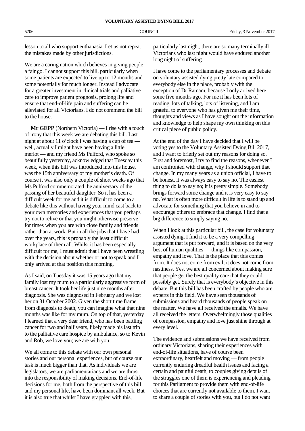lesson to all who support euthanasia. Let us not repeat the mistakes made by other jurisdictions.

We are a caring nation which believes in giving people a fair go. I cannot support this bill, particularly when some patients are expected to live up to 12 months and some potentially for much longer. Instead I advocate for a greater investment in clinical trials and palliative care to improve patient prognosis, prolong life and ensure that end-of-life pain and suffering can be alleviated for all Victorians. I do not commend the bill to the house.

**Mr GEPP** (Northern Victoria) — I rise with a touch of irony that this week we are debating this bill. Last night at about 11 o'clock I was having a cup of tea well, actually I might have been having a little merlot — and my friend Ms Pulford, who spoke so beautifully yesterday, acknowledged that Tuesday this week, when this bill was introduced into this house, was the 15th anniversary of my mother's death. Of course it was also only a couple of short weeks ago that Ms Pulford commemorated the anniversary of the passing of her beautiful daughter. So it has been a difficult week for me and it is difficult to come to a debate like this without having your mind cast back to your own memories and experiences that you perhaps try not to relive or that you might otherwise preserve for times when you are with close family and friends rather than at work. But in all the jobs that I have had over the years, this is probably the least difficult workplace of them all. Whilst it has been especially difficult for me, I must admit that I have been wrestling with the decision about whether or not to speak and I only arrived at that position this morning.

As I said, on Tuesday it was 15 years ago that my family lost my mum to a particularly aggressive form of breast cancer. It took her life just nine months after diagnosis. She was diagnosed in February and we lost her on 31 October 2002. Given the short time frame from diagnosis to death, you can imagine what that nine months was like for my mum. On top of that, yesterday I learned that a very dear friend, who has been battling cancer for two and half years, likely made his last trip to the palliative care hospice by ambulance, so to Kevin and Rob, we love you; we are with you.

We all come to this debate with our own personal stories and our personal experiences, but of course our task is much bigger than that. As individuals we are legislators, we are parliamentarians and we are thrust into the responsibility of making decisions. End-of-life decisions for me, both from the perspective of this bill and my personal life, have been dominant all week. But it is also true that whilst I have grappled with this,

particularly last night, there are so many terminally ill Victorians who last night would have endured another long night of suffering.

I have come to the parliamentary processes and debate on voluntary assisted dying pretty late compared to everybody else in the place, probably with the exception of Dr Ratnam, because I only arrived here some five months ago. For me it has been lots of reading, lots of talking, lots of listening, and I am grateful to everyone who has given me their time, thoughts and views as I have sought out the information and knowledge to help shape my own thinking on this critical piece of public policy.

At the end of the day I have decided that I will be voting yes to the Voluntary Assisted Dying Bill 2017, and I want to briefly set out my reasons for doing so. First and foremost, I try to find the reasons, whenever I am confronted with change, why I should support that change. In my many years as a union official, I have to be honest, it was always easy to say no. The easiest thing to do is to say no; it is pretty simple. Somebody brings forward some change and it is very easy to say no. What is often more difficult in life is to stand up and advocate for something that you believe in and to encourage others to embrace that change. I find that a big difference to simply saying no.

When I look at this particular bill, the case for voluntary assisted dying, I find it to be a very compelling argument that is put forward, and it is based on the very best of human qualities — things like compassion, empathy and love. That is the place that this comes from. It does not come from evil; it does not come from nastiness. Yes, we are all concerned about making sure that people get the best quality care that they could possibly get. Surely that is everybody's objective in this debate. But this bill has been crafted by people who are experts in this field. We have seen thousands of submissions and heard thousands of people speak on the matter. We have all received the emails. We have all received the letters. Overwhelmingly those qualities of compassion, empathy and love just shine through at every level.

The evidence and submissions we have received from ordinary Victorians, sharing their experiences with end-of-life situations, have of course been extraordinary, heartfelt and moving — from people currently enduring dreadful health issues and facing a certain and painful death, to couples giving details of the struggles one of them is experiencing and pleading for this Parliament to provide them with end-of-life choices that are currently not available to them. I want to share a couple of stories with you, but I do not want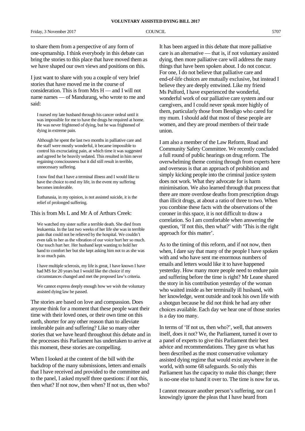to share them from a perspective of any form of one-upmanship. I think everybody in this debate can bring the stories to this place that have moved them as we have shaped our own views and positions on this.

I just want to share with you a couple of very brief stories that have moved me in the course of consideration. This is from Mrs H — and I will not name names — of Mandurang, who wrote to me and said:

I nursed my late husband through his cancer ordeal until it was impossible for me to have the drugs he required at home. He was never frightened of dying, but he was frightened of dying in extreme pain.

Although he spent the last two months in palliative care and the staff were mostly wonderful, it became impossible to control his excruciating pain, at which time it was suggested and agreed he be heavily sedated. This resulted in him never regaining consciousness but it did still result in terrible, unnecessary suffering.

I now find that I have a terminal illness and I would like to have the choice to end my life, in the event my suffering becomes intolerable.

Euthanasia, in my opinion, is not assisted suicide, it is the relief of prolonged suffering.

### This is from Ms L and Mr A of Arthurs Creek:

We watched my sister suffer a terrible death. She died from leukaemia. In the last two weeks of her life she was in terrible pain that could not be relieved by the hospital. We couldn't even talk to her as the vibration of our voice hurt her so much. Our touch hurt her. Her husband kept wanting to hold her hand to comfort her but she kept asking him not to as she was in so much pain.

I have multiple sclerosis, my life is great, I have known I have had MS for 20 years but I would like the choice if my circumstances changed and met the proposed law's criteria.

We cannot express deeply enough how we wish the voluntary assisted dying law be passed.

The stories are based on love and compassion. Does anyone think for a moment that these people want their time with their loved ones, or their own time on this earth, shorter for any other reason than to alleviate intolerable pain and suffering? Like so many other stories that we have heard throughout this debate and in the processes this Parliament has undertaken to arrive at this moment, these stories are compelling.

When I looked at the content of the bill with the backdrop of the many submissions, letters and emails that I have received and provided to the committee and to the panel, I asked myself three questions: if not this, then what? If not now, then when? If not us, then who?

It has been argued in this debate that more palliative care is an alternative — that is, if not voluntary assisted dying, then more palliative care will address the many things that have been spoken about. I do not concur. For one, I do not believe that palliative care and end-of-life choices are mutually exclusive, but instead I believe they are deeply entwined. Like my friend Ms Pulford, I have experienced the wonderful, wonderful work of our palliative care system and our caregivers, and I could never speak more highly of them, particularly those from Bendigo who cared for my mum. I should add that most of these people are women, and they are proud members of their trade union.

I am also a member of the Law Reform, Road and Community Safety Committee. We recently concluded a full round of public hearings on drug reform. The overwhelming theme coming through from experts here and overseas is that an approach of prohibition and simply kicking people into the criminal justice system does not work. What they advocate for is harm minimisation. We also learned through that process that there are more overdose deaths from prescription drugs than illicit drugs, at about a ratio of three to two. When you combine these facts with the observations of the coroner in this space, it is not difficult to draw a correlation. So I am comfortable when answering the question, 'If not this, then what?' with 'This is the right approach for this matter'.

As to the timing of this reform, and if not now, then when, I dare say that many of the people I have spoken with and who have sent me enormous numbers of emails and letters would like it to have happened yesterday. How many more people need to endure pain and suffering before the time is right? Mr Leane shared the story in his contribution yesterday of the woman who waited inside as her terminally ill husband, with her knowledge, went outside and took his own life with a shotgun because he did not think he had any other choices available. Each day we hear one of those stories is a day too many.

In terms of 'If not us, then who?', well, that answers itself, does it not? We, the Parliament, turned it over to a panel of experts to give this Parliament their best advice and recommendations. They gave us what has been described as the most conservative voluntary assisted dying regime that would exist anywhere in the world, with some 68 safeguards. So only this Parliament has the capacity to make this change; there is no-one else to hand it over to. The time is now for us.

I cannot measure another person's suffering, nor can I knowingly ignore the pleas that I have heard from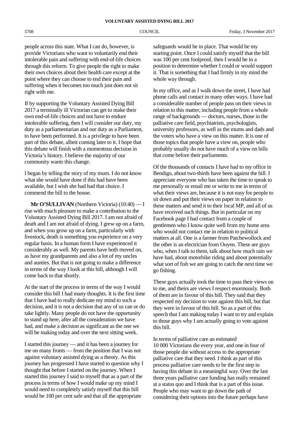people across this state. What I can do, however, is provide Victorians who want to voluntarily end their intolerable pain and suffering with end-of-life choices through this reform. To give people the right to make their own choices about their health care except at the point where they can choose to end their pain and suffering when it becomes too much just does not sit right with me.

If by supporting the Voluntary Assisted Dying Bill 2017 a terminally ill Victorian can get to make their own end-of-life choices and not have to endure intolerable suffering, then I will consider our duty, my duty as a parliamentarian and our duty as a Parliament, to have been performed. It is a privilege to have been part of this debate, albeit coming later to it. I hope that this debate will finish with a momentous decision in Victoria's history. I believe the majority of our community wants this change.

I began by telling the story of my mum. I do not know what she would have done if this had have been available, but I wish she had had that choice. I commend the bill to the house.

**Mr O'SULLIVAN** (Northern Victoria) (10:40) — I rise with much pleasure to make a contribution to the Voluntary Assisted Dying Bill 2017. I am not afraid of death and I am not afraid of dying. I grew up on a farm, and when you grow up on a farm, particularly with livestock, death is something you experience on a very regular basis. In a human form I have experienced it considerably as well. My parents have both moved on, as have my grandparents and also a lot of my uncles and aunties. But that is not going to make a difference in terms of the way I look at this bill, although I will come back to that shortly.

At the start of the process in terms of the way I would consider this bill I had many thoughts. It is the first time that I have had to really dedicate my mind to such a decision, and it is not a decision that any of us can or do take lightly. Many people do not have the opportunity to stand up here, after all the consideration we have had, and make a decision as significant as the one we will be making today and over the next sitting week.

I started this journey — and it has been a journey for me on many fronts — from the position that I was not against voluntary assisted dying as a theory. As this journey has progressed I have started to question why I thought that before I started on the journey. When I started this journey I said to myself that as a part of the process in terms of how I would make up my mind I would need to completely satisfy myself that this bill would be 100 per cent safe and that all the appropriate

safeguards would be in place. That would be my starting point. Once I could satisfy myself that the bill was 100 per cent foolproof, then I would be in a position to determine whether I could or would support it. That is something that I had firmly in my mind the whole way through.

In my office, and as I walk down the street, I have had phone calls and contact in many other ways. I have had a considerable number of people pass on their views in relation to this matter, including people from a whole range of backgrounds — doctors, nurses, those in the palliative care field, psychiatrists, psychologists, university professors, as well as the mums and dads and the voters who have a view on this matter. It is one of those topics that people have a view on, people who probably usually do not have much of a view on bills that come before their parliaments.

Of the thousands of contacts I have had to my office in Bendigo, about two-thirds have been against the bill. I appreciate everyone who has taken the time to speak to me personally or email me or write to me in terms of what their views are, because it is not easy for people to sit down and put their views on paper in relation to these matters and send it to their local MP, and all of us have received such things. But in particular on my Facebook page I had contact from a couple of gentlemen who I know quite well from my home area who would not contact me in relation to political matters at all. One is a farmer from Patchewollock and the other is an electrician from Ouyen. These are guys who, when I talk to them, talk about how much rain we have had, about motorbike riding and about potentially what sort of fish we are going to catch the next time we go fishing.

These guys actually took the time to pass their views on to me, and theirs are views I respect enormously. Both of them are in favour of this bill. They said that they respected my decision to vote against this bill, but that they were in favour of this bill. So as a part of this speech that I am making today I want to try and explain to those guys why I am actually going to vote against this bill.

In terms of palliative care an estimated 10 000 Victorians die every year, and one in four of those people die without access to the appropriate palliative care that they need. I think as part of this process palliative care needs to be the first step in having this debate in a meaningful way. Over the last three years palliative care funding has really remained at a status quo and I think that is a part of this issue. People who may want to go down the path of considering their options into the future perhaps have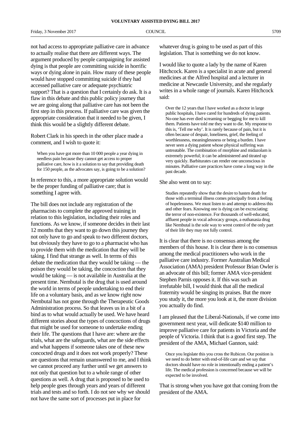Friday, 3 November 2017 COUNCIL 6709

not had access to appropriate palliative care in advance to actually realise that there are different ways. The argument produced by people campaigning for assisted dying is that people are committing suicide in horrific ways or dying alone in pain. How many of these people would have stopped committing suicide if they had accessed palliative care or adequate psychiatric support? That is a question that I certainly do ask. It is a flaw in this debate and this public policy journey that we are going along that palliative care has not been the first step in this process. If palliative care was given the appropriate consideration that it needed to be given, I think this would be a slightly different debate.

Robert Clark in his speech in the other place made a comment, and I wish to quote it:

When you have got more than 10 000 people a year dying in needless pain because they cannot get access to proper palliative care, how is it a solution to say that providing death for 150 people, as the advocates say, is going to be a solution?

In reference to this, a more appropriate solution would be the proper funding of palliative care; that is something I agree with.

The bill does not include any registration of the pharmacists to complete the approved training in relation to this legislation, including their roles and functions. As we know, if someone decides in their last 12 months that they want to go down this journey they not only have to go and speak to two different doctors, but obviously they have to go to a pharmacist who has to provide them with the medication that they will be taking. I find that strange as well. In terms of this debate the medication that they would be taking — the poison they would be taking, the concoction that they would be taking — is not available in Australia at the present time. Nembutal is the drug that is used around the world in terms of people undertaking to end their life on a voluntary basis, and as we know right now Nembutal has not gone through the Therapeutic Goods Administration process. So that leaves us in a bit of a bind as to what would actually be used. We have heard different stories about the types of concoctions of drugs that might be used for someone to undertake ending their life. The questions that I have are: where are the trials, what are the safeguards, what are the side effects and what happens if someone takes one of these new concocted drugs and it does not work properly? These are questions that remain unanswered to me, and I think we cannot proceed any further until we get answers to not only that question but to a whole range of other questions as well. A drug that is proposed to be used to help people goes through years and years of different trials and tests and so forth. I do not see why we should not have the same sort of processes put in place for

whatever drug is going to be used as part of this legislation. That is something we do not know.

I would like to quote a lady by the name of Karen Hitchcock. Karen is a specialist in acute and general medicines at the Alfred hospital and a lecturer in medicine at Newcastle University, and she regularly writes in a whole range of journals. Karen Hitchcock said:

Over the 12 years that I have worked as a doctor in large public hospitals, I have cared for hundreds of dying patients. No-one has ever died screaming or begging for me to kill them. Patients have told me they want to die. My response to this is, 'Tell me why'. It is rarely because of pain, but it is often because of despair, loneliness, grief, the feeling of worthlessness, meaninglessness or being a burden. I have never seen a dying patient whose physical suffering was untreatable. The combination of morphine and midazolam is extremely powerful; it can be administered and titrated up very quickly. Barbiturates can render one unconscious in minutes. Palliative care practices have come a long way in the past decade.

### She also went on to say:

Studies repeatedly show that the desire to hasten death for those with a terminal illness comes principally from a feeling of hopelessness. We must listen to and attempt to address this and other fears. Knowing one is dying can be excruciating: the terror of non-existence. For thousands of well-educated, affluent people in vocal advocacy groups, a euthanasia drug like Nembutal is the sole way to wrest control of the only part of their life they may not fully control.

It is clear that there is no consensus among the members of this house. It is clear there is no consensus among the medical practitioners who work in the palliative care industry. Former Australian Medical Association (AMA) president Professor Brian Owler is an advocate of this bill; former AMA vice-president Stephen Parnis opposes it. If this was such an irrefutable bill, I would think that all the medical fraternity would be singing its praises. But the more you study it, the more you look at it, the more division you actually do find.

I am pleased that the Liberal-Nationals, if we come into government next year, will dedicate \$140 million to improve palliative care for patients in Victoria and the people of Victoria. I think that is a good first step. The president of the AMA, Michael Gannon, said:

Once you legislate this you cross the Rubicon. Our position is we need to do better with end-of-life care and we say that doctors should have no role in intentionally ending a patient's life. The medical profession is concerned because we will be expected to be involved.

That is strong when you have got that coming from the president of the AMA.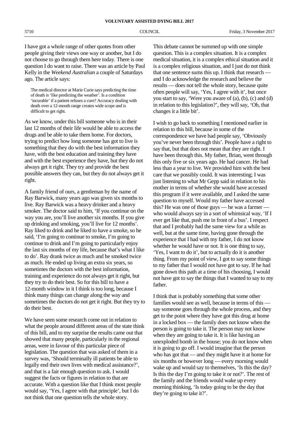I have got a whole range of other quotes from other people giving their views one way or another, but I do not choose to go through them here today. There is one question I do want to raise. There was an article by Paul Kelly in the *Weekend Australian* a couple of Saturdays ago. The article says:

The medical director at Marie Curie says predicting the time of death is 'like predicting the weather'. Is a condition 'incurable' if a patient refuses a cure? Accuracy dealing with death over a 12-month range creates wide scope and is difficult to get right.

As we know, under this bill someone who is in their last 12 months of their life would be able to access the drugs and be able to take them home. For doctors, trying to predict how long someone has got to live is something that they do with the best information they have, with the best education and training they have and with the best experience they have, but they do not always get it right. They try and provide the best possible answers they can, but they do not always get it right.

A family friend of ours, a gentleman by the name of Ray Barwick, many years ago was given six months to live. Ray Barwick was a heavy drinker and a heavy smoker. The doctor said to him, 'If you continue on the way you are, you'll live another six months. If you give up drinking and smoking, you'll live for 12 months'. Ray liked to drink and he liked to have a smoke, so he said, 'I'm going to continue to smoke, I'm going to continue to drink and I'm going to particularly enjoy the last six months of my life, because that's what I like to do'. Ray drank twice as much and he smoked twice as much. He ended up living an extra six years, so sometimes the doctors with the best information, training and experience do not always get it right, but they try to do their best. So for this bill to have a 12-month window in it I think is too long, because I think many things can change along the way and sometimes the doctors do not get it right. But they try to do their best.

We have seen some research come out in relation to what the people around different areas of the state think of this bill, and to my surprise the results came out that showed that many people, particularly in the regional areas, were in favour of this particular piece of legislation. The question that was asked of them in a survey was, 'Should terminally ill patients be able to legally end their own lives with medical assistance?', and that is a fair enough question to ask. I would suggest the facts or figures in relation to that are accurate. With a question like that I think most people would say, 'Yes, I agree with that principle', but I do not think that one question tells the whole story.

This debate cannot be summed up with one simple question. This is a complex situation. It is a complex medical situation, it is a complex ethical situation and it is a complex religious situation, and I just do not think that one sentence sums this up. I think that research and I do acknowledge the research and believe the results — does not tell the whole story, because quite often people will say, 'Yes, I agree with it', but once you start to say, 'Were you aware of (a), (b), (c) and (d) in relation to this legislation?', they will say, 'Oh, that changes it a little bit'.

I wish to go back to something I mentioned earlier in relation to this bill, because in some of the correspondence we have had people say, 'Obviously you've never been through this'. People have a right to say that, but that does not mean that they are right. I have been through this. My father, Brian, went through this only five or six years ago. He had cancer. He had less than a year to live. We provided him with the best care that we possibly could. It was interesting; I was just listening to what Mr Gepp said in relation to his mother in terms of whether she would have accessed this program if it were available, and I asked the same question to myself. Would my father have accessed this? He was one of those guys — he was a farmer who would always say in a sort of whimsical way, 'If I ever get like that, push me in front of a bus'. I respect that and I probably had the same view for a while as well, but at the same time, having gone through the experience that I had with my father, I do not know whether he would have or not. It is one thing to say, 'Yes, I want to do it', but to actually do it is another thing. From my point of view, I got to say some things to my father that I would not have got to say. If he had gone down this path at a time of his choosing, I would not have got to say the things that I wanted to say to my father.

I think that is probably something that some other families would see as well, because in terms of this say someone goes through the whole process, and they get to the point where they have got this drug at home in a locked box — the family does not know when the person is going to take it. The person may not know when they are going to take it. It is like having an unexploded bomb in the house; you do not know when it is going to go off. I would imagine that the person who has got that — and they might have it at home for six months or however long — every morning would wake up and would say to themselves, 'Is this the day? Is this the day I'm going to take it or not?'. The rest of the family and the friends would wake up every morning thinking, 'Is today going to be the day that they're going to take it?'.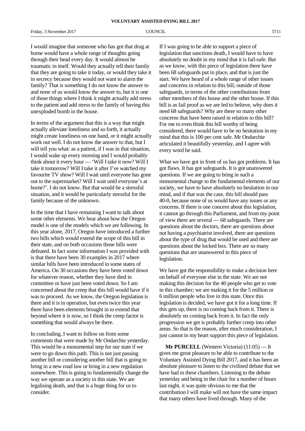I would imagine that someone who has got that drug at home would have a whole range of thoughts going through their head every day. It would almost be traumatic in itself. Would they actually tell their family that they are going to take it today, or would they take it in secrecy because they would not want to alarm the family? That is something I do not know the answer to and none of us would know the answer to, but it is one of those things where I think it might actually add stress to the patient and add stress to the family of having this unexploded bomb in the house.

In terms of the argument that this is a way that might actually alleviate loneliness and so forth, it actually might create loneliness on one hand, or it might actually work out well. I do not know the answer to that, but I will tell you what: as a patient, if I was in that situation, I would wake up every morning and I would probably think about it every hour — 'Will I take it now? Will I take it tomorrow? Will I take it after I've watched my favourite TV show? Will I wait until everyone has gone out to the supermarket? Will I wait until everyone's at home?'. I do not know. But that would be a stressful situation, and it would be particularly stressful for the family because of the unknown.

In the time that I have remaining I want to talk about some other elements. We hear about how the Oregon model is one of the models which we are following. In this year alone, 2017, Oregon have introduced a further two bills which would extend the scope of this bill in their state, and on both occasions those bills were defeated. In fact some information I was provided with is that there have been 30 examples in 2017 where similar bills have been introduced in some states of America. On 30 occasions they have been voted down for whatever reason, whether they have died in committee or have just been voted down. So I am concerned about the creep that this bill would have if it was to proceed. As we know, the Oregon legislation is there and it is in operation, but even twice this year there have been elements brought in to extend that beyond where it is now, so I think the creep factor is something that would always be there.

In concluding, I want to follow on from some comments that were made by Mr Ondarchie yesterday. This would be a monumental step for our state if we were to go down this path. This is not just passing another bill or considering another bill that is going to bring in a new road law or bring in a new regulation somewhere. This is going to fundamentally change the way we operate as a society in this state. We are legalising death, and that is a huge thing for us to consider.

If I was going to be able to support a piece of legislation that sanctions death, I would have to have absolutely no doubt in my mind that it is fail-safe. But as we know, with this piece of legislation there have been 68 safeguards put in place, and that is just the start. We have heard of a whole range of other issues and concerns in relation to this bill, outside of those safeguards, in terms of the other contributions from other members of this house and the other house. If this bill is as fail proof as we are led to believe, why does it need 68 safeguards? Why are there so many other concerns that have been raised in relation to this bill? For me to even think this bill worthy of being considered, there would have to be no hesitation in my mind that this is 100 per cent safe. Mr Ondarchie articulated it beautifully yesterday, and I agree with every word he said.

What we have got in front of us has got problems. It has got flaws. It has got safeguards. It is got unanswered questions. If we are going to bring in such a monumental change to the fundamental elements of our society, we have to have absolutely no hesitation in our mind, and if that was the case, this bill should pass 40-0, because none of us would have any issues or any concerns. If there is one concern about this legislation, it cannot go through this Parliament, and from my point of view there are several — 68 safeguards. There are questions about the doctors, there are questions about not having a psychiatrist involved, there are questions about the type of drug that would be used and there are questions about the locked box. There are so many questions that are unanswered in this piece of legislation.

We have got the responsibility to make a decision here on behalf of everyone else in the state. We are not making this decision for the 40 people who get to vote in this chamber; we are making it for the 5 million or 6 million people who live in this state. Once this legislation is decided, we have got it for a long time. If this gets up, there is no coming back from it. There is absolutely no coming back from it. In fact the only progression we get is probably further creep into other areas. So that is the reason, after much consideration, I just cannot in my heart support this piece of legislation.

**Mr PURCELL** (Western Victoria) (11:05) — It gives me great pleasure to be able to contribute to the Voluntary Assisted Dying Bill 2017, and it has been an absolute pleasure to listen to the civilised debate that we have had in these chambers. Listening to the debate yesterday and being in the chair for a number of hours last night, it was quite obvious to me that the contribution I will make will not have the same impact that many others have lived through. Many of the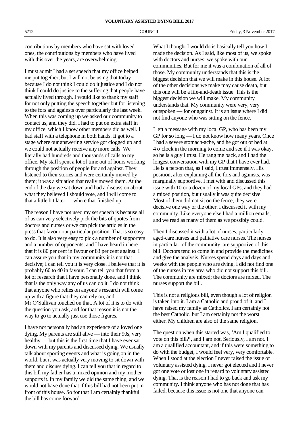contributions by members who have sat with loved ones, the contributions by members who have lived with this over the years, are overwhelming.

I must admit I had a set speech that my office helped me put together, but I will not be using that today because I do not think I could do it justice and I do not think I could do justice to the suffering that people have actually lived through. I would like to thank my staff for not only putting the speech together but for listening to the fors and againsts over particularly the last week. When this was coming up we asked our community to contact us, and they did. I had to put on extra staff in my office, which I know other members did as well. I had staff with a telephone in both hands. It got to a stage where our answering service got clogged up and we could not actually receive any more calls. We literally had hundreds and thousands of calls to my office. My staff spent a lot of time out of hours working through the position of people for and against. They listened to their stories and were certainly moved by them; it was a situation that really moved them. At the end of the day we sat down and had a discussion about what they believed I should vote, and I will come to that a little bit later — where that finished up.

The reason I have not used my set speech is because all of us can very selectively pick the bits of quotes from doctors and nurses or we can pick the articles in the press that favour our particular position. That is so easy to do. It is also very easy to pick a number of supporters and a number of opponents, and I have heard in here that it is 80 per cent in favour or 83 per cent against. I can assure you that in my community it is not that decisive; I can tell you it is very close. I believe that it is probably 60 to 40 in favour. I can tell you that from a lot of research that I have personally done, and I think that is the only way any of us can do it. I do not think that anyone who relies on anyone's research will come up with a figure that they can rely on, and Mr O'Sullivan touched on that. A lot of it is to do with the question you ask, and for that reason it is not the way to go to actually just use those figures.

I have not personally had an experience of a loved one dying. My parents are still alive — into their 90s, very healthy — but this is the first time that I have ever sat down with my parents and discussed dying. We usually talk about sporting events and what is going on in the world, but it was actually very moving to sit down with them and discuss dying. I can tell you that in regard to this bill my father has a mixed opinion and my mother supports it. In my family we did the same thing, and we would not have done that if this bill had not been put in front of this house. So for that I am certainly thankful the bill has come forward.

What I thought I would do is basically tell you how I made the decision. As I said, like most of us, we spoke with doctors and nurses; we spoke with our communities. But for me it was a combination of all of those. My community understands that this is the biggest decision that we will make in this house. A lot of the other decisions we make may cause death, but this one will be a life-and-death issue. This is the biggest decision we will make. My community understands that. My community were very, very outspoken — for or against. It is an issue where I did not find anyone who was sitting on the fence.

I left a message with my local GP, who has been my GP for so long — I do not know how many years. Once I had a severe stomach-ache, and he got out of bed at 4 o'clock in the morning to come and see if I was okay, so he is a guy I trust. He rang me back, and I had the longest conversation with my GP that I have ever had. He is a person that, as I said, I trust immensely. His position, after explaining all the fors and againsts, was marginally supportive. I met with and discussed this issue with 10 or a dozen of my local GPs, and they had a mixed position, but usually it was quite decisive. Most of them did not sit on the fence; they were decisive one way or the other. I discussed it with my community. Like everyone else I had a million emails, and we read as many of them as we possibly could.

Then I discussed it with a lot of nurses, particularly aged-care nurses and palliative care nurses. The nurses in particular, of the community, are supportive of this bill. Doctors tend to come in and provide the medicines and give the analysis. Nurses spend days and days and weeks with the people who are dying. I did not find one of the nurses in my area who did not support this bill. The community are mixed; the doctors are mixed. The nurses support the bill.

This is not a religious bill, even though a lot of religion is taken into it. I am a Catholic and proud of it, and I have raised my family as Catholics. I am certainly not the best Catholic, but I am certainly not the worst either. My children are also of the same religion.

The question when this started was, 'Am I qualified to vote on this bill?', and I am not. Seriously, I am not. I am a qualified accountant, and if this were something to do with the budget, I would feel very, very comfortable. When I stood at the election I never raised the issue of voluntary assisted dying. I never got elected and I never got one vote or lost one in regard to voluntary assisted dying. That is the reason I had to go back and ask my community. I think anyone who has not done that has failed, because this issue is not one that anyone can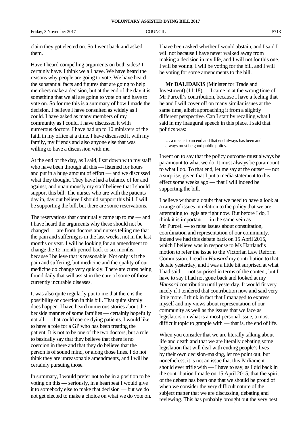claim they got elected on. So I went back and asked them.

Have I heard compelling arguments on both sides? I certainly have. I think we all have. We have heard the reasons why people are going to vote. We have heard the substantial facts and figures that are going to help members make a decision, but at the end of the day it is something that we all are going to vote on and have to vote on. So for me this is a summary of how I made the decision. I believe I have consulted as widely as I could. I have asked as many members of my community as I could. I have discussed it with numerous doctors. I have had up to 10 ministers of the faith in my office at a time. I have discussed it with my family, my friends and also anyone else that was willing to have a discussion with me.

At the end of the day, as I said, I sat down with my staff who have been through all this — listened for hours and put in a huge amount of effort — and we discussed what they thought. They have had a balance of for and against, and unanimously my staff believe that I should support this bill. The nurses who are with the patients day in, day out believe I should support this bill. I will be supporting the bill, but there are some reservations.

The reservations that continually came up to me — and I have heard the arguments why these should not be changed — are from doctors and nurses telling me that the pain and suffering is in the last weeks, not in the last months or year. I will be looking for an amendment to change the 12-month period back to six months, because I believe that is reasonable. Not only is it the pain and suffering, but medicine and the quality of our medicine do change very quickly. There are cures being found daily that will assist in the cure of some of those currently incurable diseases.

It was also quite regularly put to me that there is the possibility of coercion in this bill. That quite simply does happen. I have heard numerous stories about the bedside manner of some families — certainly hopefully not all — that could coerce dying patients. I would like to have a role for a GP who has been treating the patient. It is not to be one of the two doctors, but a role to basically say that they believe that there is no coercion in there and that they do believe that the person is of sound mind, or along those lines. I do not think they are unreasonable amendments, and I will be certainly pursuing those.

In summary, I would prefer not to be in a position to be voting on this — seriously, in a heartbeat I would give it to somebody else to make that decision — but we do not get elected to make a choice on what we do vote on. I have been asked whether I would abstain, and I said I will not because I have never walked away from making a decision in my life, and I will not for this one. I will be voting. I will be voting for the bill, and I will be voting for some amendments to the bill.

**Mr DALIDAKIS** (Minister for Trade and Investment)  $(11:18)$  — I came in at the wrong time of Mr Purcell's contribution, because I have a feeling that he and I will cover off on many similar issues at the same time, albeit approaching it from a slightly different perspective. Can I start by recalling what I said in my inaugural speech in this place. I said that politics was:

… a means to an end and that end always has been and always must be good public policy.

I went on to say that the policy outcome must always be paramount to what we do. It must always be paramount to what I do. To that end, let me say at the outset — not a surprise, given that I put a media statement to this effect some weeks ago — that I will indeed be supporting the bill.

I believe without a doubt that we need to have a look at a range of issues in relation to the policy that we are attempting to legislate right now. But before I do, I think it is important — in the same vein as Mr Purcell — to raise issues about consultation, coordination and representation of our community. Indeed we had this debate back on 15 April 2015, which I believe was in response to Ms Hartland's motion to refer the issue to the Victorian Law Reform Commission. I read in *Hansard* my contribution to that debate yesterday, and I was a little bit surprised at what I had said — not surprised in terms of the content, but I have to say I had not gone back and looked at my *Hansard* contribution until yesterday. It would fit very nicely if I tendered that contribution now and said very little more. I think in fact that I managed to express myself and my views about representation of our community as well as the issues that we face as legislators on what is a most personal issue, a most difficult topic to grapple with — that is, the end of life.

When you consider that we are literally talking about life and death and that we are literally debating some legislation that will deal with ending people's lives by their own decision-making, let me point out, but nonetheless, it is not an issue that this Parliament should ever trifle with — I have to say, as I did back in the contribution I made on 15 April 2015, that the spirit of the debate has been one that we should be proud of when we consider the very difficult nature of the subject matter that we are discussing, debating and reviewing. This has probably brought out the very best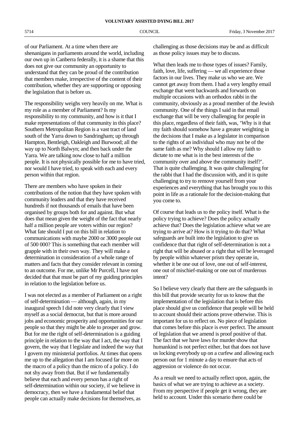of our Parliament. At a time when there are shenanigans in parliaments around the world, including our own up in Canberra federally, it is a shame that this does not give our community an opportunity to understand that they can be proud of the contribution that members make, irrespective of the content of their contribution, whether they are supporting or opposing the legislation that is before us.

The responsibility weighs very heavily on me. What is my role as a member of Parliament? Is my responsibility to my community, and how is it that I make representations of that community in this place? Southern Metropolitan Region is a vast tract of land south of the Yarra down to Sandringham; up through Hampton, Bentleigh, Oakleigh and Burwood; all the way up to North Balwyn; and then back under the Yarra. We are talking now close to half a million people. It is not physically possible for me to have tried, nor would I have tried, to speak with each and every person within that region.

There are members who have spoken in their contributions of the notion that they have spoken with community leaders and that they have received hundreds if not thousands of emails that have been organised by groups both for and against. But what does that mean given the weight of the fact that nearly half a million people are voters within our region? What fate should I put on this bill in relation to communications with maybe 2000 or 3000 people out of 500 000? This is something that each member will grapple with in their own way. They will make a determination in consideration of a whole range of matters and facts that they consider relevant in coming to an outcome. For me, unlike Mr Purcell, I have not decided that that must be part of my guiding principles in relation to the legislation before us.

I was not elected as a member of Parliament on a right of self-determination — although, again, in my inaugural speech I did note very clearly that I view myself as a social democrat, but that is more around jobs and economic prosperity and opportunities for our people so that they might be able to prosper and grow. But for me the right of self-determination is a guiding principle in relation to the way that I act, the way that I govern, the way that I legislate and indeed the way that I govern my ministerial portfolios. At times that opens me up to the allegation that I am focused far more on the macro of a policy than the micro of a policy. I do not shy away from that. But if we fundamentally believe that each and every person has a right of self-determination within our society, if we believe in democracy, then we have a fundamental belief that people can actually make decisions for themselves, as

challenging as those decisions may be and as difficult as those policy issues may be to discuss.

What then leads me to those types of issues? Family, faith, love, life, suffering — we all experience those factors in our lives. They make us who we are. We cannot get away from them. I had a very lengthy email exchange that went backwards and forwards on multiple occasions with an orthodox rabbi in the community, obviously as a proud member of the Jewish community. One of the things I said in that email exchange that will be very challenging for people in this place, regardless of their faith, was, 'Why is it that my faith should somehow have a greater weighting in the decisions that I make as a legislator in comparison to the rights of an individual who may not be of the same faith as me? Why should I allow my faith to dictate to me what is in the best interests of the community over and above the community itself?'. That is quite challenging. It was quite challenging for the rabbi that I had the discussion with, and it is quite challenging to try to remove yourself from your experiences and everything that has brought you to this point in life as a rationale for the decision-making that you come to.

Of course that leads us to the policy itself. What is the policy trying to achieve? Does the policy actually achieve that? Does the legislation achieve what we are trying to arrive at? How is it trying to do that? What safeguards are built into the legislation to give us confidence that that right of self-determination is not a right that will be abused or a right that will be leveraged by people within whatever prism they operate in, whether it be one out of love, one out of self-interest, one out of mischief-making or one out of murderous intent?

So I believe very clearly that there are the safeguards in this bill that provide security for us to know that the implementation of the legislation that is before this place should give us confidence that people will be held to account should their actions prove otherwise. This is important for us to reflect on. No piece of legislation that comes before this place is ever perfect. The amount of legislation that we amend is proof positive of that. The fact that we have laws for murder show that humankind is not perfect either, but that does not have us locking everybody up on a curfew and allowing each person out for 1 minute a day to ensure that acts of aggression or violence do not occur.

As a result we need to actually reflect upon, again, the basics of what we are trying to achieve as a society. From my perspective if people get it wrong, they are held to account. Under this scenario there could be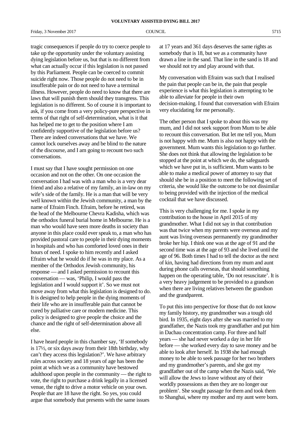Friday, 3 November 2017 COUNCIL 6715

tragic consequences if people do try to coerce people to take up the opportunity under the voluntary assisting dying legislation before us, but that is no different from what can actually occur if this legislation is not passed by this Parliament. People can be coerced to commit suicide right now. Those people do not need to be in insufferable pain or do not need to have a terminal illness. However, people do need to know that there are laws that will punish them should they transgress. This legislation is no different. So of course it is important to ask, if you come from a very policy-pure perspective in terms of that right of self-determination, what is it that has helped me to get to the position where I am confidently supportive of the legislation before us? There are indeed conversations that we have. We cannot lock ourselves away and be blind to the nature of the discourse, and I am going to recount two such conversations.

I must say that I have sought permission on one occasion and not on the other. On one occasion the conversation I had was with a man who is a very dear friend and also a relative of my family, an in-law on my wife's side of the family. He is a man that will be very well known within the Jewish community, a man by the name of Efraim Finch. Efraim, before he retired, was the head of the Melbourne Chevra Kadisha, which was the orthodox funeral burial home in Melbourne. He is a man who would have seen more deaths in society than anyone in this place could ever speak to, a man who has provided pastoral care to people in their dying moments in hospitals and who has comforted loved ones in their hours of need. I spoke to him recently and I asked Efraim what he would do if he was in my place. As a member of the Orthodox Jewish community, his response — and I asked permission to recount this conversation — was, 'Philip, I would pass the legislation and I would support it'. So we must not move away from what this legislation is designed to do. It is designed to help people in the dying moments of their life who are in insufferable pain that cannot be cured by palliative care or modern medicine. This policy is designed to give people the choice and the chance and the right of self-determination above all else.

I have heard people in this chamber say, 'If somebody is 17½, or six days away from their 18th birthday, why can't they access this legislation?'. We have arbitrary rules across society and 18 years of age has been the point at which we as a community have bestowed adulthood upon people in the community — the right to vote, the right to purchase a drink legally in a licensed venue, the right to drive a motor vehicle on your own. People that are 18 have the right. So yes, you could argue that somebody that presents with the same issues

at 17 years and 361 days deserves the same rights as somebody that is 18, but we as a community have drawn a line in the sand. That line in the sand is 18 and we should not try and play around with that.

My conversation with Efraim was such that I realised the pain that people can be in, the pain that people experience is what this legislation is attempting to be able to alleviate for people in their own decision-making. I found that conversation with Efraim very elucidating for me personally.

The other person that I spoke to about this was my mum, and I did not seek support from Mum to be able to recount this conversation. But let me tell you, Mum is not happy with me. Mum is also not happy with the government. Mum wants this legislation to go further. She does not think that allowing the legislation to be stopped at the point at which we do, the safeguards which we have put in, is sufficient. Mum wants to be able to make a medical power of attorney to say that should she be in a position to meet the following set of criteria, she would like the outcome to be not dissimilar to being provided with the injection of the medical cocktail that we have discussed.

This is very challenging for me. I spoke in my contribution to the house in April 2015 of my grandmother. What I did not say in that contribution was that twice when my parents were overseas and my aunt was living overseas permanently my grandmother broke her hip. I think one was at the age of 91 and the second time was at the age of 93 and she lived until the age of 96. Both times I had to tell the doctor as the next of kin, having had directions from my mum and aunt during phone calls overseas, that should something happen on the operating table, 'Do not resuscitate'. It is a very heavy judgement to be provided to a grandson when there are living relatives between the grandson and the grandparent.

To put this into perspective for those that do not know my family history, my grandmother was a tough old bird. In 1935, eight days after she was married to my grandfather, the Nazis took my grandfather and put him in Dachau concentration camp. For three and half years — she had never worked a day in her life before — she worked every day to save money and be able to look after herself. In 1938 she had enough money to be able to seek passage for her two brothers and my grandmother's parents, and she got my grandfather out of the camp when the Nazis said, 'We will allow the Jews to leave without any of their worldly possessions as then they are no longer our problem'. She sought passage for them and took them to Shanghai, where my mother and my aunt were born.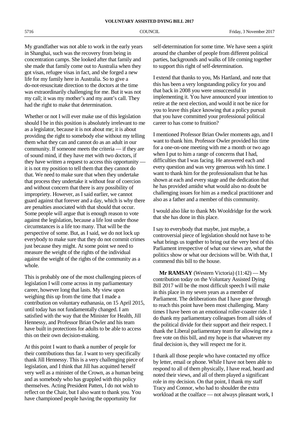My grandfather was not able to work in the early years in Shanghai, such was the recovery from being in concentration camps. She looked after that family and she made that family come out to Australia when they got visas, refugee visas in fact, and she forged a new life for my family here in Australia. So to give a do-not-resuscitate direction to the doctors at the time was extraordinarily challenging for me. But it was not my call; it was my mother's and my aunt's call. They had the right to make that determination.

Whether or not I will ever make use of this legislation should I be in this position is absolutely irrelevant to me as a legislator, because it is not about me; it is about providing the right to somebody else without my telling them what they can and cannot do as an adult in our community. If someone meets the criteria — if they are of sound mind, if they have met with two doctors, if they have written a request to access this opportunity it is not my position to tell them that they cannot do that. We need to make sure that when they undertake that process they undertake it without fear of coercion and without concern that there is any possibility of impropriety. However, as I said earlier, we cannot guard against that forever and a day, which is why there are penalties associated with that should that occur. Some people will argue that is enough reason to vote against the legislation, because a life lost under those circumstances is a life too many. That will be the perspective of some. But, as I said, we do not lock up everybody to make sure that they do not commit crimes just because they might. At some point we need to measure the weight of the rights of the individual against the weight of the rights of the community as a whole.

This is probably one of the most challenging pieces of legislation I will come across in my parliamentary career, however long that lasts. My view upon weighing this up from the time that I made a contribution on voluntary euthanasia, on 15 April 2015, until today has not fundamentally changed. I am satisfied with the way that the Minister for Health, Jill Hennessy, and Professor Brian Owler and his team have built in protections for adults to be able to access this on their own decision-making.

At this point I want to thank a number of people for their contributions thus far. I want to very specifically thank Jill Hennessy. This is a very challenging piece of legislation, and I think that Jill has acquitted herself very well as a minister of the Crown, as a human being and as somebody who has grappled with this policy themselves. Acting President Patten, I do not wish to reflect on the Chair, but I also want to thank you. You have championed people having the opportunity for

self-determination for some time. We have seen a spirit around the chamber of people from different political parties, backgrounds and walks of life coming together to support this right of self-determination.

I extend that thanks to you, Ms Hartland, and note that this has been a very longstanding policy for you and that back in 2008 you were unsuccessful in implementing it. You have announced your intention to retire at the next election, and would it not be nice for you to leave this place knowing that a policy pursuit that you have committed your professional political career to has come to fruition?

I mentioned Professor Brian Owler moments ago, and I want to thank him. Professor Owler provided his time for a one-on-one meeting with me a month or two ago when I put to him a range of concerns that I had, difficulties that I was facing. He answered each and every question and was very generous with his time. I want to thank him for the professionalism that he has shown at each and every stage and the dedication that he has provided amidst what would also no doubt be challenging issues for him as a medical practitioner and also as a father and a member of this community.

I would also like to thank Ms Wooldridge for the work that she has done in this place.

I say to everybody that maybe, just maybe, a controversial piece of legislation should not have to be what brings us together to bring out the very best of this Parliament irrespective of what our views are, what the politics show or what our decisions will be. With that, I commend this bill to the house.

**Mr RAMSAY** (Western Victoria) (11:42) — My contribution today on the Voluntary Assisted Dying Bill 2017 will be the most difficult speech I will make in this place in my seven years as a member of Parliament. The deliberations that I have gone through to reach this point have been most challenging. Many times I have been on an emotional roller-coaster ride. I do thank my parliamentary colleagues from all sides of the political divide for their support and their respect. I thank the Liberal parliamentary team for allowing me a free vote on this bill, and my hope is that whatever my final decision is, they will respect me for it.

I thank all those people who have contacted my office by letter, email or phone. While I have not been able to respond to all of them physically, I have read, heard and noted their views, and all of them played a significant role in my decision. On that point, I thank my staff Tracy and Connor, who had to shoulder the extra workload at the coalface — not always pleasant work, I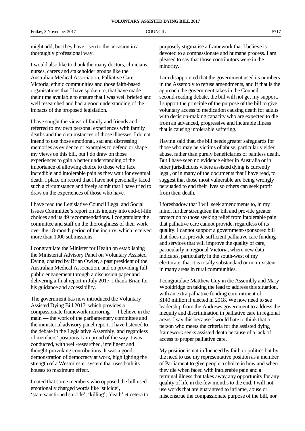might add, but they have risen to the occasion in a thoroughly professional way.

I would also like to thank the many doctors, clinicians, nurses, carers and stakeholder groups like the Australian Medical Association, Palliative Care Victoria, ethnic communities and those faith-based organisations that I have spoken to, that have made their time available to ensure that I was well briefed and well researched and had a good understanding of the impacts of the proposed legislation.

I have sought the views of family and friends and referred to my own personal experiences with family deaths and the circumstances of those illnesses. I do not intend to use those emotional, sad and distressing memories as evidence or examples to defend or shape my views on this bill, but I do draw on those experiences to gain a better understanding of the importance of allowing choice to those who face incredible and intolerable pain as they wait for eventual death. I place on record that I have not personally faced such a circumstance and freely admit that I have tried to draw on the experiences of those who have.

I have read the Legislative Council Legal and Social Issues Committee's report on its inquiry into end-of-life choices and its 49 recommendations. I congratulate the committee and staff on the thoroughness of their work over the 18-month period of the inquiry, which received more than 1000 submissions.

I congratulate the Minister for Health on establishing the Ministerial Advisory Panel on Voluntary Assisted Dying, chaired by Brian Owler, a past president of the Australian Medical Association, and on providing full public engagement through a discussion paper and delivering a final report in July 2017. I thank Brian for his guidance and accessibility.

The government has now introduced the Voluntary Assisted Dying Bill 2017, which provides a compassionate framework mirroring — I believe in the main — the work of the parliamentary committee and the ministerial advisory panel report. I have listened to the debate in the Legislative Assembly, and regardless of members' positions I am proud of the way it was conducted, with well-researched, intelligent and thought-provoking contributions. It was a good demonstration of democracy at work, highlighting the strength of a Westminster system that uses both its houses to maximum effect.

I noted that some members who opposed the bill used emotionally charged words like 'suicide', 'state-sanctioned suicide', 'killing', 'death' et cetera to

purposely stigmatise a framework that I believe is devoted to a compassionate and humane process. I am pleased to say that those contributors were in the minority.

I am disappointed that the government used its numbers in the Assembly to refuse amendments, and if that is the approach the government takes in the Council second-reading debate, the bill will not get my support. I support the principle of the purpose of the bill to give voluntary access to medication causing death for adults with decision-making capacity who are expected to die from an advanced, progressive and incurable illness that is causing intolerable suffering.

Having said that, the bill needs greater safeguards for those who may be victims of abuse, particularly elder abuse, rather than purely beneficiaries of painless death. But I have seen no evidence either in Australia or in other jurisdictions where assisted dying is currently legal, or in many of the documents that I have read, to suggest that those most vulnerable are being wrongly persuaded to end their lives so others can seek profit from their death.

I foreshadow that I will seek amendments to, in my mind, further strengthen the bill and provide greater protection to those seeking relief from intolerable pain that palliative care cannot provide, regardless of its quality. I cannot support a government-sponsored bill that does not provide sufficient palliative care funding and services that will improve the quality of care, particularly in regional Victoria, where new data indicates, particularly in the south-west of my electorate, that it is totally substandard or non-existent in many areas in rural communities.

I congratulate Matthew Guy in the Assembly and Mary Wooldridge on taking the lead to address this situation, with an extra palliative funding commitment of \$140 million if elected in 2018. We now need to see leadership from the Andrews government to address the inequity and discrimination in palliative care in regional areas. I say this because I would hate to think that a person who meets the criteria for the assisted dying framework seeks assisted death because of a lack of access to proper palliative care.

My position is not influenced by faith or politics but by the need to use my representative position as a member of Parliament to give people a choice in how and when they die when faced with intolerable pain and a terminal illness that takes away any opportunity for any quality of life in the few months to the end. I will not use words that are guaranteed to inflame, abuse or misconstrue the compassionate purpose of the bill, nor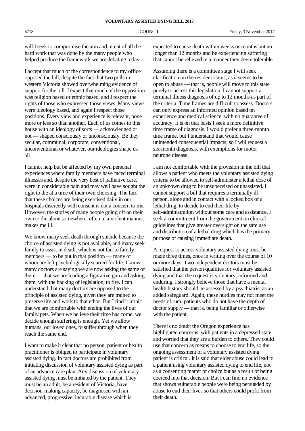will I seek to compromise the aim and intent of all the hard work that was done by the many people who helped produce the framework we are debating today.

I accept that much of the correspondence to my office opposed the bill, despite the fact that two polls in western Victoria showed overwhelming evidence of support for the bill. I expect that much of the opposition was religion based or ethnic based, and I respect the rights of those who expressed those views. Many views were ideology based, and again I respect those positions. Every view and experience is relevant, none more or less so than another. Each of us comes to this house with an ideology of sorts — acknowledged or not — shaped consciously or unconsciously. Be they secular, communal, corporate, conventional, unconventional or whatever, our ideologies shape us all.

I cannot help but be affected by my own personal experiences where family members have faced terminal illnesses and, despite the very best of palliative care, were in considerable pain and may well have sought the right to die at a time of their own choosing. The fact that these choices are being exercised daily in our hospitals discreetly with consent is not a concern to me. However, the stories of many people going off on their own to die alone somewhere, often in a violent manner, makes me ill.

We know many seek death through suicide because the choice of assisted dying is not available, and many seek family to assist in death, which is not fair to family members — to be put in that position — many of whom are left psychologically scarred for life. I know many doctors are saying we are now asking the same of them — that we are loading a figurative gun and asking them, with the backing of legislation, to fire. I can understand that many doctors are opposed to the principle of assisted dying, given they are trained to preserve life and work to that ethos. But I find it ironic that we are comfortable with ending the lives of our family pets. When we believe their time has come, we decide enough suffering is enough. Yet we allow humans, our loved ones, to suffer through when they reach the same end.

I want to make it clear that no person, patient or health practitioner is obliged to participate in voluntary assisted dying. In fact doctors are prohibited from initiating discussion of voluntary assisted dying as part of an advance care plan. Any discussion of voluntary assisted dying must be initiated by the patient. They must be an adult, be a resident of Victoria, have decision-making capacity, be diagnosed with an advanced, progressive, incurable disease which is

expected to cause death within weeks or months but no longer than 12 months and be experiencing suffering that cannot be relieved in a manner they deem tolerable.

Assuming there is a committee stage I will seek clarification on the resident status, as it seems to be open to abuse — that is, people will move to this state purely to access this legislation. I cannot support a terminal illness diagnosis of up to 12 months as part of the criteria. Time frames are difficult to assess. Doctors can only express an informed opinion based on experience and medical science, with no guarantee of accuracy. It is on that basis I seek a more definitive time frame of diagnosis. I would prefer a three-month time frame, but I understand that would cause unintended consequential impacts, so I will request a six-month diagnosis, with exemptions for motor neurone disease.

I am not comfortable with the provision in the bill that allows a patient who meets the voluntary assisted dying criteria to be allowed to self-administer a lethal dose of an unknown drug to be unsupervised or unassisted. I cannot support a bill that requires a terminally ill person, alone and in contact with a locked box of a lethal drug, to decide to end their life by self-administration without some care and assistance. I seek a commitment from the government on clinical guidelines that give greater oversight on the safe use and distribution of a lethal drug which has the primary purpose of causing immediate death.

A request to access voluntary assisted dying must be made three times, once in writing over the course of 10 or more days. Two independent doctors must be satisfied that the person qualifies for voluntary assisted dying and that the request is voluntary, informed and enduring. I strongly believe those that have a mental health history should be assessed by a psychiatrist as an added safeguard. Again, these hurdles may not meet the needs of rural patients who do not have the depth of doctor supply — that is, being familiar or otherwise with the patient.

There is no doubt the Oregon experience has highlighted concerns, with patients in a depressed state and worried that they are a burden to others. They could use that concern as means to choose to end life, so the ongoing assessment of a voluntary assisted dying patient is critical. It is said that elder abuse could lead to a patient using voluntary assisted dying to end life, not as a consenting matter of choice but as a result of being coerced into that decision. But I can find no evidence that shows vulnerable people were being persuaded by abuse to end their lives so that others could profit from their death.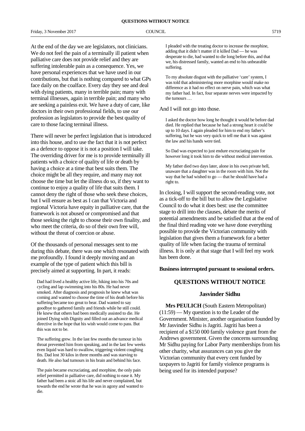Friday, 3 November 2017 COUNCIL COUNCIL 5719

At the end of the day we are legislators, not clinicians. We do not feel the pain of a terminally ill patient when palliative care does not provide relief and they are suffering intolerable pain as a consequence. Yes, we have personal experiences that we have used in our contributions, but that is nothing compared to what GPs face daily on the coalface. Every day they see and deal with dying patients, many in terrible pain; many with terminal illnesses, again in terrible pain; and many who are seeking a painless exit. We have a duty of care, like doctors in their own professional fields, to use our profession as legislators to provide the best quality of care to those facing terminal illness.

There will never be perfect legislation that is introduced into this house, and to use the fact that it is not perfect as a defence to oppose it is not a position I will take. The overriding driver for me is to provide terminally ill patients with a choice of quality of life or death by having a choice at a time that best suits them. The choice might be all they require, and many may not choose the time but let the illness do so, if they want to continue to enjoy a quality of life that suits them. I cannot deny the right of those who seek these choices, but I will ensure as best as I can that Victoria and regional Victoria have equity in palliative care, that the framework is not abused or compromised and that those seeking the right to choose their own finality, and who meet the criteria, do so of their own free will, without the threat of coercion or abuse.

Of the thousands of personal messages sent to me during this debate, there was one which resonated with me profoundly. I found it deeply moving and an example of the type of patient which this bill is precisely aimed at supporting. In part, it reads:

Dad had lived a healthy active life, hiking into his 70s and cycling and lap swimming into his 80s. He had never smoked. After diagnosis and prognosis he knew what was coming and wanted to choose the time of his death before his suffering became too great to bear. Dad wanted to say goodbye to gathered family and friends while he still could. He knew that others had been medically assisted to die. He joined Dying with Dignity and filled out an advance medical directive in the hope that his wish would come to pass. But this was not to be.

The suffering grew. In the last few months the tumour in his throat prevented him from speaking, and in the last few weeks even liquid was hard to swallow, triggering violent coughing fits. Dad lost 30 kilos in three months and was starving to death. He also had tumours in his brain and behind his face.

The pain became excruciating, and morphine, the only pain relief permitted in palliative care, did nothing to ease it. My father had been a stoic all his life and never complained, but towards the end he wrote that he was in agony and wanted to die.

I pleaded with the treating doctor to increase the morphine, adding that it didn't matter if it killed Dad — he was desperate to die, had wanted to die long before this, and that we, his distressed family, wanted an end to his unbearable suffering.

To my absolute disgust with the palliative 'care' system, I was told that administering more morphine would make no difference as it had no effect on nerve pain, which was what my father had. In fact, four separate nerves were impacted by the tumours …

### And I will not go into those.

I asked the doctor how long he thought it would be before dad died. He replied that because he had a strong heart it could be up to 10 days. I again pleaded for him to end my father's suffering, but he was very quick to tell me that it was against the law and his hands were tied.

So Dad was expected to just endure excruciating pain for however long it took him to die without medical intervention.

My father died two days later, alone in his own private hell, unaware that a daughter was in the room with him. Not the way that he had wished to go — that he should have had a right to.

In closing, I will support the second-reading vote, not as a tick-off to the bill but to allow the Legislative Council to do what it does best: use the committee stage to drill into the clauses, debate the merits of potential amendments and be satisfied that at the end of the final third reading vote we have done everything possible to provide the Victorian community with legislation that gives them a framework for a better quality of life when facing the trauma of terminal illness. It is only at that stage that I will feel my work has been done.

### **Business interrupted pursuant to sessional orders.**

### **QUESTIONS WITHOUT NOTICE**

### **Jasvinder Sidhu**

**Mrs PEULICH** (South Eastern Metropolitan) (11:59) — My question is to the Leader of the Government. Minister, another organisation founded by Mr Jasvinder Sidhu is Jagriti. Jagriti has been a recipient of a \$150 000 family violence grant from the Andrews government. Given the concerns surrounding Mr Sidhu paying for Labor Party memberships from his other charity, what assurances can you give the Victorian community that every cent funded by taxpayers to Jagriti for family violence programs is being used for its intended purpose?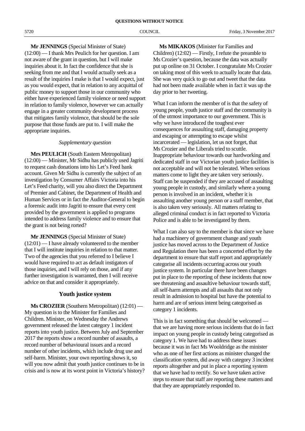**Mr JENNINGS** (Special Minister of State) (12:00) — I thank Mrs Peulich for her question. I am not aware of the grant in question, but I will make inquiries about it. In fact the confidence that she is seeking from me and that I would actually seek as a result of the inquiries I make is that I would expect, just as you would expect, that in relation to any acquittal of public money to support those in our community who either have experienced family violence or need support in relation to family violence, however we can actually engage in a greater community development process that mitigates family violence, that should be the sole purpose that those funds are put to. I will make the appropriate inquiries.

### *Supplementary question*

**Mrs PEULICH** (South Eastern Metropolitan) (12:00) — Minister, Mr Sidhu has publicly used Jagriti to request cash donations into his Let's Feed bank account. Given Mr Sidhu is currently the subject of an investigation by Consumer Affairs Victoria into his Let's Feed charity, will you also direct the Department of Premier and Cabinet, the Department of Health and Human Services or in fact the Auditor-General to begin a forensic audit into Jagriti to ensure that every cent provided by the government is applied to programs intended to address family violence and to ensure that the grant is not being rorted?

**Mr JENNINGS** (Special Minister of State) (12:01) — I have already volunteered to the member that I will institute inquiries in relation to that matter. Two of the agencies that you referred to I believe I would have required to act as default instigators of those inquiries, and I will rely on those, and if any further investigation is warranted, then I will receive advice on that and consider it appropriately.

### **Youth justice system**

**Ms CROZIER** (Southern Metropolitan) (12:01) — My question is to the Minister for Families and Children. Minister, on Wednesday the Andrews government released the latest category 1 incident reports into youth justice. Between July and September 2017 the reports show a record number of assaults, a record number of behavioural issues and a record number of other incidents, which include drug use and self-harm. Minister, your own reporting shows it, so will you now admit that youth justice continues to be in crisis and is now at its worst point in Victoria's history?

**Ms MIKAKOS** (Minister for Families and Children) (12:02) — Firstly, I refute the preamble to Ms Crozier's question, because the data was actually put up online on 31 October. I congratulate Ms Crozier on taking most of this week to actually locate that data. She was very quick to go out and tweet that the data had not been made available when in fact it was up the day prior to her tweeting.

What I can inform the member of is that the safety of young people, youth justice staff and the community is of the utmost importance to our government. This is why we have introduced the toughest ever consequences for assaulting staff, damaging property and escaping or attempting to escape whilst incarcerated — legislation, let us not forget, that Ms Crozier and the Liberals tried to scuttle. Inappropriate behaviour towards our hardworking and dedicated staff in our Victorian youth justice facilities is not acceptable and will not be tolerated. When serious matters come to light they are taken very seriously. Staff can be suspended if they are accused of assaulting young people in custody, and similarly where a young person is involved in an incident, whether it is assaulting another young person or a staff member, that is also taken very seriously. All matters relating to alleged criminal conduct is in fact reported to Victoria Police and is able to be investigated by them.

What I can also say to the member is that since we have had a machinery of government change and youth justice has moved across to the Department of Justice and Regulation there has been a concerted effort by the department to ensure that staff report and appropriately categorise all incidents occurring across our youth justice system. In particular there have been changes put in place to the reporting of these incidents that now see threatening and assaultive behaviour towards staff, all self-harm attempts and all assaults that not only result in admission to hospital but have the potential to harm and are of serious intent being categorised as category 1 incidents.

This is in fact something that should be welcomed that we are having more serious incidents that do in fact impact on young people in custody being categorised as category 1. We have had to address these issues because it was in fact Ms Wooldridge as the minister who as one of her first actions as minister changed the classification system, did away with category 3 incident reports altogether and put in place a reporting system that we have had to rectify. So we have taken active steps to ensure that staff are reporting these matters and that they are appropriately responded to.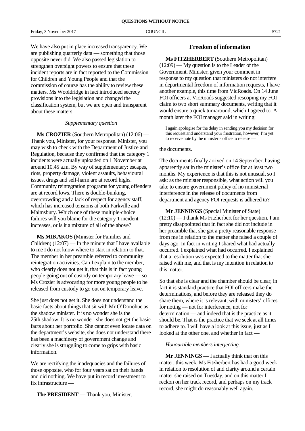We have also put in place increased transparency. We are publishing quarterly data — something that those opposite never did. We also passed legislation to strengthen oversight powers to ensure that these incident reports are in fact reported to the Commission for Children and Young People and that the commission of course has the ability to review these matters. Ms Wooldridge in fact introduced secrecy provisions into the legislation and changed the classification system, but we are open and transparent about these matters.

### *Supplementary question*

**Ms CROZIER** (Southern Metropolitan) (12:06) — Thank you, Minister, for your response. Minister, you may wish to check with the Department of Justice and Regulation, because they confirmed that the category 1 incidents were actually uploaded on 1 November at around 10.45 a.m. By way of supplementary: escapes, riots, property damage, violent assaults, behavioural issues, drugs and self-harm are at record highs. Community reintegration programs for young offenders are at record lows. There is double-bunking, overcrowding and a lack of respect for agency staff, which has increased tensions at both Parkville and Malmsbury. Which one of these multiple-choice failures will you blame for the category 1 incident increases, or is it a mixture of all of the above?

**Ms MIKAKOS** (Minister for Families and Children)  $(12:07)$  — In the minute that I have available to me I do not know where to start in relation to that. The member in her preamble referred to community reintegration activities. Can I explain to the member, who clearly does not get it, that this is in fact young people going out of custody on temporary leave — so Ms Crozier is advocating for more young people to be released from custody to go out on temporary leave.

She just does not get it. She does not understand the basic facts about things that sit with Mr O'Donohue as the shadow minister. It is no wonder she is the 25th shadow. It is no wonder: she does not get the basic facts about her portfolio. She cannot even locate data on the department's website, she does not understand there has been a machinery of government change and clearly she is struggling to come to grips with basic information.

We are rectifying the inadequacies and the failures of those opposite, who for four years sat on their hands and did nothing. We have put in record investment to fix infrastructure —

**The PRESIDENT** — Thank you, Minister.

### **Freedom of information**

**Ms FITZHERBERT** (Southern Metropolitan) (12:09) — My question is to the Leader of the Government. Minister, given your comment in response to my question that ministers do not interfere in departmental freedom of information requests, I have another example, this time from VicRoads. On 14 June FOI officers at VicRoads suggested rescoping my FOI claim to two short summary documents, writing that it would ensure a quick turnaround, which I agreed to. A month later the FOI manager said in writing:

I again apologise for the delay in sending you my decision for this request and understand your frustration, however, I'm yet to receive note by the minister's office to release —

### the documents.

The documents finally arrived on 14 September, having apparently sat in the minister's office for at least two months. My experience is that this is not unusual, so I ask: as the minister responsible, what action will you take to ensure government policy of no ministerial interference in the release of documents from department and agency FOI requests is adhered to?

**Mr JENNINGS** (Special Minister of State) (12:10) — I thank Ms Fitzherbert for her question. I am pretty disappointed that in fact she did not include in her preamble that she got a pretty reasonable response from me in relation to the matter she raised a couple of days ago. In fact in writing I shared what had actually occurred. I explained what had occurred. I explained that a resolution was expected to the matter that she raised with me, and that is my intention in relation to this matter.

So that she is clear and the chamber should be clear, in fact it is standard practice that FOI officers make the determinations, and before they are released they do share them, where it is relevant, with ministers' offices for noting — not for interference, not for determination — and indeed that is the practice as it should be. That is the practice that we seek at all times to adhere to. I will have a look at this issue, just as I looked at the other one, and whether in fact —

### *Honourable members interjecting.*

**Mr JENNINGS** — I actually think that on this matter, this week, Ms Fitzherbert has had a good week in relation to resolution of and clarity around a certain matter she raised on Tuesday, and on this matter I reckon on her track record, and perhaps on my track record, she might do reasonably well again.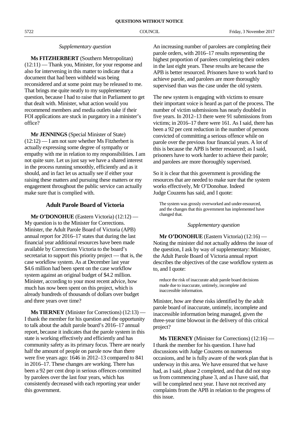### *Supplementary question*

**Ms FITZHERBERT** (Southern Metropolitan) (12:11) — Thank you, Minister, for your response and also for intervening in this matter to indicate that a document that had been withheld was being reconsidered and at some point may be released to me. That brings me quite neatly to my supplementary question, because I had to raise that in Parliament to get that dealt with. Minister, what action would you recommend members and media outlets take if their FOI applications are stuck in purgatory in a minister's office?

**Mr JENNINGS** (Special Minister of State)  $(12:12)$  — I am not sure whether Ms Fitzherbert is actually expressing some degree of sympathy or empathy with me in relation to my responsibilities. I am not quite sure. Let us just say we have a shared interest in the process running smoothly, efficiently and as it should, and in fact let us actually see if either your raising these matters and pursuing these matters or my engagement throughout the public service can actually make sure that is complied with.

### **Adult Parole Board of Victoria**

**Mr O'DONOHUE** (Eastern Victoria) (12:12) — My question is to the Minister for Corrections. Minister, the Adult Parole Board of Victoria (APB) annual report for 2016–17 states that during the last financial year additional resources have been made available by Corrections Victoria to the board's secretariat to support this priority project — that is, the case workflow system. As at December last year \$4.6 million had been spent on the case workflow system against an original budget of \$4.2 million. Minister, according to your most recent advice, how much has now been spent on this project, which is already hundreds of thousands of dollars over budget and three years over time?

**Ms TIERNEY** (Minister for Corrections) (12:13) — I thank the member for his question and the opportunity to talk about the adult parole board's 2016–17 annual report, because it indicates that the parole system in this state is working effectively and efficiently and has community safety as its primary focus. There are nearly half the amount of people on parole now than there were five years ago: 1646 in 2012–13 compared to 841 in 2016–17. These changes are working. There has been a 92 per cent drop in serious offences committed by parolees over the last four years, which has consistently decreased with each reporting year under this government.

An increasing number of parolees are completing their parole orders, with 2016–17 results representing the highest proportion of parolees completing their orders in the last eight years. These results are because the APB is better resourced. Prisoners have to work hard to achieve parole, and parolees are more thoroughly supervised than was the case under the old system.

The new system is engaging with victims to ensure their important voice is heard as part of the process. The number of victim submissions has nearly doubled in five years. In 2012–13 there were 91 submissions from victims; in 2016–17 there were 161. As I said, there has been a 92 per cent reduction in the number of persons convicted of committing a serious offence while on parole over the previous four financial years. A lot of this is because the APB is better resourced; as I said, prisoners have to work harder to achieve their parole; and parolees are more thoroughly supervised.

So it is clear that this government is providing the resources that are needed to make sure that the system works effectively, Mr O'Donohue. Indeed Judge Couzens has said, and I quote:

The system was grossly overworked and under-resourced, and the changes that this government has implemented have changed that.

### *Supplementary question*

**Mr O'DONOHUE** (Eastern Victoria) (12:16) — Noting the minister did not actually address the issue of the question, I ask by way of supplementary: Minister, the Adult Parole Board of Victoria annual report describes the objectives of the case workflow system as to, and I quote:

reduce the risk of inaccurate adult parole board decisions made due to inaccurate, untimely, incomplete and inaccessible information.

Minister, how are these risks identified by the adult parole board of inaccurate, untimely, incomplete and inaccessible information being managed, given the three-year time blowout in the delivery of this critical project?

**Ms TIERNEY** (Minister for Corrections) (12:16) — I thank the member for his question. I have had discussions with Judge Couzens on numerous occasions, and he is fully aware of the work plan that is underway in this area. We have ensured that we have had, as I said, phase 2 completed, and that did not stop us from commencing phase 3, and as I have said, that will be completed next year. I have not received any complaints from the APB in relation to the progress of this issue.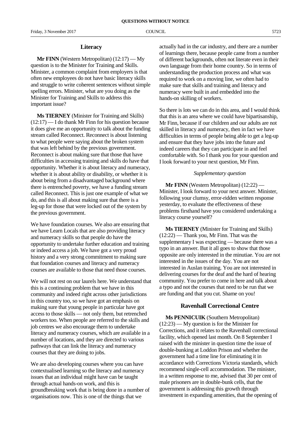### **Literacy**

**Mr FINN** (Western Metropolitan) (12:17) — My question is to the Minister for Training and Skills. Minister, a common complaint from employers is that often new employees do not have basic literacy skills and struggle to write coherent sentences without simple spelling errors. Minister, what are you doing as the Minister for Training and Skills to address this important issue?

**Ms TIERNEY** (Minister for Training and Skills)  $(12:17)$  — I do thank Mr Finn for his question because it does give me an opportunity to talk about the funding stream called Reconnect. Reconnect is about listening to what people were saying about the broken system that was left behind by the previous government. Reconnect is about making sure that those that have difficulties in accessing training and skills do have that opportunity. Whether it is about literacy and numeracy, whether it is about ability or disability, or whether it is about being from a disadvantaged background where there is entrenched poverty, we have a funding stream called Reconnect. This is just one example of what we do, and this is all about making sure that there is a leg-up for those that were locked out of the system by the previous government.

We have foundation courses. We also are ensuring that we have Learn Locals that are also providing literacy and numeracy skills so that people do have the opportunity to undertake further education and training or indeed access a job. We have got a very proud history and a very strong commitment to making sure that foundation courses and literacy and numeracy courses are available to those that need those courses.

We will not rest on our laurels here. We understand that this is a continuing problem that we have in this community and indeed right across other jurisdictions in this country too, so we have got an emphasis on making sure that young people in particular have got access to those skills — not only them, but retrenched workers too. When people are referred to the skills and job centres we also encourage them to undertake literacy and numeracy courses, which are available in a number of locations, and they are directed to various pathways that can link the literacy and numeracy courses that they are doing to jobs.

We are also developing courses where you can have contextualised learning so the literacy and numeracy issues that an individual might have can be taught through actual hands-on work, and this is groundbreaking work that is being done in a number of organisations now. This is one of the things that we

actually had in the car industry, and there are a number of learnings there, because people came from a number of different backgrounds, often not literate even in their own language from their home country. So in terms of understanding the production process and what was required to work on a moving line, we often had to make sure that skills and training and literacy and numeracy were built in and embedded into the hands-on skilling of workers.

So there is lots we can do in this area, and I would think that this is an area where we could have bipartisanship, Mr Finn, because if our children and our adults are not skilled in literacy and numeracy, then in fact we have difficulties in terms of people being able to get a leg-up and ensure that they have jobs into the future and indeed careers that they can participate in and feel comfortable with. So I thank you for your question and I look forward to your next question, Mr Finn.

### *Supplementary question*

**Mr FINN** (Western Metropolitan) (12:22) — Minister, I look forward to your next answer. Minister, following your clumsy, error-ridden written response yesterday, to evaluate the effectiveness of these problems firsthand have you considered undertaking a literacy course yourself?

**Ms TIERNEY** (Minister for Training and Skills) (12:22) — Thank you, Mr Finn. That was the supplementary I was expecting — because there was a typo in an answer. But it all goes to show that those opposite are only interested in the minutiae. You are not interested in the issues of the day. You are not interested in Auslan training. You are not interested in delivering courses for the deaf and the hard of hearing community. You prefer to come in here and talk about a typo and not the courses that need to be run that we are funding and that you cut. Shame on you!

### **Ravenhall Correctional Centre**

**Ms PENNICUIK** (Southern Metropolitan) (12:23) — My question is for the Minister for Corrections, and it relates to the Ravenhall correctional facility, which opened last month. On 8 September I raised with the minister in question time the issue of double-bunking at Loddon Prison and whether the government had a time line for eliminating it in accordance with Corrections Victoria standards, which recommend single-cell accommodation. The minister, in a written response to me, advised that 30 per cent of male prisoners are in double-bunk cells, that the government is addressing this growth through investment in expanding amenities, that the opening of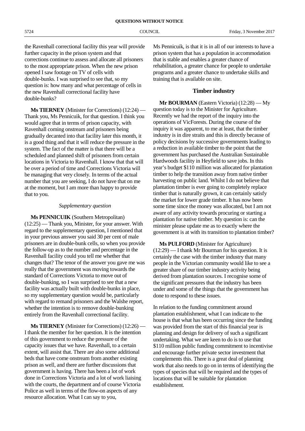**QUESTIONS WITHOUT NOTICE**

5724 COUNCIL Friday, 3 November 2017

the Ravenhall correctional facility this year will provide further capacity in the prison system and that corrections continue to assess and allocate all prisoners to the most appropriate prison. When the new prison opened I saw footage on TV of cells with double-bunks. I was surprised to see that, so my question is: how many and what percentage of cells in the new Ravenhall correctional facility have double-bunks?

**Ms TIERNEY** (Minister for Corrections) (12:24) — Thank you, Ms Pennicuik, for that question. I think you would agree that in terms of prison capacity, with Ravenhall coming onstream and prisoners being gradually decanted into that facility later this month, it is a good thing and that it will reduce the pressure in the system. The fact of the matter is that there will be a scheduled and planned shift of prisoners from certain locations in Victoria to Ravenhall. I know that that will be over a period of time and Corrections Victoria will be managing that very closely. In terms of the actual number that you are seeking, I do not have that on me at the moment, but I am more than happy to provide that to you.

### *Supplementary question*

**Ms PENNICUIK** (Southern Metropolitan) (12:25) — Thank you, Minister, for your answer. With regard to the supplementary question, I mentioned that in your previous answer you said 30 per cent of male prisoners are in double-bunk cells, so when you provide the follow-up as to the number and percentage in the Ravenhall facility could you tell me whether that changes that? The tenor of the answer you gave me was really that the government was moving towards the standard of Corrections Victoria to move out of double-bunking, so I was surprised to see that a new facility was actually built with double-bunks in place, so my supplementary question would be, particularly with regard to remand prisoners and the Walshe report, whether the intention is to remove double-bunking entirely from the Ravenhall correctional facility.

**Ms TIERNEY** (Minister for Corrections) (12:26) — I thank the member for her question. It is the intention of this government to reduce the pressure of the capacity issues that we have. Ravenhall, to a certain extent, will assist that. There are also some additional beds that have come onstream from another existing prison as well, and there are further discussions that government is having. There has been a lot of work done in Corrections Victoria and a lot of work liaising with the courts, the department and of course Victoria Police as well in terms of the flow-on aspects of any resource allocation. What I can say to you,

Ms Pennicuik, is that it is in all of our interests to have a prison system that has a population in accommodation that is stable and enables a greater chance of rehabilitation, a greater chance for people to undertake programs and a greater chance to undertake skills and training that is available on site.

### **Timber industry**

**Mr BOURMAN** (Eastern Victoria) (12:28) — My question today is to the Minister for Agriculture. Recently we had the report of the inquiry into the operations of VicForests. During the course of the inquiry it was apparent, to me at least, that the timber industry is in dire straits and this is directly because of policy decisions by successive governments leading to a reduction in available timber to the point that the government has purchased the Australian Sustainable Hardwoods facility in Heyfield to save jobs. In this year's budget \$110 million was allocated for plantation timber to help the transition away from native timber harvesting on public land. Whilst I do not believe that plantation timber is ever going to completely replace timber that is naturally grown, it can certainly satisfy the market for lower grade timber. It has now been some time since the money was allocated, but I am not aware of any activity towards procuring or starting a plantation for native timber. My question is: can the minister please update me as to exactly where the government is at with its transition to plantation timber?

**Ms PULFORD** (Minister for Agriculture) (12:29) — I thank Mr Bourman for his question. It is certainly the case with the timber industry that many people in the Victorian community would like to see a greater share of our timber industry activity being derived from plantation sources. I recognise some of the significant pressures that the industry has been under and some of the things that the government has done to respond to these issues.

In relation to the funding commitment around plantation establishment, what I can indicate to the house is that what has been occurring since the funding was provided from the start of this financial year is planning and design for delivery of such a significant undertaking. What we are keen to do is to use that \$110 million public funding commitment to incentivise and encourage further private sector investment that complements this. There is a great deal of planning work that also needs to go on in terms of identifying the types of species that will be required and the types of locations that will be suitable for plantation establishment.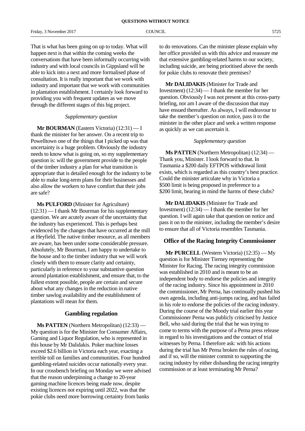That is what has been going on up to today. What will happen next is that within the coming weeks the conversations that have been informally occurring with industry and with local councils in Gippsland will be able to kick into a next and more formalised phase of consultation. It is really important that we work with industry and important that we work with communities in plantation establishment. I certainly look forward to providing you with frequent updates as we move through the different stages of this big project.

### *Supplementary question*

**Mr BOURMAN** (Eastern Victoria) (12:31) — I thank the minister for her answer. On a recent trip to Powelltown one of the things that I picked up was that uncertainty is a huge problem. Obviously the industry needs to know what is going on, so my supplementary question is: will the government provide to the people of the timber industry a plan for what transition is appropriate that is detailed enough for the industry to be able to make long-term plans for their businesses and also allow the workers to have comfort that their jobs are safe?

**Ms PULFORD** (Minister for Agriculture) (12:31) — I thank Mr Bourman for his supplementary question. We are acutely aware of the uncertainty that the industry has experienced. This is perhaps best evidenced by the changes that have occurred at the mill at Heyfield. The native timber resource, as all members are aware, has been under some considerable pressure. Absolutely, Mr Bourman, I am happy to undertake to the house and to the timber industry that we will work closely with them to ensure clarity and certainty, particularly in reference to your substantive question around plantation establishment, and ensure that, to the fullest extent possible, people are certain and secure about what any changes in the reduction in native timber sawlog availability and the establishment of plantations will mean for them.

### **Gambling regulation**

**Ms PATTEN** (Northern Metropolitan) (12:33) — My question is for the Minister for Consumer Affairs, Gaming and Liquor Regulation, who is represented in this house by Mr Dalidakis. Poker machine losses exceed \$2.6 billion in Victoria each year, exacting a terrible toll on families and communities. Four hundred gambling-related suicides occur nationally every year. In our crossbench briefing on Monday we were advised that the reason underpinning a change to 20-year gaming machine licences being made now, despite existing licences not expiring until 2022, was that the pokie clubs need more borrowing certainty from banks

to do renovations. Can the minister please explain why her office provided us with this advice and reassure me that extensive gambling-related harms to our society, including suicide, are being prioritised above the needs for pokie clubs to renovate their premises?

**Mr DALIDAKIS** (Minister for Trade and Investment) (12:34) — I thank the member for her question. Obviously I was not present at this cross-party briefing, nor am I aware of the discussion that may have ensued thereafter. As always, I will endeavour to take the member's question on notice, pass it to the minister in the other place and seek a written response as quickly as we can ascertain it.

### *Supplementary question*

**Ms PATTEN** (Northern Metropolitan) (12:34) — Thank you, Minister. I look forward to that. In Tasmania a \$200 daily EFTPOS withdrawal limit exists, which is regarded as this country's best practice. Could the minister articulate why in Victoria a \$500 limit is being proposed in preference to a \$200 limit, bearing in mind the harms of these clubs?

**Mr DALIDAKIS** (Minister for Trade and Investment) (12:34) — I thank the member for her question. I will again take that question on notice and pass it on to the minister, including the member's desire to ensure that all of Victoria resembles Tasmania.

### **Office of the Racing Integrity Commissioner**

**Mr PURCELL** (Western Victoria) (12:35) — My question is for Minister Tierney representing the Minister for Racing. The racing integrity commission was established in 2010 and is meant to be an independent body to endorse the policies and integrity of the racing industry. Since his appointment in 2010 the commissioner, Mr Perna, has continually pushed his own agenda, including anti-jumps racing, and has failed in his role to endorse the policies of the racing industry. During the course of the Moody trial earlier this year Commissioner Perna was publicly criticised by Justice Bell, who said during the trial that he was trying to come to terms with the purpose of a Perna press release in regard to his investigations and the contact of trial witnesses by Perna. I therefore ask: with his actions during the trial has Mr Perna broken the rules of racing, and if so, will the minister commit to supporting the racing industry by either disbanding the racing integrity commission or at least terminating Mr Perna?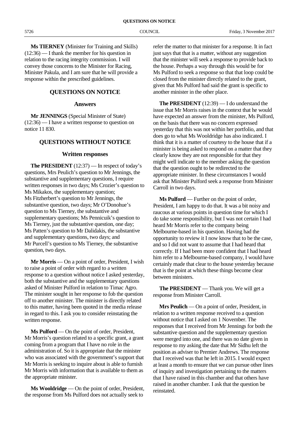**Ms TIERNEY** (Minister for Training and Skills) (12:36) — I thank the member for his question in relation to the racing integrity commission. I will convey those concerns to the Minister for Racing, Minister Pakula, and I am sure that he will provide a response within the prescribed guidelines.

### **QUESTIONS ON NOTICE**

### **Answers**

**Mr JENNINGS** (Special Minister of State) (12:36) — I have a written response to question on notice 11 830.

### **QUESTIONS WITHOUT NOTICE**

### **Written responses**

**The PRESIDENT** (12:37) — In respect of today's questions, Mrs Peulich's question to Mr Jennings, the substantive and supplementary questions, I require written responses in two days; Ms Crozier's question to Ms Mikakos, the supplementary question; Ms Fitzherbert's question to Mr Jennings, the substantive question, two days; Mr O'Donohue's question to Ms Tierney, the substantive and supplementary questions; Ms Pennicuik's question to Ms Tierney, just the substantive question, one day; Ms Patten's question to Mr Dalidakis, the substantive and supplementary questions, two days; and Mr Purcell's question to Ms Tierney, the substantive question, two days.

**Mr Morris** — On a point of order, President, I wish to raise a point of order with regard to a written response to a question without notice I asked yesterday, both the substantive and the supplementary questions asked of Minister Pulford in relation to Timac Agro. The minister sought in her response to fob the question off to another minister. The minister is directly related to this matter, having been quoted in the media release in regard to this. I ask you to consider reinstating the written response.

**Ms Pulford** — On the point of order, President, Mr Morris's question related to a specific grant, a grant coming from a program that I have no role in the administration of. So it is appropriate that the minister who was associated with the government's support that Mr Morris is seeking to inquire about is able to furnish Mr Morris with information that is available to them as the appropriate minister.

**Ms Wooldridge** — On the point of order, President, the response from Ms Pulford does not actually seek to

refer the matter to that minister for a response. It in fact just says that that is a matter, without any suggestion that the minister will seek a response to provide back to the house. Perhaps a way through this would be for Ms Pulford to seek a response so that that loop could be closed from the minister directly related to the grant, given that Ms Pulford had said the grant is specific to another minister in the other place.

**The PRESIDENT** (12:39) — I do understand the issue that Mr Morris raises in the context that he would have expected an answer from the minister, Ms Pulford, on the basis that there was no concern expressed yesterday that this was not within her portfolio, and that does go to what Ms Wooldridge has also indicated. I think that it is a matter of courtesy to the house that if a minister is being asked to respond on a matter that they clearly know they are not responsible for that they might well indicate to the member asking the question that the question ought to be redirected to the appropriate minister. In these circumstances I would ask that Minister Pulford seek a response from Minister Carroll in two days.

**Ms Pulford** — Further on the point of order, President, I am happy to do that. It was a bit noisy and raucous at various points in question time for which I do take some responsibility, but I was not certain I had heard Mr Morris refer to the company being Melbourne-based in his question. Having had the opportunity to review it I now know that to be the case, and so I did not want to assume that I had heard that correctly. If I had been more confident that I had heard him refer to a Melbourne-based company, I would have certainly made that clear to the house yesterday because that is the point at which these things become clear between ministers.

**The PRESIDENT** — Thank you. We will get a response from Minister Carroll.

**Mrs Peulich** — On a point of order, President, in relation to a written response received to a question without notice that I asked on 1 November. The responses that I received from Mr Jennings for both the substantive question and the supplementary question were merged into one, and there was no date given in response to my asking the date that Mr Sidhu left the position as adviser to Premier Andrews. The response that I received was that he left in 2015. I would expect at least a month to ensure that we can pursue other lines of inquiry and investigation pertaining to the matters that I have raised in this chamber and that others have raised in another chamber. I ask that the question be reinstated.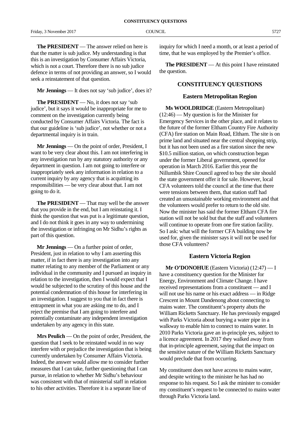**The PRESIDENT** — The answer relied on here is that the matter is sub judice. My understanding is that this is an investigation by Consumer Affairs Victoria, which is not a court. Therefore there is no sub judice defence in terms of not providing an answer, so I would seek a reinstatement of that question.

**Mr Jennings** — It does not say 'sub judice', does it?

**The PRESIDENT** — No, it does not say 'sub judice', but it says it would be inappropriate for me to comment on the investigation currently being conducted by Consumer Affairs Victoria. The fact is that our guideline is 'sub judice', not whether or not a departmental inquiry is in train.

**Mr Jennings** — On the point of order, President, I want to be very clear about this. I am not interfering in any investigation run by any statutory authority or any department in question. I am not going to interfere or inappropriately seek any information in relation to a current inquiry by any agency that is acquitting its responsibilities — be very clear about that. I am not going to do it.

**The PRESIDENT** — That may well be the answer that you provide in the end, but I am reinstating it. I think the question that was put is a legitimate question, and I do not think it goes in any way to undermining the investigation or infringing on Mr Sidhu's rights as part of this question.

**Mr Jennings** — On a further point of order, President, just in relation to why I am asserting this matter, if in fact there is any investigation into any matter relating to any member of the Parliament or any individual in the community and I pursued an inquiry in relation to the investigation, then I would expect that I would be subjected to the scrutiny of this house and the potential condemnation of this house for interfering in an investigation. I suggest to you that in fact there is entrapment in what you are asking me to do, and I reject the premise that I am going to interfere and potentially contaminate any independent investigation undertaken by any agency in this state.

**Mrs Peulich** — On the point of order, President, the question that I seek to be reinstated would in no way interfere with or prejudice the investigation that is being currently undertaken by Consumer Affairs Victoria. Indeed, the answer would allow me to consider further measures that I can take, further questioning that I can pursue, in relation to whether Mr Sidhu's behaviour was consistent with that of ministerial staff in relation to his other activities. Therefore it is a separate line of

inquiry for which I need a month, or at least a period of time, that he was employed by the Premier's office.

**The PRESIDENT** — At this point I have reinstated the question.

### **CONSTITUENCY QUESTIONS**

### **Eastern Metropolitan Region**

**Ms WOOLDRIDGE** (Eastern Metropolitan) (12:46) — My question is for the Minister for Emergency Services in the other place, and it relates to the future of the former Eltham Country Fire Authority (CFA) fire station on Main Road, Eltham. The site is on prime land and situated near the central shopping strip, but it has not been used as a fire station since the new \$10.5 million station, on which construction began under the former Liberal government, opened for operation in March 2016. Earlier this year the Nillumbik Shire Council agreed to buy the site should the state government offer it for sale. However, local CFA volunteers told the council at the time that there were tensions between them, that station staff had created an unsustainable working environment and that the volunteers would prefer to return to the old site. Now the minister has said the former Eltham CFA fire station will not be sold but that the staff and volunteers will continue to operate from one fire station facility. So I ask: what will the former CFA building now be used for, given the minister says it will not be used for those CFA volunteers?

### **Eastern Victoria Region**

**Mr O'DONOHUE** (Eastern Victoria) (12:47) — I have a constituency question for the Minister for Energy, Environment and Climate Change. I have received representations from a constituent — and I will not use his name or his exact address — in Ridge Crescent in Mount Dandenong about connecting to mains water. The constituent's property abuts the William Ricketts Sanctuary. He has previously engaged with Parks Victoria about burying a water pipe in a walkway to enable him to connect to mains water. In 2010 Parks Victoria gave an in-principle yes, subject to a licence agreement. In 2017 they walked away from that in-principle agreement, saying that the impact on the sensitive nature of the William Ricketts Sanctuary would preclude that from occurring.

My constituent does not have access to mains water, and despite writing to the minister he has had no response to his request. So I ask the minister to consider my constituent's request to be connected to mains water through Parks Victoria land.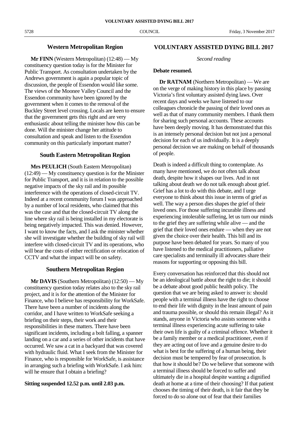### **Western Metropolitan Region**

**Mr FINN** (Western Metropolitan) (12:48) — My constituency question today is for the Minister for Public Transport. As consultation undertaken by the Andrews government is again a popular topic of discussion, the people of Essendon would like some. The views of the Moonee Valley Council and the Essendon community have been ignored by the government when it comes to the removal of the Buckley Street level crossing. Locals are keen to ensure that the government gets this right and are very enthusiastic about telling the minister how this can be done. Will the minister change her attitude to consultation and speak and listen to the Essendon community on this particularly important matter?

### **South Eastern Metropolitan Region**

**Mrs PEULICH** (South Eastern Metropolitan) (12:49) — My constituency question is for the Minister for Public Transport, and it is in relation to the possible negative impacts of the sky rail and its possible interference with the operations of closed-circuit TV. Indeed at a recent community forum I was approached by a number of local residents, who claimed that this was the case and that the closed-circuit TV along the line where sky rail is being installed in my electorate is being negatively impacted. This was denied. However, I want to know the facts, and I ask the minister whether she will investigate whether the building of sky rail will interfere with closed-circuit TV and its operations, who will bear the costs of either rectification or relocation of CCTV and what the impact will be on safety.

### **Southern Metropolitan Region**

**Mr DAVIS** (Southern Metropolitan) (12:50) — My constituency question today relates also to the sky rail project, and it is for the attention of the Minister for Finance, who I believe has responsibility for WorkSafe. There have been a number of incidents along the corridor, and I have written to WorkSafe seeking a briefing on their steps, their work and their responsibilities in these matters. There have been significant incidents, including a bolt falling, a spanner landing on a car and a series of other incidents that have occurred. We saw a cat in a backyard that was covered with hydraulic fluid. What I seek from the Minister for Finance, who is responsible for WorkSafe, is assistance in arranging such a briefing with WorkSafe. I ask him: will he ensure that I obtain a briefing?

### **Sitting suspended 12.52 p.m. until 2.03 p.m.**

### **VOLUNTARY ASSISTED DYING BILL 2017**

### *Second reading*

### **Debate resumed.**

**Dr RATNAM** (Northern Metropolitan) — We are on the verge of making history in this place by passing Victoria's first voluntary assisted dying laws. Over recent days and weeks we have listened to our colleagues chronicle the passing of their loved ones as well as that of many community members. I thank them for sharing such personal accounts. These accounts have been deeply moving. It has demonstrated that this is an intensely personal decision but not just a personal decision for each of us individually. It is a deeply personal decision we are making on behalf of thousands of people.

Death is indeed a difficult thing to contemplate. As many have mentioned, we do not often talk about death, despite how it shapes our lives. And in not talking about death we do not talk enough about grief. Grief has a lot to do with this debate, and I urge everyone to think about this issue in terms of grief as well. The way a person dies shapes the grief of their loved ones. For those suffering incurable illness and experiencing intolerable suffering, let us turn our minds to the grief they are suffering while alive — and the grief that their loved ones endure — when they are not given the choice over their health. This bill and its purpose have been debated for years. So many of you have listened to the medical practitioners, palliative care specialists and terminally ill advocates share their reasons for supporting or opposing this bill.

Every conversation has reinforced that this should not be an ideological battle about the right to die; it should be a debate about good public health policy. The question that we are being asked to answer is: should people with a terminal illness have the right to choose to end their life with dignity in the least amount of pain and trauma possible, or should this remain illegal? As it stands, anyone in Victoria who assists someone with a terminal illness experiencing acute suffering to take their own life is guilty of a criminal offence. Whether it be a family member or a medical practitioner, even if they are acting out of love and a genuine desire to do what is best for the suffering of a human being, their decision must be tempered by fear of prosecution. Is that how it should be? Do we believe that someone with a terminal illness should be forced to suffer and ultimately die in a hospital despite wanting a dignified death at home at a time of their choosing? If that patient chooses the timing of their death, is it fair that they be forced to do so alone out of fear that their families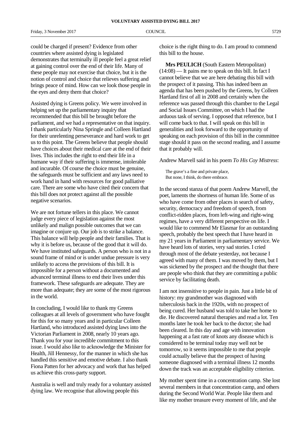Friday, 3 November 2017 COUNCIL 6729

could be charged if present? Evidence from other countries where assisted dying is legislated demonstrates that terminally ill people feel a great relief at gaining control over the end of their life. Many of these people may not exercise that choice, but it is the notion of control and choice that relieves suffering and brings peace of mind. How can we look those people in the eyes and deny them that choice?

Assisted dying is Greens policy. We were involved in helping set up the parliamentary inquiry that recommended that this bill be brought before the parliament, and we had a representative on that inquiry. I thank particularly Nina Springle and Colleen Hartland for their unrelenting perseverance and hard work to get us to this point. The Greens believe that people should have choices about their medical care at the end of their lives. This includes the right to end their life in a humane way if their suffering is immense, intolerable and incurable. Of course the choice must be genuine, the safeguards must be sufficient and any laws need to work hand in hand with resources for good palliative care. There are some who have cited their concern that this bill does not protect against all the possible negative scenarios.

We are not fortune tellers in this place. We cannot judge every piece of legislation against the most unlikely and malign possible outcomes that we can imagine or conjure up. Our job is to strike a balance. This balance will help people and their families. That is why it is before us, because of the good that it will do. We have instituted safeguards. A person who is not in a sound frame of mind or is under undue pressure is very unlikely to access the provisions of this bill. It is impossible for a person without a documented and advanced terminal illness to end their lives under this framework. These safeguards are adequate. They are more than adequate; they are some of the most rigorous in the world.

In concluding, I would like to thank my Greens colleagues at all levels of government who have fought for this for so many years and in particular Colleen Hartland, who introduced assisted dying laws into the Victorian Parliament in 2008, nearly 10 years ago. Thank you for your incredible commitment to this issue. I would also like to acknowledge the Minister for Health, Jill Hennessy, for the manner in which she has handled this sensitive and emotive debate. I also thank Fiona Patten for her advocacy and work that has helped us achieve this cross-party support.

Australia is well and truly ready for a voluntary assisted dying law. We recognise that allowing people this

choice is the right thing to do. I am proud to commend this bill to the house.

**Mrs PEULICH** (South Eastern Metropolitan)  $(14:08)$  — It pains me to speak on this bill. In fact I cannot believe that we are here debating this bill with the prospect of it passing. This has indeed been an agenda that has been pushed by the Greens, by Colleen Hartland first of all in 2008 and certainly when the reference was passed through this chamber to the Legal and Social Issues Committee, on which I had the arduous task of serving. I opposed that reference, but I will come back to that. I will speak on this bill in generalities and look forward to the opportunity of speaking on each provision of this bill in the committee stage should it pass on the second reading, and I assume that it probably will.

Andrew Marvell said in his poem *To His Coy Mistress*:

The grave's a fine and private place, But none, I think, do there embrace.

In the second stanza of that poem Andrew Marvell, the poet, laments the shortness of human life. Some of us who have come from other places in search of safety, security, democracy and freedom of speech, from conflict-ridden places, from left-wing and right-wing regimes, have a very different perspective on life. I would like to commend Mr Elasmar for an outstanding speech, probably the best speech that I have heard in my 21 years in Parliament in parliamentary service. We have heard lots of stories, very sad stories. I cried through most of the debate yesterday, not because I agreed with many of them. I was moved by them, but I was sickened by the prospect and the thought that there are people who think that they are committing a public service by facilitating death.

I am not insensitive to people in pain. Just a little bit of history: my grandmother was diagnosed with tuberculosis back in the 1920s, with no prospect of being cured. Her husband was told to take her home to die. He discovered natural therapies and read a lot. Ten months later he took her back to the doctor; she had been cleared. In this day and age with innovation happening at a fast rate of knots any disease which is considered to be terminal today may well not be tomorrow, so it seems impossible to me that people could actually believe that the prospect of having someone diagnosed with a terminal illness 12 months down the track was an acceptable eligibility criterion.

My mother spent time in a concentration camp. She lost several members in that concentration camp, and others during the Second World War. People like them and like my mother treasure every moment of life, and she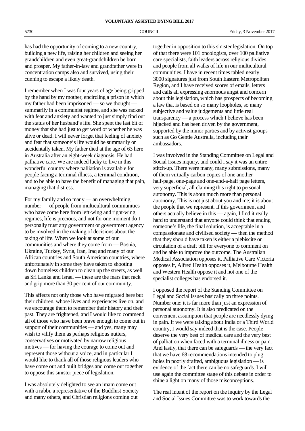has had the opportunity of coming to a new country, building a new life, raising her children and seeing her grandchildren and even great-grandchildren be born and prosper. My father-in-law and grandfather were in concentration camps also and survived, using their cunning to escape a likely death.

I remember when I was four years of age being gripped by the hand by my mother, encircling a prison in which my father had been imprisoned — so we thought summarily in a communist regime, and she was racked with fear and anxiety and wanted to just simply find out the status of her husband's life. She spent the last bit of money that she had just to get word of whether he was alive or dead. I will never forget that feeling of anxiety and fear that someone's life would be summarily or accidentally taken. My father died at the age of 63 here in Australia after an eight-week diagnosis. He had palliative care. We are indeed lucky to live in this wonderful country where palliation is available for people facing a terminal illness, a terminal condition, and to be able to have the benefit of managing that pain, managing that distress.

For my family and so many — an overwhelming number — of people from multicultural communities who have come here from left-wing and right-wing regimes, life is precious, and not for one moment do I personally trust any government or government agency to be involved in the making of decisions about the taking of life. When we look at some of our communities and where they come from — Bosnia, Ukraine, Turkey, Syria, Iran, Iraq and many of our African countries and South American countries, where unfortunately in some they have taken to shooting down homeless children to clean up the streets, as well as Sri Lanka and Israel — these are the fears that rack and grip more than 30 per cent of our community.

This affects not only those who have migrated here but their children, whose lives and experiences live on, and we encourage them to remember their history and their past. They are frightened, and I would like to commend all of those who have been brave enough to come out in support of their communities — and yes, many may wish to vilify them as perhaps religious nutters, conservatives or motivated by narrow religious motives — for having the courage to come out and represent those without a voice, and in particular I would like to thank all of those religious leaders who have come out and built bridges and come out together to oppose this sinister piece of legislation.

I was absolutely delighted to see an imam come out with a rabbi, a representative of the Buddhist Society and many others, and Christian religions coming out

together in opposition to this sinister legislation. On top of that there were 101 oncologists, over 100 palliative care specialists, faith leaders across religious divides and people from all walks of life in our multicultural communities. I have in recent times tabled nearly 3000 signatures just from South Eastern Metropolitan Region, and I have received scores of emails, letters and calls all expressing enormous angst and concern about this legislation, which has prospects of becoming a law that is based on so many loopholes, so many subjective and value judgements and little real transparency — a process which I believe has been hijacked and has been driven by the government, supported by the minor parties and by activist groups such as Go Gentle Australia, including their ambassadors.

I was involved in the Standing Committee on Legal and Social Issues inquiry, and could I say it was an entire stitch-up. There were many, many submissions, many of them virtually carbon copies of one another half-page, one-page and one-and-a-half page letters, very superficial, all claiming this right to personal autonomy. This is about much more than personal autonomy. This is not just about you and me; it is about the people that we represent. If this government and others actually believe in this — again, I find it really hard to understand that anyone could think that ending someone's life, the final solution, is acceptable in a compassionate and civilised society — then the method that they should have taken is either a plebiscite or circulation of a draft bill for everyone to comment on and be able to improve the outcome. The Australian Medical Association opposes it, Palliative Care Victoria opposes it, Alfred Health opposes it, Melbourne Health and Western Health oppose it and not one of the specialist colleges has endorsed it.

I opposed the report of the Standing Committee on Legal and Social Issues basically on three points. Number one: it is far more than just an expression of personal autonomy. It is also predicated on the convenient assumption that people are needlessly dying in pain. If we were talking about India or a Third World country, I would say indeed that is the case. People deserve the very best of medical care and the very best of palliation when faced with a terminal illness or pain. And lastly, that there can be safeguards — the very fact that we have 68 recommendations intended to plug holes in poorly drafted, ambiguous legislation — is evidence of the fact there can be no safeguards. I will use again the committee stage of this debate in order to shine a light on many of those misconceptions.

The real intent of the report on the inquiry by the Legal and Social Issues Committee was to work towards the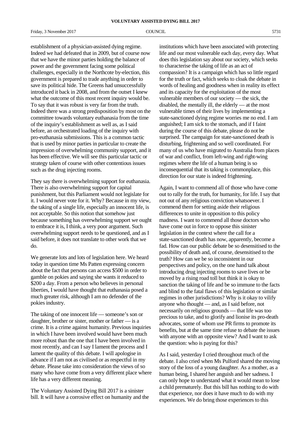establishment of a physician-assisted dying regime. Indeed we had defeated that in 2009, but of course now that we have the minor parties holding the balance of power and the government facing some political challenges, especially in the Northcote by-election, this government is prepared to trade anything in order to save its political hide. The Greens had unsuccessfully introduced it back in 2008, and from the outset I knew what the outcome of this most recent inquiry would be. To say that it was robust is very far from the truth. Indeed there was a strong predisposition by most on the committee towards voluntary euthanasia from the time of the inquiry's establishment as well as, as I said before, an orchestrated loading of the inquiry with pro-euthanasia submissions. This is a common tactic that is used by minor parties in particular to create the impression of overwhelming community support, and it has been effective. We will see this particular tactic or strategy taken of course with other contentious issues such as the drug injecting rooms.

They say there is overwhelming support for euthanasia. There is also overwhelming support for capital punishment, but this Parliament would not legislate for it. I would never vote for it. Why? Because in my view, the taking of a single life, especially an innocent life, is not acceptable. So this notion that somehow just because something has overwhelming support we ought to embrace it is, I think, a very poor argument. Such overwhelming support needs to be questioned, and as I said before, it does not translate to other work that we do.

We generate lots and lots of legislation here. We heard today in question time Ms Patten expressing concern about the fact that persons can access \$500 in order to gamble on pokies and saying she wants it reduced to \$200 a day. From a person who believes in personal liberties, I would have thought that euthanasia posed a much greater risk, although I am no defender of the pokies industry.

The taking of one innocent life — someone's son or daughter, brother or sister, mother or father — is a crime. It is a crime against humanity. Previous inquiries in which I have been involved would have been much more robust than the one that I have been involved in most recently, and can I say I lament the process and I lament the quality of this debate. I will apologise in advance if I am not as civilised or as respectful in my debate. Please take into consideration the views of so many who have come from a very different place where life has a very different meaning.

The Voluntary Assisted Dying Bill 2017 is a sinister bill. It will have a corrosive effect on humanity and the institutions which have been associated with protecting life and our most vulnerable each day, every day. What does this legislation say about our society, which seeks to characterise the taking of life as an act of compassion? It is a campaign which has so little regard for the truth or fact, which seeks to cloak the debate in words of healing and goodness when in reality its effect and its capacity for the exploitation of the most vulnerable members of our society — the sick, the disabled, the mentally ill, the elderly — at the most vulnerable times of their lives by implementing a state-sanctioned dying regime worries me no end. I am anguished; I am sick to the stomach, and if I faint during the course of this debate, please do not be surprised. The campaign for state-sanctioned death is disturbing, frightening and so well coordinated. For many of us who have migrated to Australia from places of war and conflict, from left-wing and right-wing regimes where the life of a human being is so inconsequential that its taking is commonplace, this direction for our state is indeed frightening.

Again, I want to commend all of those who have come out to rally for the truth, for humanity, for life. I say that not out of any religious conviction whatsoever. I commend them for setting aside their religious differences to unite in opposition to this policy madness. I want to commend all those doctors who have come out in force to oppose this sinister legislation in the context where the call for a state-sanctioned death has now, apparently, become a fad. How can our public debate be so desensitised to the possibility of death and, of course, desensitised to the truth? How can we be so inconsistent in our perspectives and policy, on the one hand talk about introducing drug injecting rooms to save lives or be moved by a rising road toll but think it is okay to sanction the taking of life and be so immune to the facts and blind to the fatal flaws of this legislation or similar regimes in other jurisdictions? Why is it okay to vilify anyone who thought — and, as I said before, not necessarily on religious grounds — that life was too precious to take, and to glorify and lionise its pro-death advocates, some of whom use PR firms to promote its benefits, but at the same time refuse to debate the issues with anyone with an opposite view? And I want to ask the question: who is paying for this?

As I said, yesterday I cried throughout much of the debate. I also cried when Ms Pulford shared the moving story of the loss of a young daughter. As a mother, as a human being, I shared her anguish and her sadness. I can only hope to understand what it would mean to lose a child prematurely. But this bill has nothing to do with that experience, nor does it have much to do with my experiences. We do bring those experiences to this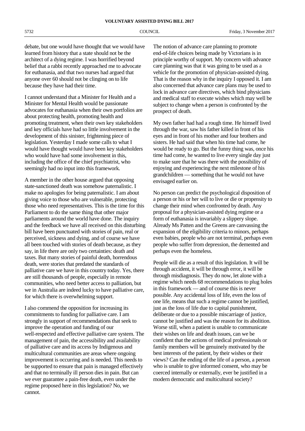debate, but one would have thought that we would have learned from history that a state should not be the architect of a dying regime. I was horrified beyond belief that a rabbi recently approached me to advocate for euthanasia, and that two nurses had argued that anyone over 60 should not be clinging on to life because they have had their time.

I cannot understand that a Minister for Health and a Minister for Mental Health would be passionate advocates for euthanasia when their own portfolios are about protecting health, promoting health and promoting treatment, when their own key stakeholders and key officials have had so little involvement in the development of this sinister, frightening piece of legislation. Yesterday I made some calls to what I would have thought would have been key stakeholders who would have had some involvement in this, including the office of the chief psychiatrist, who seemingly had no input into this framework.

A member in the other house argued that opposing state-sanctioned death was somehow paternalistic. I make no apologies for being paternalistic. I am about giving voice to those who are vulnerable, protecting those who need representatives. This is the time for this Parliament to do the same thing that other major parliaments around the world have done. The inquiry and the feedback we have all received on this disturbing bill have been punctuated with stories of pain, real or perceived, sickness and dying, and of course we have all been touched with stories of death because, as they say, in life there are only two certainties: death and taxes. But many stories of painful death, horrendous death, were stories that predated the standards of palliative care we have in this country today. Yes, there are still thousands of people, especially in remote communities, who need better access to palliation, but we in Australia are indeed lucky to have palliative care, for which there is overwhelming support.

I also commend the opposition for increasing its commitments to funding for palliative care. I am strongly in support of recommendations that seek to improve the operation and funding of our well-respected and effective palliative care system. The management of pain, the accessibility and availability of palliative care and its access by Indigenous and multicultural communities are areas where ongoing improvement is occurring and is needed. This needs to be supported to ensure that pain is managed effectively and that no terminally ill person dies in pain. But can we ever guarantee a pain-free death, even under the regime proposed here in this legislation? No, we cannot.

The notion of advance care planning to promote end-of-life choices being made by Victorians is in principle worthy of support. My concern with advance care planning was that it was going to be used as a vehicle for the promotion of physician-assisted dying. That is the reason why in the inquiry I opposed it. I am also concerned that advance care plans may be used to lock in advance care directives, which bind physicians and medical staff to execute wishes which may well be subject to change when a person is confronted by the prospect of death.

My own father had had a rough time. He himself lived through the war, saw his father killed in front of his eyes and in front of his mother and four brothers and sisters. He had said that when his time had come, he would be ready to go. But the funny thing was, once his time had come, he wanted to live every single day just to make sure that he was there with the possibility of enjoying and experiencing the next milestone of his grandchildren — something that he would not have envisaged earlier on.

No person can predict the psychological disposition of a person or his or her will to live or die or propensity to change their mind when confronted by death. Any proposal for a physician-assisted dying regime or a form of euthanasia is invariably a slippery slope. Already Ms Patten and the Greens are canvassing the expansion of the eligibility criteria to minors, perhaps even babies, people who are not terminal, perhaps even people who suffer from depression, the demented and perhaps even the homeless.

People will die as a result of this legislation. It will be through accident, it will be through error, it will be through misdiagnosis. They do now, let alone with a regime which needs 68 recommendations to plug holes in this framework — and of course this is never possible. Any accidental loss of life, even the loss of one life, means that such a regime cannot be justified, just as the loss of life due to capital punishment, deliberate or due to a possible miscarriage of justice, cannot be justified and was the reason for its abolition. Worse still, when a patient is unable to communicate their wishes on life and death issues, can we be confident that the actions of medical professionals or family members will be genuinely motivated by the best interests of the patient, by their wishes or their views? Can the ending of the life of a person, a person who is unable to give informed consent, who may be coerced internally or externally, ever be justified in a modern democratic and multicultural society?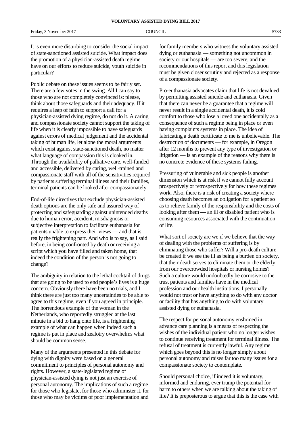It is even more disturbing to consider the social impact of state-sanctioned assisted suicide. What impact does the promotion of a physician-assisted death regime have on our efforts to reduce suicide, youth suicide in particular?

Public debate on these issues seems to be fairly set. There are a few votes in the swing. All I can say to those who are not completely convinced is: please, think about those safeguards and their adequacy. If it requires a leap of faith to support a call for a physician-assisted dying regime, do not do it. A caring and compassionate society cannot support the taking of life when it is clearly impossible to have safeguards against errors of medical judgement and the accidental taking of human life, let alone the moral arguments which exist against state-sanctioned death, no matter what language of compassion this is cloaked in. Through the availability of palliative care, well-funded and accessible, delivered by caring, well-trained and compassionate staff with all of the sensitivities required by patients suffering terminal illness and their families, terminal patients can be looked after compassionately.

End-of-life directives that exclude physician-assisted death options are the only safe and assured way of protecting and safeguarding against unintended deaths due to human error, accident, misdiagnosis or subjective interpretation to facilitate euthanasia for patients unable to express their views — and that is really the frightening part. And who is to say, as I said before, in being confronted by death or receiving a script which you have filled and taken home, that indeed the condition of the person is not going to change?

The ambiguity in relation to the lethal cocktail of drugs that are going to be used to end people's lives is a huge concern. Obviously there have been no trials, and I think there are just too many uncertainties to be able to agree to this regime, even if you agreed in principle. The horrendous example of the woman in the Netherlands, who reportedly struggled at the last minute in a bid to hang onto life, is a frightening example of what can happen when indeed such a regime is put in place and zealotry overwhelms what should be common sense.

Many of the arguments presented in this debate for dying with dignity were based on a general commitment to principles of personal autonomy and rights. However, a state-legislated regime of physician-assisted dying is not just an exercise of personal autonomy. The implications of such a regime for those who legislate, for those who administer it, for those who may be victims of poor implementation and

for family members who witness the voluntary assisted dying or euthanasia — something not uncommon in society or our hospitals — are too severe, and the recommendations of this report and this legislation must be given closer scrutiny and rejected as a response of a compassionate society.

Pro-euthanasia advocates claim that life is not devalued by permitting assisted suicide and euthanasia. Given that there can never be a guarantee that a regime will never result in a single accidental death, it is cold comfort to those who lose a loved one accidentally as a consequence of such a regime being in place or even having complaints systems in place. The idea of fabricating a death certificate to me is unbelievable. The destruction of documents — for example, in Oregon after 12 months to prevent any type of investigation or litigation — is an example of the reasons why there is no concrete evidence of these systems failing.

Pressuring of vulnerable and sick people is another dimension which is at risk if we cannot fully account prospectively or retrospectively for how these regimes work. Also, there is a risk of creating a society where choosing death becomes an obligation for a patient so as to relieve family of the responsibility and the costs of looking after them — an ill or disabled patient who is consuming resources associated with the continuation of life.

What sort of society are we if we believe that the way of dealing with the problems of suffering is by eliminating those who suffer? Will a pro-death culture be created if we see the ill as being a burden on society, that their death serves to eliminate them or the elderly from our overcrowded hospitals or nursing homes? Such a culture would undoubtedly be corrosive to the trust patients and families have in the medical profession and our health institutions. I personally would not trust or have anything to do with any doctor or facility that has anything to do with voluntary assisted dying or euthanasia.

The respect for personal autonomy enshrined in advance care planning is a means of respecting the wishes of the individual patient who no longer wishes to continue receiving treatment for terminal illness. The refusal of treatment is currently lawful. Any regime which goes beyond this is no longer simply about personal autonomy and raises far too many issues for a compassionate society to contemplate.

Should personal choice, if indeed it is voluntary, informed and enduring, ever trump the potential for harm to others when we are talking about the taking of life? It is preposterous to argue that this is the case with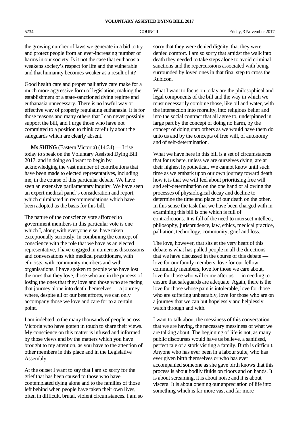the growing number of laws we generate in a bid to try and protect people from an ever-increasing number of harms in our society. Is it not the case that euthanasia weakens society's respect for life and the vulnerable and that humanity becomes weaker as a result of it?

Good health care and proper palliative care make for a much more aggressive form of legislation, making the establishment of a state-sanctioned dying regime and euthanasia unnecessary. There is no lawful way or effective way of properly regulating euthanasia. It is for those reasons and many others that I can never possibly support the bill, and I urge those who have not committed to a position to think carefully about the safeguards which are clearly absent.

**Ms SHING** (Eastern Victoria) (14:34) — I rise today to speak on the Voluntary Assisted Dying Bill 2017, and in doing so I want to begin by acknowledging the vast number of contributions that have been made to elected representatives, including me, in the course of this particular debate. We have seen an extensive parliamentary inquiry. We have seen an expert medical panel's consideration and report, which culminated in recommendations which have been adopted as the basis for this bill.

The nature of the conscience vote afforded to government members in this particular vote is one which I, along with everyone else, have taken exceptionally seriously. In combining the concept of conscience with the role that we have as an elected representative, I have engaged in numerous discussions and conversations with medical practitioners, with ethicists, with community members and with organisations. I have spoken to people who have lost the ones that they love, those who are in the process of losing the ones that they love and those who are facing that journey alone into death themselves — a journey where, despite all of our best efforts, we can only accompany those we love and care for to a certain point.

I am indebted to the many thousands of people across Victoria who have gotten in touch to share their views. My conscience on this matter is infused and informed by those views and by the matters which you have brought to my attention, as you have to the attention of other members in this place and in the Legislative Assembly.

At the outset I want to say that I am so sorry for the grief that has been caused to those who have contemplated dying alone and to the families of those left behind when people have taken their own lives, often in difficult, brutal, violent circumstances. I am so sorry that they were denied dignity, that they were denied comfort. I am so sorry that amidst the walk into death they needed to take steps alone to avoid criminal sanctions and the repercussions associated with being surrounded by loved ones in that final step to cross the Rubicon.

What I want to focus on today are the philosophical and legal components of the bill and the way in which we must necessarily combine those, like oil and water, with the intersection into morality, into religious belief and into the social contract that all agree to, underpinned in large part by the concept of doing no harm, by the concept of doing unto others as we would have them do unto us and by the concepts of free will, of autonomy and of self-determination.

What we have here in this bill is a set of circumstances that for us here, unless we are ourselves dying, are at their highest hypothetical. We cannot know until such time as we embark upon our own journey toward death how it is that we will feel about prioritising free will and self-determination on the one hand or allowing the processes of physiological decay and decline to determine the time and place of our death on the other. In this sense the task that we have been charged with in examining this bill is one which is full of contradictions. It is full of the need to intersect intellect, philosophy, jurisprudence, law, ethics, medical practice, palliation, technology, community, grief and loss.

The love, however, that sits at the very heart of this debate is what has pulled people in all the directions that we have discussed in the course of this debate love for our family members, love for our fellow community members, love for those we care about, love for those who will come after us — in needing to ensure that safeguards are adequate. Again, there is the love for those whose pain is intolerable, love for those who are suffering unbearably, love for those who are on a journey that we can but hopelessly and helplessly watch through and with.

I want to talk about the messiness of this conversation that we are having, the necessary messiness of what we are talking about. The beginning of life is not, as many public discourses would have us believe, a sanitised, perfect tale of a stork visiting a family. Birth is difficult. Anyone who has ever been in a labour suite, who has ever given birth themselves or who has ever accompanied someone as she gave birth knows that this process is about bodily fluids on floors and on hands. It is about screaming, it is about noise and it is about viscera. It is about opening our appreciation of life into something which is far more vast and far more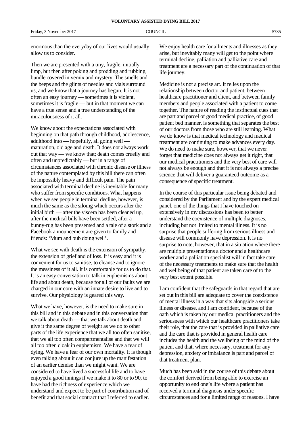enormous than the everyday of our lives would usually allow us to consider.

Then we are presented with a tiny, fragile, initially limp, but then after poking and prodding and rubbing, bundle covered in vernix and mystery. The smells and the beeps and the glints of needles and vials surround us, and we know that a journey has begun. It is not often an easy journey — sometimes it is violent, sometimes it is fragile — but in that moment we can have a true sense and a true understanding of the miraculousness of it all.

We know about the expectations associated with beginning on that path through childhood, adolescence, adulthood into — hopefully, all going well maturation, old age and death. It does not always work out that way — we know that; death comes cruelly and often and unpredictably — but in a range of circumstances associated with chronic disease or illness of the nature contemplated by this bill there can often be impossibly heavy and difficult pain. The pain associated with terminal decline is inevitable for many who suffer from specific conditions. What happens when we see people in terminal decline, however, is much the same as the siloing which occurs after the initial birth — after the viscera has been cleaned up, after the medical bills have been settled, after a bunny-rug has been presented and a tale of a stork and a Facebook announcement are given to family and friends: 'Mum and bub doing well'.

What we see with death is the extension of sympathy, the extension of grief and of loss. It is easy and it is convenient for us to sanitise, to cleanse and to ignore the messiness of it all. It is comfortable for us to do that. It is an easy conversation to talk in euphemisms about life and about death, because for all of our faults we are charged in our core with an innate desire to live and to survive. Our physiology is geared this way.

What we have, however, is the need to make sure in this bill and in this debate and in this conversation that we talk about death — that we talk about death and give it the same degree of weight as we do to other parts of the life experience that we all too often sanitise, that we all too often compartmentalise and that we will all too often cloak in euphemism. We have a fear of dying. We have a fear of our own mortality. It is though even talking about it can conjure up the manifestation of an earlier demise than we might want. We are considered to have lived a successful life and to have enjoyed a good innings if we make it to 80 or to 90, to have had the richness of experience which we understand and expect to be part of contribution and of benefit and that social contract that I referred to earlier.

We enjoy health care for ailments and illnesses as they arise, but inevitably many will get to the point where terminal decline, palliation and palliative care and treatment are a necessary part of the continuation of that life journey.

Medicine is not a precise art. It relies upon the relationship between doctor and patient, between healthcare practitioner and client, and between family members and people associated with a patient to come together. The nature of reading the instinctual cues that are part and parcel of good medical practice, of good patient bed manner, is something that separates the best of our doctors from those who are still learning. What we do know is that medical technology and medical treatment are continuing to make advances every day. We do need to make sure, however, that we never forget that medicine does not always get it right, that our medical practitioners and the very best of care will not always be enough and that it is not always a precise science that will deliver a guaranteed outcome as a consequence of specific treatment.

In the course of this particular issue being debated and considered by the Parliament and by the expert medical panel, one of the things that I have touched on extensively in my discussions has been to better understand the coexistence of multiple diagnoses, including but not limited to mental illness. It is no surprise that people suffering from serious illness and disease will commonly have depression. It is no surprise to note, however, that in a situation where there are multiple presentations a doctor and a healthcare worker and a palliation specialist will in fact take care of the necessary treatments to make sure that the health and wellbeing of that patient are taken care of to the very best extent possible.

I am confident that the safeguards in that regard that are set out in this bill are adequate to cover the coexistence of mental illness in a way that sits alongside a serious illness or disease, and I am confident, because of the oath which is taken by our medical practitioners and the seriousness with which our healthcare practitioners take their role, that the care that is provided in palliative care and the care that is provided in general health care includes the health and the wellbeing of the mind of the patient and that, where necessary, treatment for any depression, anxiety or imbalance is part and parcel of that treatment plan.

Much has been said in the course of this debate about the comfort derived from being able to exercise an opportunity to end one's life where a patient has received a terminal diagnosis under specific circumstances and for a limited range of reasons. I have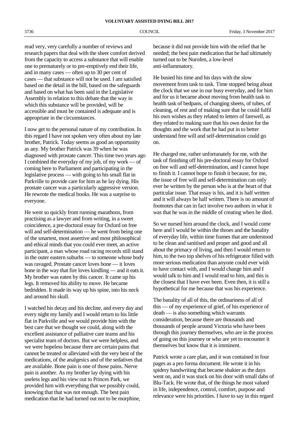read very, very carefully a number of reviews and research papers that deal with the sheer comfort derived from the capacity to access a substance that will enable one to prematurely or to pre-emptively end their life, and in many cases — often up to 30 per cent of cases — that substance will not be used. I am satisfied based on the detail in the bill, based on the safeguards and based on what has been said in the Legislative Assembly in relation to this debate that the way in which this substance will be provided, will be accessible and must be contained is adequate and is appropriate in the circumstances.

I now get to the personal nature of my contribution. In this regard I have not spoken very often about my late brother, Patrick. Today seems as good an opportunity as any. My brother Patrick was 39 when he was diagnosed with prostate cancer. This time two years ago I combined the everyday of my job, of my work — of coming here to Parliament and participating in the legislative process — with going to his small flat in Parkville to provide care for him as he lay dying. His prostate cancer was a particularly aggressive version. He rewrote the medical books. He was a surprise to everyone.

He went so quickly from running marathons, from practising as a lawyer and from writing, in a sweet coincidence, a pre-doctoral essay for Oxford on free will and self-determination — he went from being one of the smartest, most assertive and most philosophical and ethical minds that you could ever meet, an active participant, a man whose road racing records still stand in the outer eastern suburbs — to someone whose body was ravaged. Prostate cancer loves bone — it loves bone in the way that fire loves kindling — and it eats it. My brother was eaten by this cancer. It came up his legs. It removed his ability to move. He became bedridden. It made its way up his spine, into his neck and around his skull.

I watched his decay and his decline, and every day and every night my family and I would return to his little flat in Parkville and we would provide him with the best care that we thought we could, along with the excellent assistance of palliative care teams and his specialist team of doctors. But we were helpless, and we were hopeless because there are certain pains that cannot be treated or alleviated with the very best of the medications, of the analgesics and of the sedatives that are available. Bone pain is one of those pains. Nerve pain is another. As my brother lay dying with his useless legs and his view out to Princes Park, we provided him with everything that we possibly could, knowing that that was not enough. The best pain medication that he had turned out not to be morphine,

because it did not provide him with the relief that he needed; the best pain medication that he had ultimately turned out to be Nurofen, a low-level anti-inflammatory.

He busied his time and his days with the slow movement from task to task. Time stopped being about the clock that we use in our busy everyday, and for him and for us it became about moving from health task to health task of bedpans, of changing sheets, of tubes, of cleaning, of rest and of making sure that he could fulfil his own wishes as they related to letters of farewell, as they related to making sure that his own desire for the thoughts and the work that he had put in to better understand free will and self-determination could go on.

He charged me, rather unfortunately for me, with the task of finishing off his pre-doctoral essay for Oxford on free will and self-determination, and I cannot hope to finish it. I cannot hope to finish it because, for me, the issue of free will and self-determination can only ever be written by the person who is at the heart of that particular issue. That essay is his, and it is half written and it will always be half written. There is no amount of footnotes that can in fact involve two authors in what it was that he was in the middle of creating when he died.

So we nursed him around the clock, and I would come here and I would be within the throes and the banality of everyday life, within time frames that are understood to be clean and sanitised and proper and good and all about the primacy of living, and then I would return to him, to the two top shelves of his refrigerator filled with more serious medication than anyone could ever wish to have contact with, and I would change him and I would talk to him and I would read to him, and this is the closest that I have ever been. Even then, it is still a hypothetical for me because that was his experience.

The banality of all of this, the ordinariness of all of this — of my experience of grief, of his experience of death — is also something which warrants consideration, because there are thousands and thousands of people around Victoria who have been through this journey themselves, who are in the process of going on this journey or who are yet to encounter it themselves but know that it is imminent.

Patrick wrote a care plan, and it was contained in four pages as a pro forma document. He wrote it in his spidery handwriting that became shakier as the days went on, and it was stuck on his door with small dabs of Blu-Tack. He wrote that, of the things he most valued in life, independence, control, comfort, purpose and relevance were his priorities. I have to say in this regard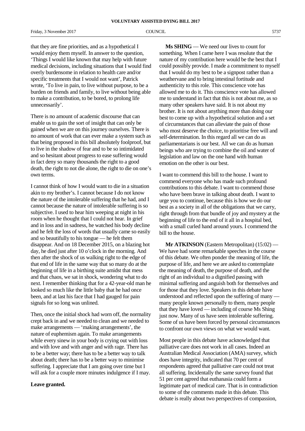Friday, 3 November 2017 COUNCIL 6737

that they are fine priorities, and as a hypothetical I would enjoy them myself. In answer to the question, 'Things I would like known that may help with future medical decisions, including situations that I would find overly burdensome in relation to health care and/or specific treatments that I would not want', Patrick wrote, 'To live in pain, to live without purpose, to be a burden on friends and family, to live without being able to make a contribution, to be bored, to prolong life unnecessarily'.

There is no amount of academic discourse that can enable us to gain the sort of insight that can only be gained when we are on this journey ourselves. There is no amount of work that can ever make a system such as that being proposed in this bill absolutely foolproof, but to live in the shadow of fear and to be so intimidated and so hesitant about progress to ease suffering would in fact deny so many thousands the right to a good death, the right to not die alone, the right to die on one's own terms.

I cannot think of how I would want to die in a situation akin to my brother's. I cannot because I do not know the nature of the intolerable suffering that he had, and I cannot because the nature of intolerable suffering is so subjective. I used to hear him weeping at night in his room when he thought that I could not hear. In grief and in loss and in sadness, he watched his body decline and he felt the loss of words that usually came so easily and so beautifully to his tongue — he felt them disappear. And on 18 December 2015, on a blazing hot day, he died just after 10 o'clock in the morning. And then after the shock of us walking right to the edge of that end of life in the same way that so many do at the beginning of life in a birthing suite amidst that mess and that chaos, we sat in shock, wondering what to do next. I remember thinking that for a 42-year-old man he looked so much like the little baby that he had once been, and at last his face that I had gauged for pain signals for so long was unlined.

Then, once the initial shock had worn off, the normality crept back in and we needed to clean and we needed to make arrangements — 'making arrangements', the nature of euphemism again. To make arrangements while every sinew in your body is crying out with loss and with love and with anger and with rage. There has to be a better way; there has to be a better way to talk about death; there has to be a better way to minimise suffering. I appreciate that I am going over time but I will ask for a couple more minutes indulgence if I may.

### **Leave granted.**

**Ms SHING** — We need our lives to count for something. When I came here I was resolute that the nature of my contribution here would be the best that I could possibly provide. I made a commitment to myself that I would do my best to be a signpost rather than a weathervane and to bring intestinal fortitude and authenticity to this role. This conscience vote has allowed me to do it. This conscience vote has allowed me to understand in fact that this is not about me, as so many other speakers have said. It is not about my brother. It is not about anything more than doing our best to come up with a hypothetical solution and a set of circumstances that can alleviate the pain of those who most deserve the choice, to prioritise free will and self-determination. In this regard all we can do as parliamentarians is our best. All we can do as human beings who are trying to combine the oil and water of legislation and law on the one hand with human emotion on the other is our best.

I want to commend this bill to the house. I want to commend everyone who has made such profound contributions to this debate. I want to commend those who have been brave in talking about death. I want to urge you to continue, because this is how we do our best as a society in all of the obligations that we carry, right through from that bundle of joy and mystery at the beginning of life to the end of it all in a hospital bed, with a small curled hand around yours. I commend the bill to the house.

**Mr ATKINSON** (Eastern Metropolitan) (15:02) — We have had some remarkable speeches in the course of this debate. We often ponder the meaning of life, the purpose of life, and here we are asked to contemplate the meaning of death, the purpose of death, and the right of an individual to a dignified passing with minimal suffering and anguish both for themselves and for those that they love. Speakers in this debate have understood and reflected upon the suffering of many many people known personally to them, many people that they have loved — including of course Ms Shing just now. Many of us have seen intolerable suffering. Some of us have been forced by personal circumstances to confront our own views on what we would want.

Most people in this debate have acknowledged that palliative care does not work in all cases. Indeed an Australian Medical Association (AMA) survey, which does have integrity, indicated that 70 per cent of respondents agreed that palliative care could not treat all suffering. Incidentally the same survey found that 51 per cent agreed that euthanasia could form a legitimate part of medical care. That is in contradiction to some of the comments made in this debate. This debate is really about two perspectives of compassion,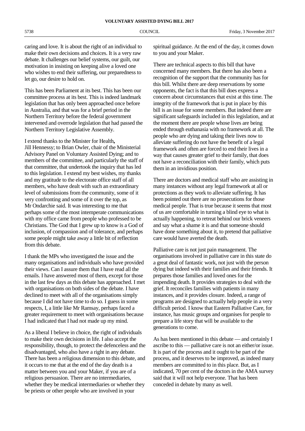caring and love. It is about the right of an individual to make their own decisions and choices. It is a very raw debate. It challenges our belief systems, our guilt, our motivation in insisting on keeping alive a loved one who wishes to end their suffering, our preparedness to let go, our desire to hold on.

This has been Parliament at its best. This has been our committee process at its best. This is indeed landmark legislation that has only been approached once before in Australia, and that was for a brief period in the Northern Territory before the federal government intervened and overrode legislation that had passed the Northern Territory Legislative Assembly.

I extend thanks to the Minister for Health**,** Jill Hennessy; to Brian Owler, chair of the Ministerial Advisory Panel on Voluntary Assisted Dying; and to members of the committee, and particularly the staff of that committee, that undertook the inquiry that has led to this legislation. I extend my best wishes, my thanks and my gratitude to the electorate office staff of all members, who have dealt with such an extraordinary level of submissions from the community, some of it very confronting and some of it over the top, as Mr Ondarchie said. It was interesting to me that perhaps some of the most intemperate communications with my office came from people who professed to be Christians. The God that I grew up to know is a God of inclusion, of compassion and of tolerance, and perhaps some people might take away a little bit of reflection from this debate.

I thank the MPs who investigated the issue and the many organisations and individuals who have provided their views. Can I assure them that I have read all the emails. I have answered most of them, except for those in the last few days as this debate has approached. I met with organisations on both sides of the debate. I have declined to meet with all of the organisations simply because I did not have time to do so. I guess in some respects, I, a little like Mr Ramsay, perhaps faced a greater requirement to meet with organisations because I had indicated that I had not made up my mind.

As a liberal I believe in choice, the right of individuals to make their own decisions in life. I also accept the responsibility, though, to protect the defenceless and the disadvantaged, who also have a right in any debate. There has been a religious dimension to this debate, and it occurs to me that at the end of the day death is a matter between you and your Maker, if you are of a religious persuasion. There are no intermediaries, whether they be medical intermediaries or whether they be priests or other people who are involved in your

spiritual guidance. At the end of the day, it comes down to you and your Maker.

There are technical aspects to this bill that have concerned many members. But there has also been a recognition of the support that the community has for this bill. Whilst there are deep reservations by some opponents, the fact is that this bill does express a concern about circumstances that exist at this time. The integrity of the framework that is put in place by this bill is an issue for some members. But indeed there are significant safeguards included in this legislation, and at the moment there are people whose lives are being ended through euthanasia with no framework at all. The people who are dying and taking their lives now to alleviate suffering do not have the benefit of a legal framework and often are forced to end their lives in a way that causes greater grief to their family, that does not have a reconciliation with their family, which puts them in an invidious position.

There are doctors and medical staff who are assisting in many instances without any legal framework at all or protections as they work to alleviate suffering. It has been pointed out there are no prosecutions for those medical people. That is true because it seems that most of us are comfortable in turning a blind eye to what is actually happening, to retreat behind our brick veneers and say what a shame it is and that someone should have done something about it, to pretend that palliative care would have averted the death.

Palliative care is not just pain management. The organisations involved in palliative care in this state do a great deal of fantastic work, not just with the person dying but indeed with their families and their friends. It prepares those families and loved ones for the impending death. It provides strategies to deal with the grief. It reconciles families with patients in many instances, and it provides closure. Indeed, a range of programs are designed to actually help people in a very difficult period. I know that Eastern Palliative Care, for instance, has music groups and organises for people to prepare a life story that will be available to the generations to come.

As has been mentioned in this debate — and certainly I ascribe to this — palliative care is not an either/or issue. It is part of the process and it ought to be part of the process, and it deserves to be improved, as indeed many members are committed to in this place. But, as I indicated, 70 per cent of the doctors in the AMA survey said that it will not help everyone. That has been conceded in debate by many as well.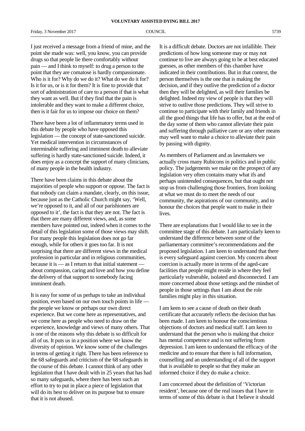I just received a message from a friend of mine, and the point she made was: well, you know, you can provide drugs so that people lie there comfortably without pain — and I think to myself: to drug a person to the point that they are comatose is hardly compassionate. Who is it for? Why do we do it? What do we do it for? Is it for us, or is it for them? It is fine to provide that sort of administration of care to a person if that is what they want as well. But if they find that the pain is intolerable and they want to make a different choice, then is it fair for us to impose our choice on them?

There have been a lot of inflammatory terms used in this debate by people who have opposed this legislation — the concept of state-sanctioned suicide. Yet medical intervention in circumstances of interminable suffering and imminent death to alleviate suffering is hardly state-sanctioned suicide. Indeed, it does enjoy as a concept the support of many clinicians, of many people in the health industry.

There have been claims in this debate about the majorities of people who support or oppose. The fact is that nobody can claim a mandate, clearly, on this issue, because just as the Catholic Church might say, 'Well, we're opposed to it, and all of our parishioners are opposed to it', the fact is that they are not. The fact is that there are many different views, and, as some members have pointed out, indeed when it comes to the detail of this legislation some of those views may shift. For many people this legislation does not go far enough, while for others it goes too far. It is not surprising that there are different views in the medical profession in particular and in religious communities, because it is — as I return to that initial statement about compassion, caring and love and how you define the delivery of that support to somebody facing imminent death.

It is easy for some of us perhaps to take an individual position, even based on our own touch points in life the people we know or perhaps our own direct experience. But we come here as representatives, and we come here as people who need to draw on the experience, knowledge and views of many others. That is one of the reasons why this debate is so difficult for all of us. It puts us in a position where we know the diversity of opinion. We know some of the challenges in terms of getting it right. There has been reference to the 68 safeguards and criticism of the 68 safeguards in the course of this debate. I cannot think of any other legislation that I have dealt with in 25 years that has had so many safeguards, where there has been such an effort to try to put in place a piece of legislation that will do its best to deliver on its purpose but to ensure that it is not abused.

It is a difficult debate. Doctors are not infallible. Their predictions of how long someone may or may not continue to live are always going to be at best educated guesses, as other members of this chamber have indicated in their contributions. But in that context, the person themselves is the one that is making the decision, and if they outlive the prediction of a doctor then they will be delighted, as will their families be delighted. Indeed my view of people is that they will strive to outlive those predictions. They will strive to continue to participate with their family and friends in all the good things that life has to offer, but at the end of the day some of them who cannot alleviate their pain and suffering through palliative care or any other means may well want to make a choice to alleviate their pain by passing with dignity.

As members of Parliament and as lawmakers we actually cross many Rubicons in politics and in public policy. The judgements we make on the prospect of any legislation very often contains many what ifs and perhaps unintended consequences, but that ought not stop us from challenging those frontiers, from looking at what we must do to meet the needs of our community, the aspirations of our community, and to honour the choices that people want to make in their lives.

There are explanations that I would like to see in the committee stage of this debate. I am particularly keen to understand the difference between some of the parliamentary committee's recommendations and the proposed legislation. I am keen to understand that there is every safeguard against coercion. My concern about coercion is actually more in terms of the aged-care facilities that people might reside in where they feel particularly vulnerable, isolated and disconnected. I am more concerned about those settings and the mindset of people in those settings than I am about the role families might play in this situation.

I am keen to see a cause of death on their death certificate that accurately reflects the decision that has been made. I am keen to honour the conscientious objections of doctors and medical staff. I am keen to understand that the person who is making that choice has mental competence and is not suffering from depression. I am keen to understand the efficacy of the medicine and to ensure that there is full information, counselling and an understanding of all of the support that is available to people so that they make an informed choice if they do make a choice.

I am concerned about the definition of 'Victorian resident', because one of the real issues that I have in terms of some of this debate is that I believe it should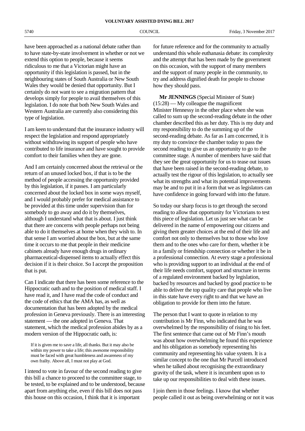**VOLUNTARY ASSISTED DYING BILL 2017**

have been approached as a national debate rather than to have state-by-state involvement in whether or not we extend this option to people, because it seems ridiculous to me that a Victorian might have an opportunity if this legislation is passed, but in the neighbouring states of South Australia or New South Wales they would be denied that opportunity. But I certainly do not want to see a migration pattern that develops simply for people to avail themselves of this legislation. I do note that both New South Wales and Western Australia are currently also considering this type of legislation.

I am keen to understand that the insurance industry will respect the legislation and respond appropriately without withdrawing its support of people who have contributed to life insurance and have sought to provide comfort to their families when they are gone.

And I am certainly concerned about the retrieval or the return of an unused locked box, if that is to be the method of people accessing the opportunity provided by this legislation, if it passes. I am particularly concerned about the locked box in some ways myself, and I would probably prefer for medical assistance to be provided at this time under supervision than for somebody to go away and do it by themselves, although I understand what that is about. I just think that there are concerns with people perhaps not being able to do it themselves at home when they wish to. In that sense I am worried about the box, but at the same time it occurs to me that people in their medicine cabinets already have enough drugs in ordinary pharmaceutical-dispensed items to actually effect this decision if it is their choice. So I accept the proposition that is put.

Can I indicate that there has been some reference to the Hippocratic oath and to the position of medical staff. I have read it, and I have read the code of conduct and the code of ethics that the AMA has, as well as documentation that has been adopted by the medical profession in Geneva previously. There is an interesting statement — the one adopted in Geneva. That statement, which the medical profession abides by as a modern version of the Hippocratic oath, is:

If it is given me to save a life, all thanks. But it may also be within my power to take a life; this awesome responsibility must be faced with great humbleness and awareness of my own frailty. Above all, I must not play at God.

I intend to vote in favour of the second reading to give this bill a chance to proceed to the committee stage, to be tested, to be explained and to be understood, because apart from anything else, even if this bill does not pass this house on this occasion, I think that it is important

for future reference and for the community to actually understand this whole euthanasia debate: its complexity and the attempt that has been made by the government on this occasion, with the support of many members and the support of many people in the community, to try and address dignified death for people to choose how they should pass.

**Mr JENNINGS** (Special Minister of State) (15:28) — My colleague the magnificent Minister Hennessy in the other place when she was called to sum up the second-reading debate in the other chamber described this as her duty. This is my duty and my responsibility to do the summing up of the second-reading debate. As far as I am concerned, it is my duty to convince the chamber today to pass the second reading to give us an opportunity to go to the committee stage. A number of members have said that they see the great opportunity for us to tease out issues that have been raised in the second-reading debate, to actually test the rigour of this legislation, to actually see what its strengths and what its potential improvements may be and to put it in a form that we as legislators can have confidence in going forward with into the future.

So today our sharp focus is to get through the second reading to allow that opportunity for Victorians to test this piece of legislation. Let us just see what can be delivered in the name of empowering our citizens and giving them greater choices at the end of their life and comfort not only to themselves but to those who love them and to the ones who care for them, whether it be in a family or friendship connection or whether it be in a professional connection. At every stage a professional who is providing support to an individual at the end of their life needs comfort, support and structure in terms of a regulated environment backed by legislation, backed by resources and backed by good practice to be able to deliver the top quality care that people who live in this state have every right to and that we have an obligation to provide for them into the future.

The person that I want to quote in relation to my contribution is Mr Finn, who indicated that he was overwhelmed by the responsibility of rising to his feet. The first sentence that came out of Mr Finn's mouth was about how overwhelming he found this experience and his obligation as somebody representing his community and representing his value system. It is a similar concept to the one that Mr Purcell introduced when he talked about recognising the extraordinary gravity of the task, where it is incumbent upon us to take up our responsibilities to deal with these issues.

I join them in those feelings. I know that whether people called it out as being overwhelming or not it was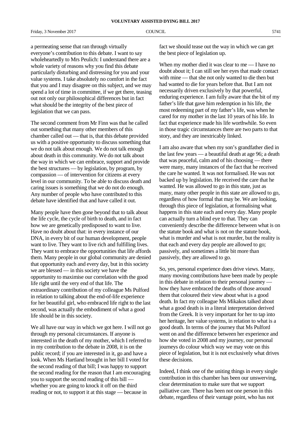Friday, 3 November 2017 COUNCIL COUNCIL 5741

a permeating sense that ran through virtually everyone's contribution to this debate. I want to say wholeheartedly to Mrs Peulich: I understand there are a whole variety of reasons why you find this debate particularly disturbing and distressing for you and your value systems. I take absolutely no comfort in the fact that you and I may disagree on this subject, and we may spend a lot of time in committee, if we get there, teasing out not only our philosophical differences but in fact what should be the integrity of the best piece of legislation that we can pass.

The second comment from Mr Finn was that he called out something that many other members of this chamber called out — that is, that this debate provided us with a positive opportunity to discuss something that we do not talk about enough. We do not talk enough about death in this community. We do not talk about the way in which we can embrace, support and provide the best structures — by legislation, by program, by compassion — of intervention for citizens at every level in our community. To be able to discuss death and caring issues is something that we do not do enough. Any number of people who have contributed to this debate have identified that and have called it out.

Many people have then gone beyond that to talk about the life cycle, the cycle of birth to death, and in fact how we are genetically predisposed to want to live. Have no doubt about that: in every instance of our DNA, in every bit of our human development, people want to live. They want to live rich and fulfilling lives. They want to embrace the opportunities that life affords them. Many people in our global community are denied that opportunity each and every day, but in this society we are blessed — in this society we have the opportunity to maximise our correlation with the good life right until the very end of that life. The extraordinary contribution of my colleague Ms Pulford in relation to talking about the end-of-life experience for her beautiful girl, who embraced life right to the last second, was actually the embodiment of what a good life should be in this society.

We all have our way in which we got here. I will not go through my personal circumstances. If anyone is interested in the death of my mother, which I referred to in my contribution to the debate in 2008, it is on the public record; if you are interested in it, go and have a look. When Ms Hartland brought in her bill I voted for the second reading of that bill; I was happy to support the second reading for the reason that I am encouraging you to support the second reading of this bill whether you are going to knock it off on the third reading or not, to support it at this stage — because in

fact we should tease out the way in which we can get the best piece of legislation up.

When my mother died it was clear to me — I have no doubt about it; I can still see her eyes that made contact with mine — that she not only wanted to die then but had wanted to die for years before that. But I am not necessarily driven exclusively by that powerful, enduring experience. I am fully aware that the bit of my father's life that gave him redemption in his life, the most redeeming part of my father's life, was when he cared for my mother in the last 10 years of his life. In fact that experience made his life worthwhile. So even in those tragic circumstances there are two parts to that story, and they are inextricably linked.

I am also aware that when my son's grandfather died in the last few years — a beautiful death at age 96; a death that was peaceful, calm and of his choosing — there were many, many instances of the fact that he received the care he wanted. It was not formalised. He was not backed up by legislation. He received the care that he wanted. He was allowed to go in this state, just as many, many other people in this state are allowed to go, regardless of how formal that may be. We are looking, through this piece of legislation, at formalising what happens in this state each and every day. Many people can actually turn a blind eye to that. They can conveniently describe the difference between what is on the statute book and what is not on the statute book, what is murder and what is not murder, but the reality is that each and every day people are allowed to go; passively, and sometimes a little bit more than passively, they are allowed to go.

So, yes, personal experience does drive views. Many, many moving contributions have been made by people in this debate in relation to their personal journey how they have embraced the deaths of those around them that coloured their view about what is a good death. In fact my colleague Ms Mikakos talked about what a good death is in a literal interpretation derived from the Greek. It is very important for her to tap into her heritage, her value systems, in relation to what is a good death. In terms of the journey that Ms Pulford went on and the difference between her experience and how she voted in 2008 and my journey, our personal journeys do colour which way we may vote on this piece of legislation, but it is not exclusively what drives these decisions.

Indeed, I think one of the uniting things in every single contribution in this chamber has been our unswerving, clear determination to make sure that we support palliative care. There has been not one person in this debate, regardless of their vantage point, who has not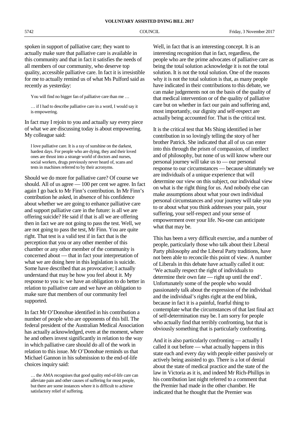spoken in support of palliative care; they want to actually make sure that palliative care is available in this community and that in fact it satisfies the needs of all members of our community, who deserve top quality, accessible palliative care. In fact it is irresistible for me to actually remind us of what Ms Pulford said as recently as yesterday:

You will find no bigger fan of palliative care than me …

… if I had to describe palliative care in a word, I would say it is empowering.

In fact may I rejoin to you and actually say every piece of what we are discussing today is about empowering. My colleague said:

I love palliative care. It is a ray of sunshine on the darkest, hardest days. For people who are dying, they and their loved ones are thrust into a strange world of doctors and nurses, social workers, drugs previously never heard of, scans and tests in machines referred to by their acronyms.

Should we do more for palliative care? Of course we should. All of us agree — 100 per cent we agree. In fact again I go back to Mr Finn's contribution. In Mr Finn's contribution he asked, in absence of his confidence about whether we are going to enhance palliative care and support palliative care in the future: is all we are offering suicide? He said if that is all we are offering then in fact we are not going to pass the test. Well, we are not going to pass the test, Mr Finn. You are quite right. That test is a valid test if in fact that is the perception that you or any other member of this chamber or any other member of the community is concerned about — that in fact your interpretation of what we are doing here in this legislation is suicide. Some have described that as provocative; I actually understand that may be how you feel about it. My response to you is: we have an obligation to do better in relation to palliative care and we have an obligation to make sure that members of our community feel supported.

In fact Mr O'Donohue identified in his contribution a number of people who are opponents of this bill. The federal president of the Australian Medical Association has actually acknowledged, even at the moment, where he and others invest significantly in relation to the way in which palliative care should do all of the work in relation to this issue. Mr O'Donohue reminds us that Michael Gannon in his submission to the end-of-life choices inquiry said:

Well, in fact that is an interesting concept. It is an interesting recognition that in fact, regardless, the people who are the prime advocates of palliative care as being the total solution acknowledge it is not the total solution. It is not the total solution. One of the reasons why it is not the total solution is that, as many people have indicated in their contributions to this debate, we can make judgements not on the basis of the quality of that medical intervention or of the quality of palliative care but on whether in fact our pain and suffering and, most importantly, our dignity and self-respect are actually being accounted for. That is the critical test.

It is the critical test that Ms Shing identified in her contribution in so lovingly telling the story of her brother Patrick. She indicated that all of us can enter into this through the prism of compassion, of intellect and of philosophy, but none of us will know where our personal journey will take us to — our personal response to our circumstances — because ultimately we are individuals of a unique experience that will determine our view on this subject, our individual view on what is the right thing for us. And nobody else can make assumptions about what your own individual personal circumstances and your journey will take you to or about what you think addresses your pain, your suffering, your self-respect and your sense of empowerment over your life. No-one can anticipate what that may be.

This has been a very difficult exercise, and a number of people, particularly those who talk about their Liberal Party philosophy and the Liberal Party traditions, have not been able to reconcile this point of view. A number of Liberals in this debate have actually called it out: 'We actually respect the right of individuals to determine their own fate — right up until the end'. Unfortunately some of the people who would passionately talk about the expression of the individual and the individual's rights right at the end blink, because in fact it is a painful, fearful thing to contemplate what the circumstances of that last final act of self-determination may be. I am sorry for people who actually find that terribly confronting, but that is obviously something that is particularly confronting.

And it is also particularly confronting — actually I called it out before — what actually happens in this state each and every day with people either passively or actively being assisted to go. There is a lot of denial about the state of medical practice and the state of the law in Victoria as it is, and indeed Mr Rich-Phillips in his contribution last night referred to a comment that the Premier had made in the other chamber. He indicated that he thought that the Premier was

<sup>…</sup> the AMA recognises that good quality end-of-life care can alleviate pain and other causes of suffering for most people, but there are some instances where it is difficult to achieve satisfactory relief of suffering.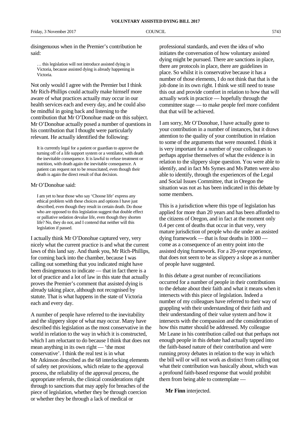disingenuous when in the Premier's contribution he said:

… this legislation will not introduce assisted dying in Victoria, because assisted dying is already happening in Victoria.

Not only would I agree with the Premier but I think Mr Rich-Phillips could actually make himself more aware of what practices actually may occur in our health services each and every day, and he could also be mindful in going back and listening to the contribution that Mr O'Donohue made on this subject. Mr O'Donohue actually posed a number of questions in his contribution that I thought were particularly relevant. He actually identified the following:

It is currently legal for a patient or guardian to approve the turning off of a life support system or a ventilator, with death the inevitable consequence. It is lawful to refuse treatment or nutrition, with death again the inevitable consequence. A patient can request not to be resuscitated, even though their death is again the direct result of that decision.

### Mr O'Donohue said:

I am yet to hear those who say 'Choose life' express any ethical problem with these choices and options I have just described, even though they result in certain death. Do those who are opposed to this legislation suggest that double effect or palliative sedation devalue life, even though they shorten life? No, they do not, and I contend that neither will this legislation if passed.

I actually think Mr O'Donohue captured very, very nicely what the current practice is and what the current laws of this land say. And thank you, Mr Rich-Phillips, for coming back into the chamber, because I was calling out something that you indicated might have been disingenuous to indicate — that in fact there is a lot of practice and a lot of law in this state that actually proves the Premier's comment that assisted dying is already taking place, although not recognised by statute. That is what happens in the state of Victoria each and every day.

A number of people have referred to the inevitability and the slippery slope of what may occur. Many have described this legislation as the most conservative in the world in relation to the way in which it is constructed, which I am reluctant to do because I think that does not mean anything in its own right — 'the most conservative'. I think the real test is in what Mr Atkinson described as the 68 interlocking elements of safety net provisions, which relate to the approval process, the reliability of the approval process, the appropriate referrals, the clinical considerations right through to sanctions that may apply for breaches of the piece of legislation, whether they be through coercion or whether they be through a lack of medical or

professional standards, and even the idea of who initiates the conversation of how voluntary assisted dying might be pursued. There are sanctions in place, there are protocols in place, there are guidelines in place. So whilst it is conservative because it has a number of those elements, I do not think that that is the job done in its own right. I think we still need to tease this out and provide comfort in relation to how that will actually work in practice — hopefully through the committee stage — to make people feel more confident that that will be achieved.

I am sorry, Mr O'Donohue, I have actually gone to your contribution in a number of instances, but it draws attention to the quality of your contribution in relation to some of the arguments that were mounted. I think it is very important for a number of your colleagues to perhaps apprise themselves of what the evidence is in relation to the slippery slope question. You were able to identify, and in fact Ms Symes and Ms Patten were also able to identify, through the experiences of the Legal and Social Issues Committee, that in Oregon the situation was not as has been indicated in this debate by some members.

This is a jurisdiction where this type of legislation has applied for more than 20 years and has been afforded to the citizens of Oregon, and in fact at the moment only 0.4 per cent of deaths that occur in that very, very mature jurisdiction of people who die under an assisted dying framework — that is four deaths in 1000 come as a consequence of an entry point into the assisted dying framework. For a 20-year experience, that does not seem to be as slippery a slope as a number of people have suggested.

In this debate a great number of reconciliations occurred for a number of people in their contributions to the debate about their faith and what it means when it intersects with this piece of legislation. Indeed a number of my colleagues have referred to their way of grappling with their understanding of their faith and their understanding of their value system and how it intersects with the compassion and the consideration of how this matter should be addressed. My colleague Mr Leane in his contribution called out that perhaps not enough people in this debate had actually tapped into the faith-based nature of their contribution and were running proxy debates in relation to the way in which the bill will or will not work as distinct from calling out what their contribution was basically about, which was a profound faith-based response that would prohibit them from being able to contemplate —

**Mr Finn** interjected.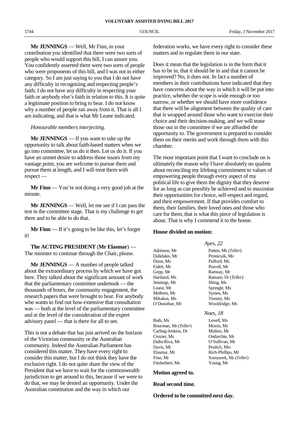**Mr JENNINGS** — Well, Mr Finn, in your contribution you identified that there were two sorts of people who would support this bill, I can assure you. You confidently asserted there were two sorts of people who were proponents of this bill, and I was not in either category. So I am just saying to you that I do not have any difficulty in recognising and respecting people's faith; I do not have any difficulty in respecting your faith or anybody else's faith in relation to this. It is quite a legitimate position to bring to bear. I do not know why a number of people ran away from it. That is all I am indicating, and that is what Mr Leane indicated.

### *Honourable members interjecting.*

**Mr JENNINGS** — If you want to take up the opportunity to talk about faith-based matters when we go into committee, let us do it then. Let us do it. If you have an unmet desire to address those issues from my vantage point, you are welcome to pursue them and pursue them at length, and I will treat them with respect —

**Mr Finn** — You're not doing a very good job at the minute.

**Mr JENNINGS** — Well, let me see if I can pass the test in the committee stage. That is my challenge to get there and to be able to do that.

**Mr Finn** — If it's going to be like this, let's forget it!

**The ACTING PRESIDENT** (**Mr Elasmar**) — The minister to continue through the Chair, please.

**Mr JENNINGS** — A number of people talked about the extraordinary process by which we have got here. They talked about the significant amount of work that the parliamentary committee undertook — the thousands of hours, the community engagement, the research papers that were brought to bear. For anybody who wants to find out how extensive that consultation was — both at the level of the parliamentary committee and at the level of the consideration of the expert advisory panel — that is there for all to see.

This is not a debate that has just arrived on the horizon of the Victorian community or the Australian community. Indeed the Australian Parliament has considered this matter. They have every right to consider this matter, but I do not think they have the exclusive right. I do not quite share the view of the President that we have to wait for the commonwealth jurisdiction to get around to this, because if we were to do that, we may be denied an opportunity. Under the Australian constitution and the way in which our

federation works, we have every right to consider these matters and to regulate them in our state.

Does it mean that the legislation is in the form that it has to be in, that it should be in and that it cannot be improved? No, it does not. In fact a number of members in their contributions have indicated that they have concerns about the way in which it will be put into practice, whether the scope is wide enough or too narrow, or whether we should have more confidence that there will be alignment between the quality of care that is wrapped around those who want to exercise their choice and their decision-making, and we will tease those out in the committee if we are afforded the opportunity to. The government is prepared to consider them on their merits and work through them with this chamber.

The most important point that I want to conclude on is ultimately the reason why I have absolutely no qualms about reconciling my lifelong commitment to values of empowering people through every aspect of my political life to give them the dignity that they deserve for as long as can possibly be achieved and to maximise their opportunities for choice, self-respect and regard, and their empowerment. If that provides comfort to them, their families, their loved ones and those who care for them, that is what this piece of legislation is about. That is why I commend it to the house.

### **House divided on motion:**

*Ayes, 22*

Dunn, Ms Pulford, Ms Eideh, Mr Purcell, Mr Gepp, Mr<br>
Hartland, Ms<br>
Ratnam, Dr Jennings, Mr Shing, Ms Leane, Mr Springle, Ms Melhem, Mr Symes, Ms Mikakos, Ms Tierney, Ms O'Donohue, Mr Wooldridge, Ms

Bath, Ms Lovell, Ms Bourman, Mr (*Teller*) Morris, Mr Carling-Jenkins, Dr Mulino, Mr Crozier, Ms Ondarchie, Mr Dalla-Riva, Mr O'Sullivan, Mr Davis, Mr Peulich, Mrs Elasmar, Mr Rich-Phillips, Mr Fitzherbert, Ms Young, Mr

Atkinson, Mr Patten, Ms (*Teller*)<br>Dalidakis. Mr Pennicuik. Ms Pennicuik, Ms Ratnam, Dr (*Teller*)

### *Noes, 18*

Finn, Mr Somyurek, Mr (*Teller*)

### **Motion agreed to.**

### **Read second time.**

**Ordered to be committed next day.**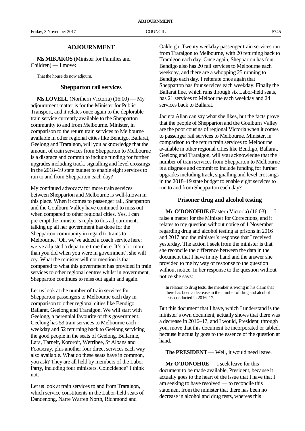### **ADJOURNMENT**

**Ms MIKAKOS** (Minister for Families and Children) — I move:

That the house do now adjourn.

### **Shepparton rail services**

**Ms LOVELL** (Northern Victoria) (16:00) — My adjournment matter is for the Minister for Public Transport, and it relates once again to the deplorable train service currently available to the Shepparton community to and from Melbourne. Minister, in comparison to the return train services to Melbourne available in other regional cities like Bendigo, Ballarat, Geelong and Traralgon, will you acknowledge that the amount of train services from Shepparton to Melbourne is a disgrace and commit to include funding for further upgrades including track, signalling and level crossings in the 2018–19 state budget to enable eight services to run to and from Shepparton each day?

My continued advocacy for more train services between Shepparton and Melbourne is well-known in this place. When it comes to passenger rail, Shepparton and the Goulburn Valley have continued to miss out when compared to other regional cities. Yes, I can pre-empt the minister's reply to this adjournment, talking up all her government has done for the Shepparton community in regard to trains to Melbourne. 'Oh, we've added a coach service here; we've adjusted a departure time there. It's a lot more than you did when you were in government', she will cry. What the minister will not mention is that compared to what this government has provided in train services to other regional centres whilst in government, Shepparton continues to miss out again and again.

Let us look at the number of train services for Shepparton passengers to Melbourne each day in comparison to other regional cities like Bendigo, Ballarat, Geelong and Traralgon. We will start with Geelong, a perennial favourite of this government. Geelong has 53 train services to Melbourne each weekday and 52 returning back to Geelong servicing the good people in the seats of Geelong, Bellarine, Lara, Tarneit, Kororoit, Werribee, St Albans and Footscray, plus another four direct services each way also available. What do these seats have in common, you ask? They are all held by members of the Labor Party, including four ministers. Coincidence? I think not.

Let us look at train services to and from Traralgon, which service constituents in the Labor-held seats of Dandenong, Narre Warren North, Richmond and

Oakleigh. Twenty weekday passenger train services run from Traralgon to Melbourne, with 20 returning back to Traralgon each day. Once again, Shepparton has four. Bendigo also has 20 rail services to Melbourne each weekday, and there are a whopping 25 running to Bendigo each day. I reiterate once again that Shepparton has four services each weekday. Finally the Ballarat line, which runs through six Labor-held seats, has 21 services to Melbourne each weekday and 24 services back to Ballarat.

Jacinta Allan can say what she likes, but the facts prove that the people of Shepparton and the Goulburn Valley are the poor cousins of regional Victoria when it comes to passenger rail services to Melbourne. Minister, in comparison to the return train services to Melbourne available in other regional cities like Bendigo, Ballarat, Geelong and Traralgon, will you acknowledge that the number of train services from Shepparton to Melbourne is a disgrace and commit to include funding for further upgrades including track, signalling and level crossings in the 2018–19 state budget to enable eight services to run to and from Shepparton each day?

### **Prisoner drug and alcohol testing**

**Mr O'DONOHUE** (Eastern Victoria) (16:03) — I raise a matter for the Minister for Corrections, and it relates to my question without notice of 1 November regarding drug and alcohol testing at prisons in 2016 and 2017 and the minister's response that I received yesterday. The action I seek from the minister is that she reconcile the difference between the data in the document that I have in my hand and the answer she provided to me by way of response to the question without notice. In her response to the question without notice she says:

In relation to drug tests, the member is wrong in his claim that there has been a decrease in the number of drug and alcohol tests conducted in 2016–17.

But this document that I have, which I understand is the minister's own document, actually shows that there was a decrease in 2016–17, and I would, President, through you, move that this document be incorporated or tabled, because it actually goes to the essence of the question at hand.

**The PRESIDENT** — Well, it would need leave.

**Mr O'DONOHUE** — I seek leave for this document to be made available, President, because it actually goes to the heart of the issue that I have that I am seeking to have resolved — to reconcile this statement from the minister that there has been no decrease in alcohol and drug tests, whereas this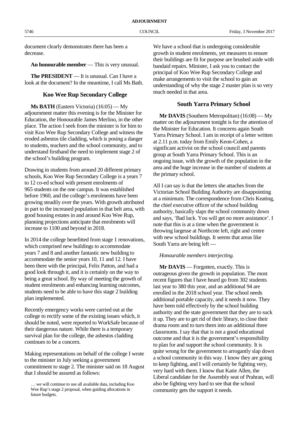document clearly demonstrates there has been a decrease.

**An honourable member** — This is very unusual.

**The PRESIDENT** — It is unusual. Can I have a look at the document? In the meantime, I call Ms Bath.

### **Koo Wee Rup Secondary College**

**Ms BATH** (Eastern Victoria) (16:05) — My adjournment matter this evening is for the Minister for Education, the Honourable James Merlino, in the other place. The action I seek from the minister is for him to visit Koo Wee Rup Secondary College and witness the eroded asbestos tile cladding, which is posing a danger to students, teachers and the school community, and to understand firsthand the need to implement stage 2 of the school's building program.

Drawing in students from around 20 different primary schools, Koo Wee Rup Secondary College is a years 7 to 12 co-ed school with present enrolments of 965 students on the one campus. It was established before 1960, and the college's enrolments have been growing steadily over the years. With growth attributed in part to the increased population in that belt area, with good housing estates in and around Koo Wee Rup, planning projections anticipate that enrolments will increase to 1100 and beyond in 2018.

In 2014 the college benefitted from stage 1 renovations, which comprised new buildings to accommodate years 7 and 8 and another fantastic new building to accommodate the senior years 10, 11 and 12. I have been there with the principal, Felix Patton, and had a good look through it, and it is certainly on the way to being a great school. By way of meeting the growth of student enrolments and enhancing learning outcomes, students need to be able to have this stage 2 building plan implemented.

Recently emergency works were carried out at the college to rectify some of the existing issues which, it should be noted, were reported to WorkSafe because of their dangerous nature. While there is a temporary survival plan for the college, the asbestos cladding continues to be a concern.

Making representations on behalf of the college I wrote to the minister in July seeking a government commitment to stage 2. The minister said on 18 August that Ishould be assured as follows:

We have a school that is undergoing considerable growth in student enrolments, yet measures to ensure their buildings are fit for purpose are brushed aside with bandaid repairs. Minister, I ask you to contact the principal of Koo Wee Rup Secondary College and make arrangements to visit the school to gain an understanding of why the stage 2 master plan is so very much needed in that area.

### **South Yarra Primary School**

**Mr DAVIS** (Southern Metropolitan) (16:08) — My matter on the adjournment tonight is for the attention of the Minister for Education. It concerns again South Yarra Primary School. I am in receipt of a letter written at 2.11 p.m. today from Emily Keon-Cohen, a significant activist on the school council and parents group at South Yarra Primary School. This is an ongoing issue, with the growth of the population in the area and the huge increase in the number of students at the primary school.

All I can say is that the letters she attaches from the Victorian School Building Authority are disappointing at a minimum. The correspondence from Chris Keating, the chief executive officer of the school building authority, basically slaps the school community down and says, 'Bad luck. You will get no more assistance'. I note that this is at a time when the government is throwing largesse at Northcote left, right and centre with new school buildings. It seems that areas like South Yarra are being left —

### *Honourable members interjecting.*

**Mr DAVIS** — Forgotten, exactly. This is outrageous given the growth in population. The most recent figures that I have heard go from 302 students last year to 380 this year, and an additional 94 are enrolled in the 2018 school year. The school needs additional portable capacity, and it needs it now. They have been told effectively by the school building authority and the state government that they are to suck it up. They are to get rid of their library, to close their drama room and to turn them into an additional three classrooms. I say that that is not a good educational outcome and that it is the government's responsibility to plan for and support the school community. It is quite wrong for the government to arrogantly slap down a school community in this way. I know they are going to keep fighting, and I will certainly be fighting very, very hard with them. I know that Katie Allen, the Liberal candidate for the Assembly seat of Prahran, will also be fighting very hard to see that the school community gets the support it needs.

<sup>…</sup> we will continue to use all available data, including Koo Wee Rup's stage 2 proposal, when guiding allocations in future budgets.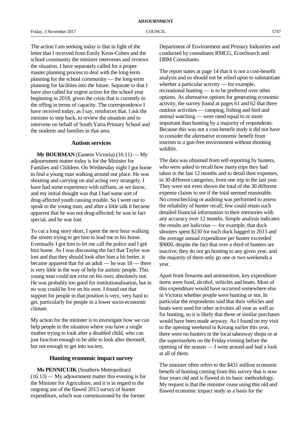The action I am seeking today is that in light of the letter that I received from Emily Keon-Cohen and the school community the minister intervenes and reviews the situation. I have separately called for a proper master planning process to deal with the long-term planning for the school community — the long-term planning for facilities into the future. Separate to that I have also called for urgent action for the school year beginning in 2018, given the crisis that is currently in the offing in terms of capacity. The correspondence I have received today, as I say, reinforces that. I ask the minister to step back, to review the situation and to intervene on behalf of South Yarra Primary School and the students and families in that area.

### **Autism services**

**Mr BOURMAN** (Eastern Victoria) (16:11) — My adjournment matter today is for the Minister for Families and Children. On Wednesday night I got home to find a young man walking around our place. He was shouting and carrying on and acting very strangely. I have had some experience with ruffians, as we know, and my initial thought was that I had some sort of drug-affected youth causing trouble. So I went out to speak to the young man, and after a little talk it became apparent that he was not drug-affected; he was in fact special, and he was lost.

To cut a long story short, I spent the next hour walking the streets trying to get him to lead me to his home. Eventually I got him to let me call the police and I got him home. As I was discussing the fact that Taylor was lost and that they should look after him a bit better, it became apparent that for an adult — he was 18 — there is very little in the way of help for autistic people. This young man could not exist on his own; absolutely not. He was probably too good for institutionalisation, but in no way could he live on his own. I found out that support for people in that position is very, very hard to get, particularly for people in a lower socio-economic climate.

My action for the minister is to investigate how we can help people in the situation where you have a single mother trying to look after a disabled child, who can just function enough to be able to look after themself, but not enough to get into society.

### **Hunting economic impact survey**

**Ms PENNICUIK** (Southern Metropolitan)  $(16:13)$  — My adjournment matter this evening is for the Minister for Agriculture, and it is in regard to the ongoing use of the flawed 2013 survey of hunter expenditure, which was commissioned by the former

Department of Environment and Primary Industries and conducted by consultants RMCG, EconSearch and DBM Consultants.

The report states at page 14 that it is not a cost-benefit analysis and so should not be relied upon to substantiate whether a particular activity — for example, recreational hunting — is to be preferred over other options. As alternative options for generating economic activity, the survey found at pages 61 and 62 that three outdoor activities — camping, fishing and bird and animal watching — were rated equal to or more important than hunting by a majority of respondents. Because this was not a cost-benefit study it did not have to consider the alternative economic benefit from tourism in a gun-free environment without shooting wildlife.

The data was obtained from self-reporting by hunters, who were asked to recall how many trips they had taken in the last 12 months and to detail their expenses, in 30 different categories, from one trip in the last year. They were not even shown the total of the 30 different expense claims to see if the total seemed reasonable. No crosschecking or auditing was performed to assess the reliability of hunter recall; few could retain such detailed financial information in their memories with any accuracy over 12 months. Simple analysis indicates the results are ludicrous — for example, that duck shooters spent \$230 for each duck bagged in 2013 and the average annual expenditure per hunter exceeded \$9000, despite the fact that over a third of hunters are inactive; they do not go hunting in any given year, and the majority of them only go one or two weekends a year.

Apart from firearms and ammunition, key expenditure items were food, alcohol, vehicles and boats. Most of this expenditure would have occurred somewhere else in Victoria whether people were hunting or not. In particular the respondents said that their vehicles and boats were used for other activities all year as well as for hunting, so it is likely that these or similar purchases would have been made anyway. As I found on my visit to the opening weekend in Kerang earlier this year, there were no hunters in the local takeaway shops or at the supermarkets on the Friday evening before the opening of the season — I went around and had a look at all of them.

The minister often refers to the \$431 million economic benefit of hunting coming from this survey that is now four years old and is flawed in its basic methodology. My request is that the minister cease using this old and flawed economic impact study as a basis for the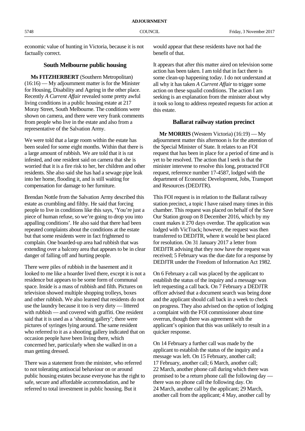economic value of hunting in Victoria, because it is not factually correct.

### **South Melbourne public housing**

**Ms FITZHERBERT** (Southern Metropolitan) (16:16) — My adjournment matter is for the Minister for Housing, Disability and Ageing in the other place. Recently *A Current Affair* revealed some pretty awful living conditions in a public housing estate at 217 Moray Street, South Melbourne. The conditions were shown on camera, and there were very frank comments from people who live in the estate and also from a representative of the Salvation Army.

We were told that a large room within the estate has been sealed for some eight months. Within that there is a large amount of rubbish. We are told that it is rat infested, and one resident said on camera that she is worried that it is a fire risk to her, her children and other residents. She also said she has had a sewage pipe leak into her home, flooding it, and is still waiting for compensation for damage to her furniture.

Brendan Nottle from the Salvation Army described this estate as crumbling and filthy. He said that forcing people to live in conditions like this says, 'You're just a piece of human refuse, so we're going to drop you into appalling conditions'. He also said that there had been repeated complaints about the conditions at the estate but that some residents were in fact frightened to complain. One boarded-up area had rubbish that was extending over a balcony area that appears to be in clear danger of falling off and hurting people.

There were piles of rubbish in the basement and it looked to me like a hoarder lived there, except it is not a residence but appears to be some form of communal space. Inside is a mass of rubbish and filth. Pictures on television showed multiple shopping trolleys, boxes and other rubbish. We also learned that residents do not use the laundry because it too is very dirty — littered with rubbish — and covered with graffiti. One resident said that it is used as a 'shooting gallery'; there were pictures of syringes lying around. The same resident who referred to it as a shooting gallery indicated that on occasion people have been living there, which concerned her, particularly when she walked in on a man getting dressed.

There was a statement from the minister, who referred to not tolerating antisocial behaviour on or around public housing estates because everyone has the right to safe, secure and affordable accommodation, and he referred to total investment in public housing. But it

would appear that these residents have not had the benefit of that.

It appears that after this matter aired on television some action has been taken. I am told that in fact there is some clean-up happening today. I do not understand at all why it has taken *A Current Affair* to trigger some action on these squalid conditions. The action I am seeking is an explanation from the minister about why it took so long to address repeated requests for action at this estate.

### **Ballarat railway station precinct**

**Mr MORRIS** (Western Victoria) (16:19) — My adjournment matter this afternoon is for the attention of the Special Minister of State. It relates to an FOI request that has been in place for a period of time and is yet to be resolved. The action that I seek is that the minister intervene to resolve this long, protracted FOI request, reference number 17-4587, lodged with the department of Economic Development, Jobs, Transport and Resources (DEDJTR).

This FOI request is in relation to the Ballarat railway station precinct, a topic I have raised many times in this chamber. This request was placed on behalf of the Save Our Station group on 8 December 2016, which by my count makes it 270 days overdue. The application was lodged with VicTrack; however, the request was then transferred to DEDJTR, where it would be best placed for resolution. On 31 January 2017 a letter from DEDJTR advising that they now have the request was received; 5 February was the due date for a response by DEDJTR under the Freedom of Information Act 1982.

On 6 February a call was placed by the applicant to establish the status of the inquiry and a message was left requesting a call back. On 7 February a DEDJTR officer advised that a document search was being done and the applicant should call back in a week to check on progress. They also advised on the option of lodging a complaint with the FOI commissioner about time overrun, though there was agreement with the applicant's opinion that this was unlikely to result in a quicker response.

On 14 February a further call was made by the applicant to establish the status of the inquiry and a message was left. On 15 February, another call; 17 February, another call; 6 March, another call; 22 March, another phone call during which there was promised to be a return phone call the following day there was no phone call the following day. On 24 March, another call by the applicant; 29 March, another call from the applicant; 4 May, another call by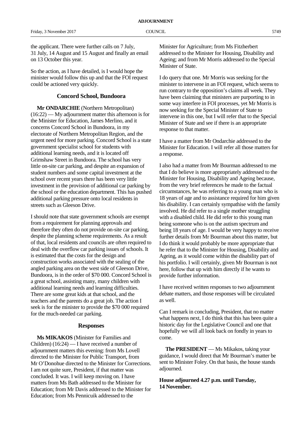the applicant. There were further calls on 7 July, 31 July, 14 August and 15 August and finally an email on 13 October this year.

So the action, as I have detailed, is I would hope the minister would follow this up and that the FOI request could be actioned very quickly.

### **Concord School, Bundoora**

**Mr ONDARCHIE** (Northern Metropolitan) (16:22) — My adjournment matter this afternoon is for the Minister for Education, James Merlino, and it concerns Concord School in Bundoora, in my electorate of Northern Metropolitan Region, and the urgent need for more parking. Concord School is a state government specialist school for students with additional learning needs, and it is located off Grimshaw Street in Bundoora. The school has very little on-site car parking, and despite an expansion of student numbers and some capital investment at the school over recent years there has been very little investment in the provision of additional car parking by the school or the education department. This has pushed additional parking pressure onto local residents in streets such as Gleeson Drive.

I should note that state government schools are exempt from a requirement for planning approvals and therefore they often do not provide on-site car parking, despite the planning scheme requirements. As a result of that, local residents and councils are often required to deal with the overflow car parking issues of schools. It is estimated that the costs for the design and construction works associated with the sealing of the angled parking area on the west side of Gleeson Drive, Bundoora, is in the order of \$70 000. Concord School is a great school, assisting many, many children with additional learning needs and learning difficulties. There are some great kids at that school, and the teachers and the parents do a great job. The action I seek is for the minister to provide the \$70 000 required for the much-needed car parking.

### **Responses**

**Ms MIKAKOS** (Minister for Families and Children) (16:24) — I have received a number of adjournment matters this evening: from Ms Lovell directed to the Minister for Public Transport, from Mr O'Donohue directed to the Minister for Corrections. I am not quite sure, President, if that matter was concluded. It was. I will keep moving on. I have matters from Ms Bath addressed to the Minister for Education; from Mr Davis addressed to the Minister for Education; from Ms Pennicuik addressed to the

Minister for Agriculture; from Ms Fitzherbert addressed to the Minister for Housing, Disability and Ageing; and from Mr Morris addressed to the Special Minister of State.

I do query that one. Mr Morris was seeking for the minister to intervene in an FOI request, which seems to run contrary to the opposition's claims all week. They have been claiming that ministers are purporting to in some way interfere in FOI processes, yet Mr Morris is now seeking for the Special Minister of State to intervene in this one, but I will refer that to the Special Minister of State and see if there is an appropriate response to that matter.

I have a matter from Mr Ondarchie addressed to the Minister for Education. I will refer all those matters for a response.

I also had a matter from Mr Bourman addressed to me that I do believe is more appropriately addressed to the Minister for Housing, Disability and Ageing because, from the very brief references he made to the factual circumstances, he was referring to a young man who is 18 years of age and to assistance required for him given his disability. I can certainly sympathise with the family involved. He did refer to a single mother struggling with a disabled child. He did refer to this young man being someone who is on the autism spectrum and being 18 years of age. I would be very happy to receive further details from Mr Bourman about this matter, but I do think it would probably be more appropriate that he refer that to the Minister for Housing, Disability and Ageing, as it would come within the disability part of his portfolio. I will certainly, given Mr Bourman is not here, follow that up with him directly if he wants to provide further information.

I have received written responses to two adjournment debate matters, and those responses will be circulated as well.

Can I remark in concluding, President, that no matter what happens next, I do think that this has been quite a historic day for the Legislative Council and one that hopefully we will all look back on fondly in years to come.

**The PRESIDENT** — Ms Mikakos, taking your guidance, I would direct that Mr Bourman's matter be sent to Minister Foley. On that basis, the house stands adjourned.

**House adjourned 4.27 p.m. until Tuesday, 14 November.**